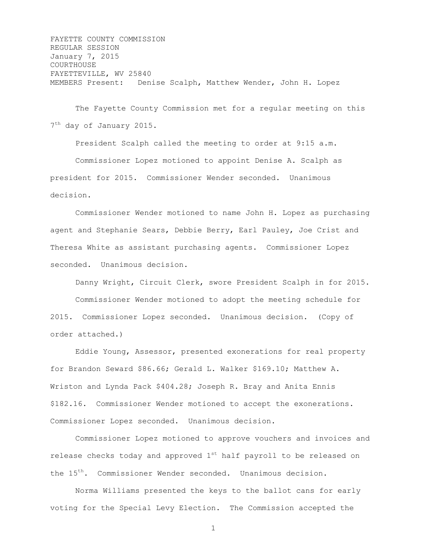FAYETTE COUNTY COMMISSION REGULAR SESSION January 7, 2015 COURTHOUSE FAYETTEVILLE, WV 25840 MEMBERS Present: Denise Scalph, Matthew Wender, John H. Lopez

The Fayette County Commission met for a regular meeting on this 7<sup>th</sup> day of January 2015.

President Scalph called the meeting to order at 9:15 a.m. Commissioner Lopez motioned to appoint Denise A. Scalph as president for 2015. Commissioner Wender seconded. Unanimous decision.

Commissioner Wender motioned to name John H. Lopez as purchasing agent and Stephanie Sears, Debbie Berry, Earl Pauley, Joe Crist and Theresa White as assistant purchasing agents. Commissioner Lopez seconded. Unanimous decision.

Danny Wright, Circuit Clerk, swore President Scalph in for 2015. Commissioner Wender motioned to adopt the meeting schedule for 2015. Commissioner Lopez seconded. Unanimous decision. (Copy of order attached.)

Eddie Young, Assessor, presented exonerations for real property for Brandon Seward \$86.66; Gerald L. Walker \$169.10; Matthew A. Wriston and Lynda Pack \$404.28; Joseph R. Bray and Anita Ennis \$182.16. Commissioner Wender motioned to accept the exonerations. Commissioner Lopez seconded. Unanimous decision.

Commissioner Lopez motioned to approve vouchers and invoices and release checks today and approved  $1<sup>st</sup>$  half payroll to be released on the 15<sup>th</sup>. Commissioner Wender seconded. Unanimous decision.

Norma Williams presented the keys to the ballot cans for early voting for the Special Levy Election. The Commission accepted the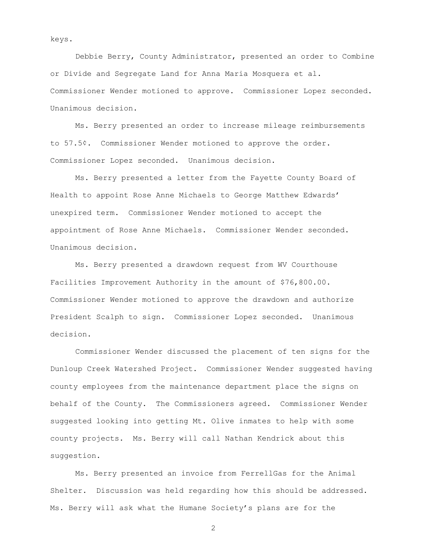keys.

Debbie Berry, County Administrator, presented an order to Combine or Divide and Segregate Land for Anna Maria Mosquera et al. Commissioner Wender motioned to approve. Commissioner Lopez seconded. Unanimous decision.

Ms. Berry presented an order to increase mileage reimbursements to 57.5¢. Commissioner Wender motioned to approve the order. Commissioner Lopez seconded. Unanimous decision.

Ms. Berry presented a letter from the Fayette County Board of Health to appoint Rose Anne Michaels to George Matthew Edwards' unexpired term. Commissioner Wender motioned to accept the appointment of Rose Anne Michaels. Commissioner Wender seconded. Unanimous decision.

Ms. Berry presented a drawdown request from WV Courthouse Facilities Improvement Authority in the amount of \$76,800.00. Commissioner Wender motioned to approve the drawdown and authorize President Scalph to sign. Commissioner Lopez seconded. Unanimous decision.

Commissioner Wender discussed the placement of ten signs for the Dunloup Creek Watershed Project. Commissioner Wender suggested having county employees from the maintenance department place the signs on behalf of the County. The Commissioners agreed. Commissioner Wender suggested looking into getting Mt. Olive inmates to help with some county projects. Ms. Berry will call Nathan Kendrick about this suggestion.

Ms. Berry presented an invoice from FerrellGas for the Animal Shelter. Discussion was held regarding how this should be addressed. Ms. Berry will ask what the Humane Society's plans are for the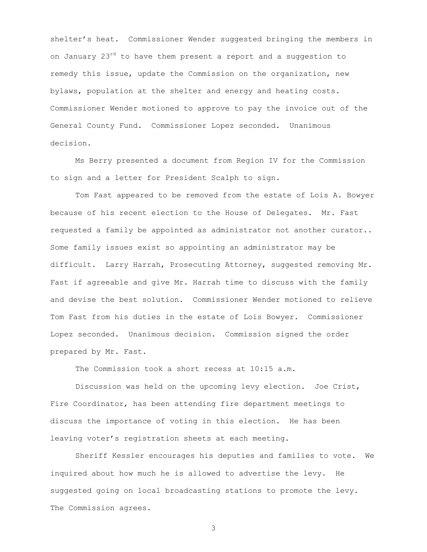shelter's heat. Commissioner Wender suggested bringing the members in on January 23<sup>rd</sup> to have them present a report and a suggestion to remedy this issue, update the Commission on the organization, new bylaws, population at the shelter and energy and heating costs. Commissioner Wender motioned to approve to pay the invoice out of the General County Fund. Commissioner Lopez seconded. Unanimous decision.

Ms Berry presented a document from Region IV for the Commission to sign and a letter for President Scalph to sign.

Tom Fast appeared to be removed from the estate of Lois A. Bowyer because of his recent election to the House of Delegates. Mr. Fast requested a family be appointed as administrator not another curator.. Some family issues exist so appointing an administrator may be difficult. Larry Harrah, Prosecuting Attorney, suggested removing Mr. Fast if agreeable and give Mr. Harrah time to discuss with the family and devise the best solution. Commissioner Wender motioned to relieve Tom Fast from his duties in the estate of Lois Bowyer. Commissioner Lopez seconded. Unanimous decision. Commission signed the order prepared by Mr. Fast.

The Commission took a short recess at 10:15 a.m.

Discussion was held on the upcoming levy election. Joe Crist, Fire Coordinator, has been attending fire department meetings to discuss the importance of voting in this election. He has been leaving voter's registration sheets at each meeting.

Sheriff Kessler encourages his deputies and families to vote. We inquired about how much he is allowed to advertise the levy. He suggested going on local broadcasting stations to promote the levy. The Commission agrees.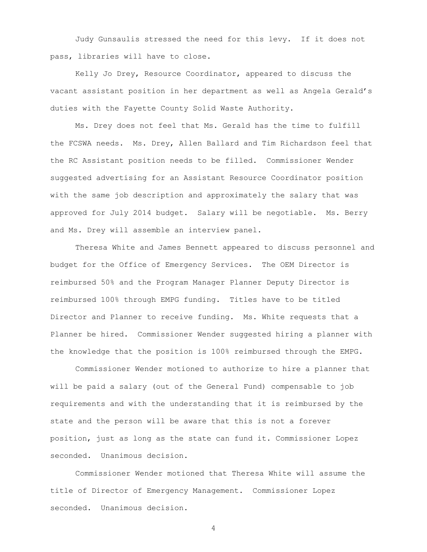Judy Gunsaulis stressed the need for this levy. If it does not pass, libraries will have to close.

Kelly Jo Drey, Resource Coordinator, appeared to discuss the vacant assistant position in her department as well as Angela Gerald's duties with the Fayette County Solid Waste Authority.

Ms. Drey does not feel that Ms. Gerald has the time to fulfill the FCSWA needs. Ms. Drey, Allen Ballard and Tim Richardson feel that the RC Assistant position needs to be filled. Commissioner Wender suggested advertising for an Assistant Resource Coordinator position with the same job description and approximately the salary that was approved for July 2014 budget. Salary will be negotiable. Ms. Berry and Ms. Drey will assemble an interview panel.

Theresa White and James Bennett appeared to discuss personnel and budget for the Office of Emergency Services. The OEM Director is reimbursed 50% and the Program Manager Planner Deputy Director is reimbursed 100% through EMPG funding. Titles have to be titled Director and Planner to receive funding. Ms. White requests that a Planner be hired. Commissioner Wender suggested hiring a planner with the knowledge that the position is 100% reimbursed through the EMPG.

Commissioner Wender motioned to authorize to hire a planner that will be paid a salary (out of the General Fund) compensable to job requirements and with the understanding that it is reimbursed by the state and the person will be aware that this is not a forever position, just as long as the state can fund it. Commissioner Lopez seconded. Unanimous decision.

Commissioner Wender motioned that Theresa White will assume the title of Director of Emergency Management. Commissioner Lopez seconded. Unanimous decision.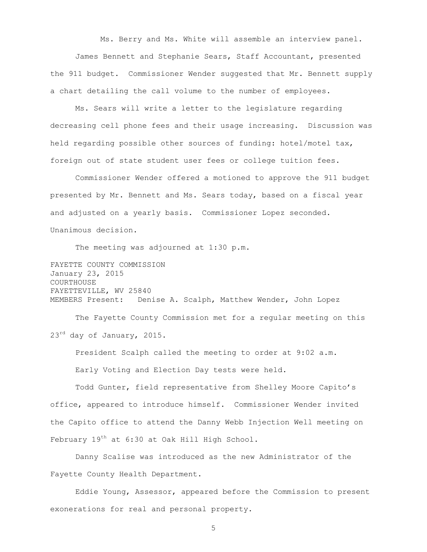Ms. Berry and Ms. White will assemble an interview panel. James Bennett and Stephanie Sears, Staff Accountant, presented the 911 budget. Commissioner Wender suggested that Mr. Bennett supply a chart detailing the call volume to the number of employees.

Ms. Sears will write a letter to the legislature regarding decreasing cell phone fees and their usage increasing. Discussion was held regarding possible other sources of funding: hotel/motel tax, foreign out of state student user fees or college tuition fees.

Commissioner Wender offered a motioned to approve the 911 budget presented by Mr. Bennett and Ms. Sears today, based on a fiscal year and adjusted on a yearly basis. Commissioner Lopez seconded. Unanimous decision.

The meeting was adjourned at 1:30 p.m.

FAYETTE COUNTY COMMISSION January 23, 2015 COURTHOUSE FAYETTEVILLE, WV 25840 MEMBERS Present: Denise A. Scalph, Matthew Wender, John Lopez

The Fayette County Commission met for a regular meeting on this  $23^{rd}$  day of January, 2015.

President Scalph called the meeting to order at 9:02 a.m. Early Voting and Election Day tests were held.

Todd Gunter, field representative from Shelley Moore Capito's office, appeared to introduce himself. Commissioner Wender invited the Capito office to attend the Danny Webb Injection Well meeting on February 19<sup>th</sup> at 6:30 at Oak Hill High School.

Danny Scalise was introduced as the new Administrator of the Fayette County Health Department.

Eddie Young, Assessor, appeared before the Commission to present exonerations for real and personal property.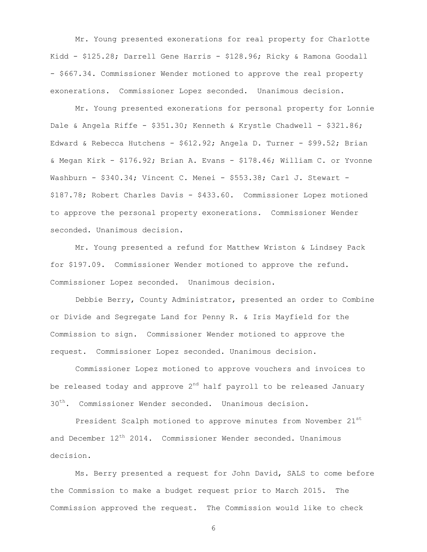Mr. Young presented exonerations for real property for Charlotte Kidd - \$125.28; Darrell Gene Harris - \$128.96; Ricky & Ramona Goodall - \$667.34. Commissioner Wender motioned to approve the real property exonerations. Commissioner Lopez seconded. Unanimous decision.

Mr. Young presented exonerations for personal property for Lonnie Dale & Angela Riffe - \$351.30; Kenneth & Krystle Chadwell - \$321.86; Edward & Rebecca Hutchens - \$612.92; Angela D. Turner - \$99.52; Brian & Megan Kirk - \$176.92; Brian A. Evans - \$178.46; William C. or Yvonne Washburn - \$340.34; Vincent C. Menei - \$553.38; Carl J. Stewart -\$187.78; Robert Charles Davis - \$433.60. Commissioner Lopez motioned to approve the personal property exonerations. Commissioner Wender seconded. Unanimous decision.

Mr. Young presented a refund for Matthew Wriston & Lindsey Pack for \$197.09. Commissioner Wender motioned to approve the refund. Commissioner Lopez seconded. Unanimous decision.

Debbie Berry, County Administrator, presented an order to Combine or Divide and Segregate Land for Penny R. & Iris Mayfield for the Commission to sign. Commissioner Wender motioned to approve the request. Commissioner Lopez seconded. Unanimous decision.

Commissioner Lopez motioned to approve vouchers and invoices to be released today and approve  $2^{nd}$  half payroll to be released January 30<sup>th</sup>. Commissioner Wender seconded. Unanimous decision.

President Scalph motioned to approve minutes from November 21st and December  $12^{th}$  2014. Commissioner Wender seconded. Unanimous decision.

Ms. Berry presented a request for John David, SALS to come before the Commission to make a budget request prior to March 2015. The Commission approved the request. The Commission would like to check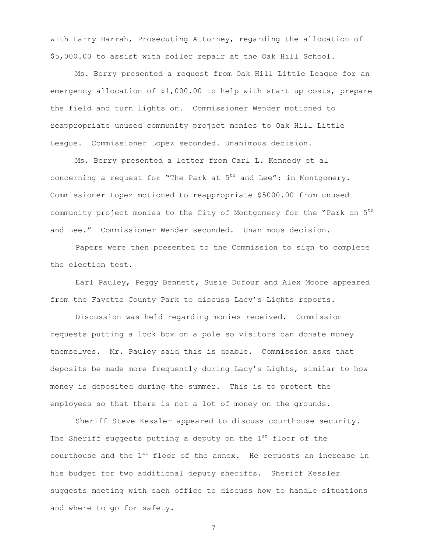with Larry Harrah, Prosecuting Attorney, regarding the allocation of \$5,000.00 to assist with boiler repair at the Oak Hill School.

Ms. Berry presented a request from Oak Hill Little League for an emergency allocation of \$1,000.00 to help with start up costs, prepare the field and turn lights on. Commissioner Wender motioned to reappropriate unused community project monies to Oak Hill Little League. Commissioner Lopez seconded. Unanimous decision.

Ms. Berry presented a letter from Carl L. Kennedy et al concerning a request for "The Park at  $5<sup>th</sup>$  and Lee": in Montgomery. Commissioner Lopez motioned to reappropriate \$5000.00 from unused community project monies to the City of Montgomery for the "Park on 5<sup>th</sup> and Lee." Commissioner Wender seconded. Unanimous decision.

Papers were then presented to the Commission to sign to complete the election test.

Earl Pauley, Peggy Bennett, Susie Dufour and Alex Moore appeared from the Fayette County Park to discuss Lacy's Lights reports.

Discussion was held regarding monies received. Commission requests putting a lock box on a pole so visitors can donate money themselves. Mr. Pauley said this is doable. Commission asks that deposits be made more frequently during Lacy's Lights, similar to how money is deposited during the summer. This is to protect the employees so that there is not a lot of money on the grounds.

Sheriff Steve Kessler appeared to discuss courthouse security. The Sheriff suggests putting a deputy on the  $1<sup>st</sup>$  floor of the courthouse and the  $1^{st}$  floor of the annex. He requests an increase in his budget for two additional deputy sheriffs. Sheriff Kessler suggests meeting with each office to discuss how to handle situations and where to go for safety.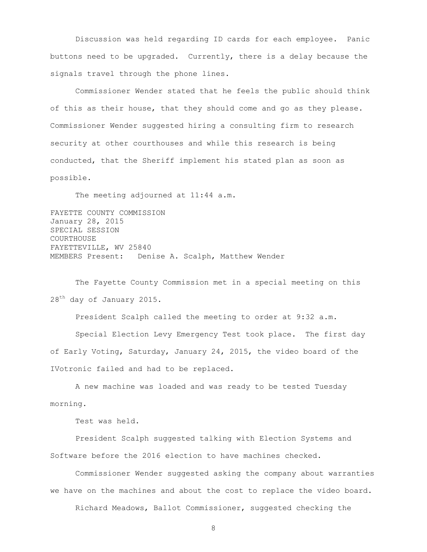Discussion was held regarding ID cards for each employee. Panic buttons need to be upgraded. Currently, there is a delay because the signals travel through the phone lines.

Commissioner Wender stated that he feels the public should think of this as their house, that they should come and go as they please. Commissioner Wender suggested hiring a consulting firm to research security at other courthouses and while this research is being conducted, that the Sheriff implement his stated plan as soon as possible.

The meeting adjourned at 11:44 a.m.

FAYETTE COUNTY COMMISSION January 28, 2015 SPECIAL SESSION COURTHOUSE FAYETTEVILLE, WV 25840 MEMBERS Present: Denise A. Scalph, Matthew Wender

The Fayette County Commission met in a special meeting on this 28<sup>th</sup> day of January 2015.

President Scalph called the meeting to order at 9:32 a.m.

Special Election Levy Emergency Test took place. The first day of Early Voting, Saturday, January 24, 2015, the video board of the IVotronic failed and had to be replaced.

A new machine was loaded and was ready to be tested Tuesday morning.

Test was held.

President Scalph suggested talking with Election Systems and Software before the 2016 election to have machines checked.

Commissioner Wender suggested asking the company about warranties we have on the machines and about the cost to replace the video board.

Richard Meadows, Ballot Commissioner, suggested checking the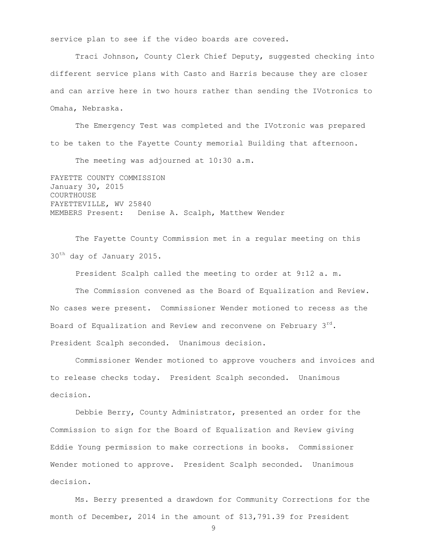service plan to see if the video boards are covered.

Traci Johnson, County Clerk Chief Deputy, suggested checking into different service plans with Casto and Harris because they are closer and can arrive here in two hours rather than sending the IVotronics to Omaha, Nebraska.

The Emergency Test was completed and the IVotronic was prepared to be taken to the Fayette County memorial Building that afternoon.

The meeting was adjourned at 10:30 a.m.

FAYETTE COUNTY COMMISSION January 30, 2015 COURTHOUSE FAYETTEVILLE, WV 25840 MEMBERS Present: Denise A. Scalph, Matthew Wender

The Fayette County Commission met in a regular meeting on this 30<sup>th</sup> day of January 2015.

President Scalph called the meeting to order at 9:12 a. m.

The Commission convened as the Board of Equalization and Review. No cases were present. Commissioner Wender motioned to recess as the Board of Equalization and Review and reconvene on February  $3^{rd}$ . President Scalph seconded. Unanimous decision.

Commissioner Wender motioned to approve vouchers and invoices and to release checks today. President Scalph seconded. Unanimous decision.

Debbie Berry, County Administrator, presented an order for the Commission to sign for the Board of Equalization and Review giving Eddie Young permission to make corrections in books. Commissioner Wender motioned to approve. President Scalph seconded. Unanimous decision.

Ms. Berry presented a drawdown for Community Corrections for the month of December, 2014 in the amount of \$13,791.39 for President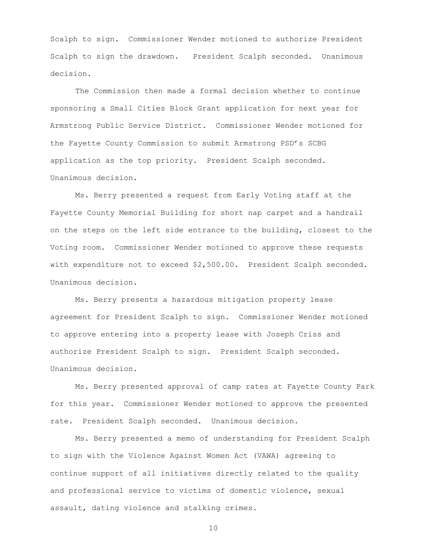Scalph to sign. Commissioner Wender motioned to authorize President Scalph to sign the drawdown. President Scalph seconded. Unanimous decision.

The Commission then made a formal decision whether to continue sponsoring a Small Cities Block Grant application for next year for Armstrong Public Service District. Commissioner Wender motioned for the Fayette County Commission to submit Armstrong PSD's SCBG application as the top priority. President Scalph seconded. Unanimous decision.

Ms. Berry presented a request from Early Voting staff at the Fayette County Memorial Building for short nap carpet and a handrail on the steps on the left side entrance to the building, closest to the Voting room. Commissioner Wender motioned to approve these requests with expenditure not to exceed \$2,500.00. President Scalph seconded. Unanimous decision.

Ms. Berry presents a hazardous mitigation property lease agreement for President Scalph to sign. Commissioner Wender motioned to approve entering into a property lease with Joseph Criss and authorize President Scalph to sign. President Scalph seconded. Unanimous decision.

Ms. Berry presented approval of camp rates at Fayette County Park for this year. Commissioner Wender motioned to approve the presented rate. President Scalph seconded. Unanimous decision.

Ms. Berry presented a memo of understanding for President Scalph to sign with the Violence Against Women Act (VAWA) agreeing to continue support of all initiatives directly related to the quality and professional service to victims of domestic violence, sexual assault, dating violence and stalking crimes.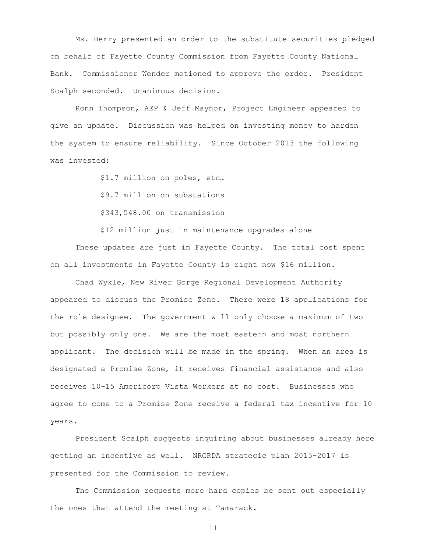Ms. Berry presented an order to the substitute securities pledged on behalf of Fayette County Commission from Fayette County National Bank. Commissioner Wender motioned to approve the order. President Scalph seconded. Unanimous decision.

Ronn Thompson, AEP & Jeff Maynor, Project Engineer appeared to give an update. Discussion was helped on investing money to harden the system to ensure reliability. Since October 2013 the following was invested:

\$1.7 million on poles, etc…

\$9.7 million on substations

\$343,548.00 on transmission

\$12 million just in maintenance upgrades alone

These updates are just in Fayette County. The total cost spent on all investments in Fayette County is right now \$16 million.

Chad Wykle, New River Gorge Regional Development Authority appeared to discuss the Promise Zone. There were 18 applications for the role designee. The government will only choose a maximum of two but possibly only one. We are the most eastern and most northern applicant. The decision will be made in the spring. When an area is designated a Promise Zone, it receives financial assistance and also receives 10-15 Americorp Vista Workers at no cost. Businesses who agree to come to a Promise Zone receive a federal tax incentive for 10 years.

President Scalph suggests inquiring about businesses already here getting an incentive as well. NRGRDA strategic plan 2015-2017 is presented for the Commission to review.

The Commission requests more hard copies be sent out especially the ones that attend the meeting at Tamarack.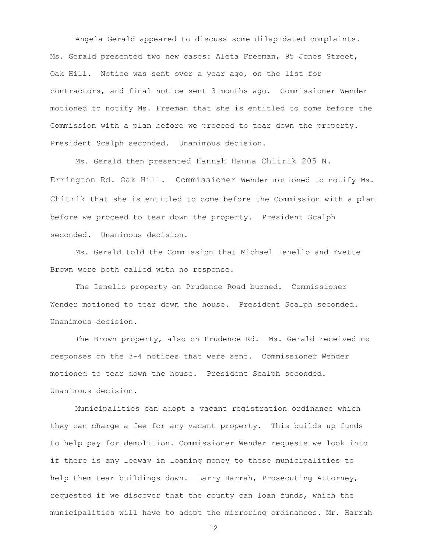Angela Gerald appeared to discuss some dilapidated complaints. Ms. Gerald presented two new cases: Aleta Freeman, 95 Jones Street, Oak Hill. Notice was sent over a year ago, on the list for contractors, and final notice sent 3 months ago. Commissioner Wender motioned to notify Ms. Freeman that she is entitled to come before the Commission with a plan before we proceed to tear down the property. President Scalph seconded. Unanimous decision.

Ms. Gerald then presented Hannah Hanna Chitrik 205 N. Errington Rd. Oak Hill. Commissioner Wender motioned to notify Ms. Chitrik that she is entitled to come before the Commission with a plan before we proceed to tear down the property. President Scalph seconded. Unanimous decision.

Ms. Gerald told the Commission that Michael Ienello and Yvette Brown were both called with no response.

The Ienello property on Prudence Road burned. Commissioner Wender motioned to tear down the house. President Scalph seconded. Unanimous decision.

The Brown property, also on Prudence Rd. Ms. Gerald received no responses on the 3-4 notices that were sent. Commissioner Wender motioned to tear down the house. President Scalph seconded. Unanimous decision.

Municipalities can adopt a vacant registration ordinance which they can charge a fee for any vacant property. This builds up funds to help pay for demolition. Commissioner Wender requests we look into if there is any leeway in loaning money to these municipalities to help them tear buildings down. Larry Harrah, Prosecuting Attorney, requested if we discover that the county can loan funds, which the municipalities will have to adopt the mirroring ordinances. Mr. Harrah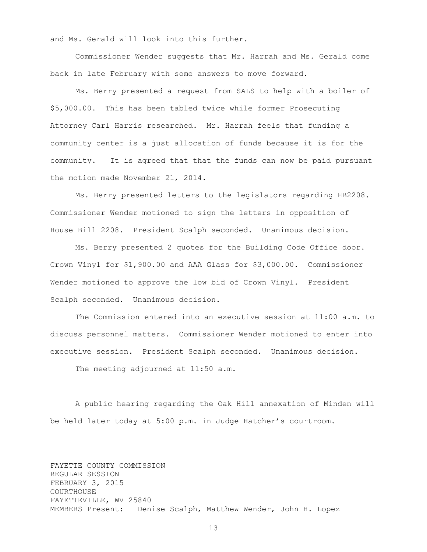and Ms. Gerald will look into this further.

Commissioner Wender suggests that Mr. Harrah and Ms. Gerald come back in late February with some answers to move forward.

Ms. Berry presented a request from SALS to help with a boiler of \$5,000.00. This has been tabled twice while former Prosecuting Attorney Carl Harris researched. Mr. Harrah feels that funding a community center is a just allocation of funds because it is for the community. It is agreed that that the funds can now be paid pursuant the motion made November 21, 2014.

Ms. Berry presented letters to the legislators regarding HB2208. Commissioner Wender motioned to sign the letters in opposition of House Bill 2208. President Scalph seconded. Unanimous decision.

Ms. Berry presented 2 quotes for the Building Code Office door. Crown Vinyl for \$1,900.00 and AAA Glass for \$3,000.00. Commissioner Wender motioned to approve the low bid of Crown Vinyl. President Scalph seconded. Unanimous decision.

The Commission entered into an executive session at 11:00 a.m. to discuss personnel matters. Commissioner Wender motioned to enter into executive session. President Scalph seconded. Unanimous decision.

The meeting adjourned at 11:50 a.m.

A public hearing regarding the Oak Hill annexation of Minden will be held later today at 5:00 p.m. in Judge Hatcher's courtroom.

FAYETTE COUNTY COMMISSION REGULAR SESSION FEBRUARY 3, 2015 COURTHOUSE FAYETTEVILLE, WV 25840 MEMBERS Present: Denise Scalph, Matthew Wender, John H. Lopez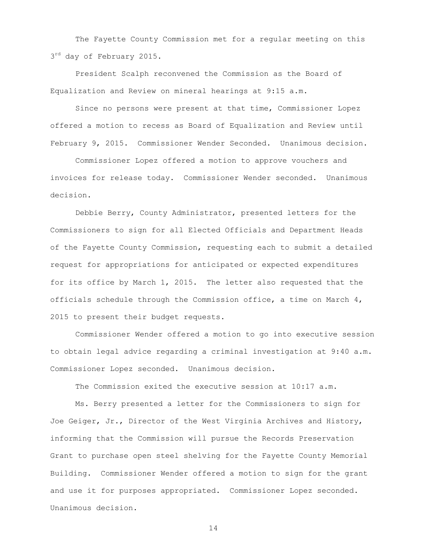The Fayette County Commission met for a regular meeting on this  $3^{rd}$  day of February 2015.

President Scalph reconvened the Commission as the Board of Equalization and Review on mineral hearings at 9:15 a.m.

Since no persons were present at that time, Commissioner Lopez offered a motion to recess as Board of Equalization and Review until February 9, 2015. Commissioner Wender Seconded. Unanimous decision.

Commissioner Lopez offered a motion to approve vouchers and invoices for release today. Commissioner Wender seconded. Unanimous decision.

Debbie Berry, County Administrator, presented letters for the Commissioners to sign for all Elected Officials and Department Heads of the Fayette County Commission, requesting each to submit a detailed request for appropriations for anticipated or expected expenditures for its office by March 1, 2015. The letter also requested that the officials schedule through the Commission office, a time on March 4, 2015 to present their budget requests.

Commissioner Wender offered a motion to go into executive session to obtain legal advice regarding a criminal investigation at 9:40 a.m. Commissioner Lopez seconded. Unanimous decision.

The Commission exited the executive session at 10:17 a.m.

Ms. Berry presented a letter for the Commissioners to sign for Joe Geiger, Jr., Director of the West Virginia Archives and History, informing that the Commission will pursue the Records Preservation Grant to purchase open steel shelving for the Fayette County Memorial Building. Commissioner Wender offered a motion to sign for the grant and use it for purposes appropriated. Commissioner Lopez seconded. Unanimous decision.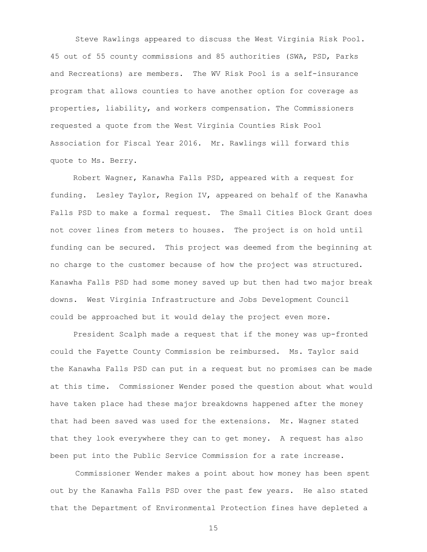Steve Rawlings appeared to discuss the West Virginia Risk Pool. 45 out of 55 county commissions and 85 authorities (SWA, PSD, Parks and Recreations) are members. The WV Risk Pool is a self-insurance program that allows counties to have another option for coverage as properties, liability, and workers compensation. The Commissioners requested a quote from the West Virginia Counties Risk Pool Association for Fiscal Year 2016. Mr. Rawlings will forward this quote to Ms. Berry.

 Robert Wagner, Kanawha Falls PSD, appeared with a request for funding. Lesley Taylor, Region IV, appeared on behalf of the Kanawha Falls PSD to make a formal request. The Small Cities Block Grant does not cover lines from meters to houses. The project is on hold until funding can be secured. This project was deemed from the beginning at no charge to the customer because of how the project was structured. Kanawha Falls PSD had some money saved up but then had two major break downs. [West Virginia Infrastructure and Jobs Development Council](http://www.wvinfrastructure.com/) could be approached but it would delay the project even more.

 President Scalph made a request that if the money was up-fronted could the Fayette County Commission be reimbursed. Ms. Taylor said the Kanawha Falls PSD can put in a request but no promises can be made at this time. Commissioner Wender posed the question about what would have taken place had these major breakdowns happened after the money that had been saved was used for the extensions. Mr. Wagner stated that they look everywhere they can to get money. A request has also been put into the Public Service Commission for a rate increase.

Commissioner Wender makes a point about how money has been spent out by the Kanawha Falls PSD over the past few years. He also stated that the Department of Environmental Protection fines have depleted a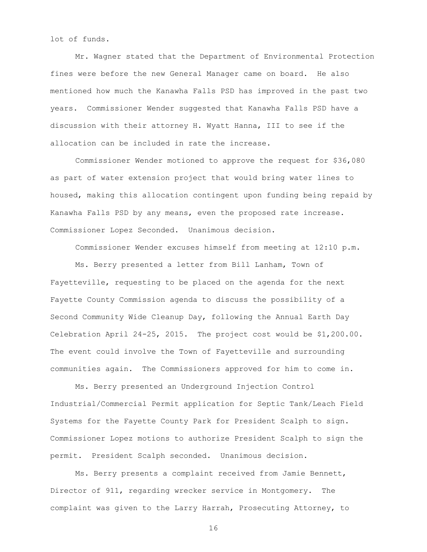lot of funds.

Mr. Wagner stated that the Department of Environmental Protection fines were before the new General Manager came on board. He also mentioned how much the Kanawha Falls PSD has improved in the past two years. Commissioner Wender suggested that Kanawha Falls PSD have a discussion with their attorney H. Wyatt Hanna, III to see if the allocation can be included in rate the increase.

Commissioner Wender motioned to approve the request for \$36,080 as part of water extension project that would bring water lines to housed, making this allocation contingent upon funding being repaid by Kanawha Falls PSD by any means, even the proposed rate increase. Commissioner Lopez Seconded. Unanimous decision.

Commissioner Wender excuses himself from meeting at 12:10 p.m. Ms. Berry presented a letter from Bill Lanham, Town of Fayetteville, requesting to be placed on the agenda for the next Fayette County Commission agenda to discuss the possibility of a Second Community Wide Cleanup Day, following the Annual Earth Day Celebration April 24-25, 2015. The project cost would be \$1,200.00. The event could involve the Town of Fayetteville and surrounding communities again. The Commissioners approved for him to come in.

Ms. Berry presented an Underground Injection Control Industrial/Commercial Permit application for Septic Tank/Leach Field Systems for the Fayette County Park for President Scalph to sign. Commissioner Lopez motions to authorize President Scalph to sign the permit. President Scalph seconded. Unanimous decision.

Ms. Berry presents a complaint received from Jamie Bennett, Director of 911, regarding wrecker service in Montgomery. The complaint was given to the Larry Harrah, Prosecuting Attorney, to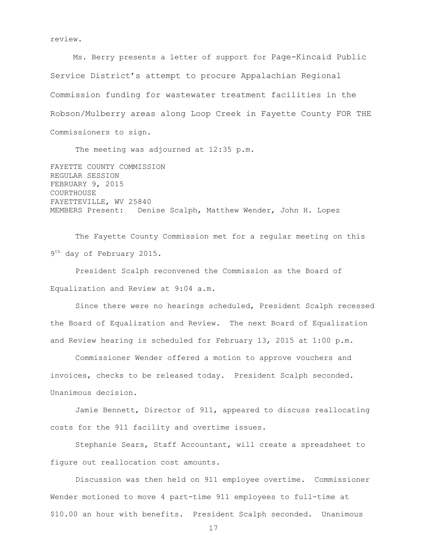review.

 Ms. Berry presents a letter of support for Page-Kincaid Public Service District's attempt to procure Appalachian Regional Commission funding for wastewater treatment facilities in the Robson/Mulberry areas along Loop Creek in Fayette County FOR THE Commissioners to sign.

The meeting was adjourned at 12:35 p.m.

FAYETTE COUNTY COMMISSION REGULAR SESSION FEBRUARY 9, 2015 COURTHOUSE FAYETTEVILLE, WV 25840 MEMBERS Present: Denise Scalph, Matthew Wender, John H. Lopez

The Fayette County Commission met for a regular meeting on this 9<sup>th</sup> day of February 2015.

President Scalph reconvened the Commission as the Board of Equalization and Review at 9:04 a.m.

Since there were no hearings scheduled, President Scalph recessed the Board of Equalization and Review. The next Board of Equalization and Review hearing is scheduled for February 13, 2015 at 1:00 p.m.

Commissioner Wender offered a motion to approve vouchers and invoices, checks to be released today. President Scalph seconded. Unanimous decision.

Jamie Bennett, Director of 911, appeared to discuss reallocating costs for the 911 facility and overtime issues.

Stephanie Sears, Staff Accountant, will create a spreadsheet to figure out reallocation cost amounts.

Discussion was then held on 911 employee overtime. Commissioner Wender motioned to move 4 part-time 911 employees to full-time at \$10.00 an hour with benefits. President Scalph seconded. Unanimous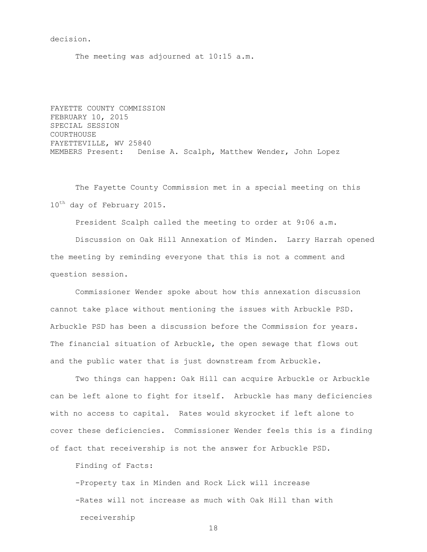decision.

The meeting was adjourned at 10:15 a.m.

FAYETTE COUNTY COMMISSION FEBRUARY 10, 2015 SPECIAL SESSION COURTHOUSE FAYETTEVILLE, WV 25840 MEMBERS Present: Denise A. Scalph, Matthew Wender, John Lopez

The Fayette County Commission met in a special meeting on this  $10^{\text{th}}$  day of February 2015.

President Scalph called the meeting to order at 9:06 a.m.

Discussion on Oak Hill Annexation of Minden. Larry Harrah opened the meeting by reminding everyone that this is not a comment and question session.

Commissioner Wender spoke about how this annexation discussion cannot take place without mentioning the issues with Arbuckle PSD. Arbuckle PSD has been a discussion before the Commission for years. The financial situation of Arbuckle, the open sewage that flows out and the public water that is just downstream from Arbuckle.

Two things can happen: Oak Hill can acquire Arbuckle or Arbuckle can be left alone to fight for itself. Arbuckle has many deficiencies with no access to capital. Rates would skyrocket if left alone to cover these deficiencies. Commissioner Wender feels this is a finding of fact that receivership is not the answer for Arbuckle PSD.

Finding of Facts:

-Property tax in Minden and Rock Lick will increase -Rates will not increase as much with Oak Hill than with receivership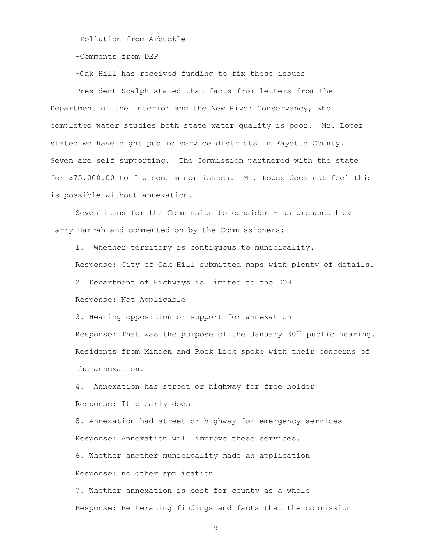-Pollution from Arbuckle

-Comments from DEP

-Oak Hill has received funding to fix these issues

President Scalph stated that facts from letters from the Department of the Interior and the New River Conservancy, who completed water studies both state water quality is poor. Mr. Lopez stated we have eight public service districts in Fayette County. Seven are self supporting. The Commission partnered with the state for \$75,000.00 to fix some minor issues. Mr. Lopez does not feel this is possible without annexation.

Seven items for the Commission to consider – as presented by Larry Harrah and commented on by the Commissioners:

1. Whether territory is contiguous to municipality. Response: City of Oak Hill submitted maps with plenty of details. 2. Department of Highways is limited to the DOH Response: Not Applicable

3. Hearing opposition or support for annexation Response: That was the purpose of the January  $30<sup>th</sup>$  public hearing. Residents from Minden and Rock Lick spoke with their concerns of the annexation.

4. Annexation has street or highway for free holder Response: It clearly does

5. Annexation had street or highway for emergency services Response: Annexation will improve these services.

6. Whether another municipality made an application Response: no other application

7. Whether annexation is best for county as a whole Response: Reiterating findings and facts that the commission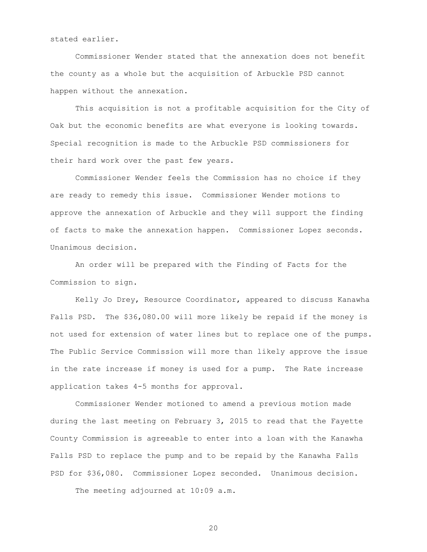stated earlier.

Commissioner Wender stated that the annexation does not benefit the county as a whole but the acquisition of Arbuckle PSD cannot happen without the annexation.

This acquisition is not a profitable acquisition for the City of Oak but the economic benefits are what everyone is looking towards. Special recognition is made to the Arbuckle PSD commissioners for their hard work over the past few years.

Commissioner Wender feels the Commission has no choice if they are ready to remedy this issue. Commissioner Wender motions to approve the annexation of Arbuckle and they will support the finding of facts to make the annexation happen. Commissioner Lopez seconds. Unanimous decision.

An order will be prepared with the Finding of Facts for the Commission to sign.

Kelly Jo Drey, Resource Coordinator, appeared to discuss Kanawha Falls PSD. The \$36,080.00 will more likely be repaid if the money is not used for extension of water lines but to replace one of the pumps. The Public Service Commission will more than likely approve the issue in the rate increase if money is used for a pump. The Rate increase application takes 4-5 months for approval.

Commissioner Wender motioned to amend a previous motion made during the last meeting on February 3, 2015 to read that the Fayette County Commission is agreeable to enter into a loan with the Kanawha Falls PSD to replace the pump and to be repaid by the Kanawha Falls PSD for \$36,080. Commissioner Lopez seconded. Unanimous decision.

The meeting adjourned at 10:09 a.m.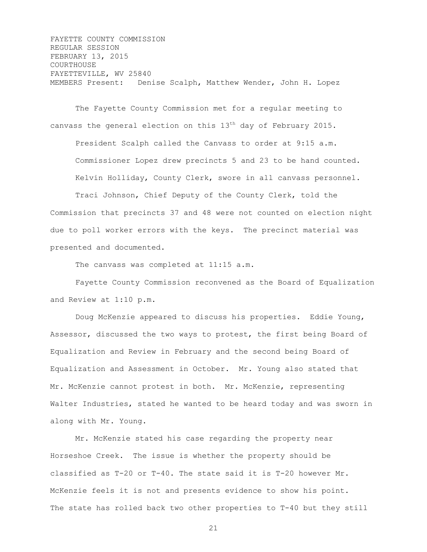FAYETTE COUNTY COMMISSION REGULAR SESSION FEBRUARY 13, 2015 COURTHOUSE FAYETTEVILLE, WV 25840 MEMBERS Present: Denise Scalph, Matthew Wender, John H. Lopez

The Fayette County Commission met for a regular meeting to canvass the general election on this 13<sup>th</sup> day of February 2015. President Scalph called the Canvass to order at 9:15 a.m. Commissioner Lopez drew precincts 5 and 23 to be hand counted. Kelvin Holliday, County Clerk, swore in all canvass personnel.

Traci Johnson, Chief Deputy of the County Clerk, told the Commission that precincts 37 and 48 were not counted on election night due to poll worker errors with the keys. The precinct material was presented and documented.

The canvass was completed at 11:15 a.m.

Fayette County Commission reconvened as the Board of Equalization and Review at 1:10 p.m.

Doug McKenzie appeared to discuss his properties. Eddie Young, Assessor, discussed the two ways to protest, the first being Board of Equalization and Review in February and the second being Board of Equalization and Assessment in October. Mr. Young also stated that Mr. McKenzie cannot protest in both. Mr. McKenzie, representing Walter Industries, stated he wanted to be heard today and was sworn in along with Mr. Young.

Mr. McKenzie stated his case regarding the property near Horseshoe Creek. The issue is whether the property should be classified as T-20 or T-40. The state said it is T-20 however Mr. McKenzie feels it is not and presents evidence to show his point. The state has rolled back two other properties to T-40 but they still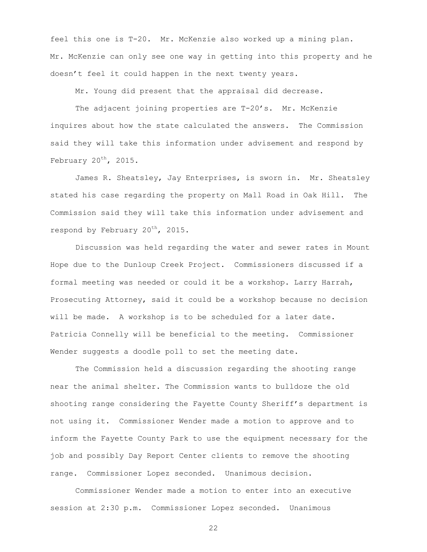feel this one is T-20. Mr. McKenzie also worked up a mining plan. Mr. McKenzie can only see one way in getting into this property and he doesn't feel it could happen in the next twenty years.

Mr. Young did present that the appraisal did decrease.

The adjacent joining properties are T-20's. Mr. McKenzie inquires about how the state calculated the answers. The Commission said they will take this information under advisement and respond by February  $20^{th}$ , 2015.

James R. Sheatsley, Jay Enterprises, is sworn in. Mr. Sheatsley stated his case regarding the property on Mall Road in Oak Hill. The Commission said they will take this information under advisement and respond by February 20<sup>th</sup>, 2015.

Discussion was held regarding the water and sewer rates in Mount Hope due to the Dunloup Creek Project. Commissioners discussed if a formal meeting was needed or could it be a workshop. Larry Harrah, Prosecuting Attorney, said it could be a workshop because no decision will be made. A workshop is to be scheduled for a later date. Patricia Connelly will be beneficial to the meeting. Commissioner Wender suggests a doodle poll to set the meeting date.

The Commission held a discussion regarding the shooting range near the animal shelter. The Commission wants to bulldoze the old shooting range considering the Fayette County Sheriff's department is not using it. Commissioner Wender made a motion to approve and to inform the Fayette County Park to use the equipment necessary for the job and possibly Day Report Center clients to remove the shooting range. Commissioner Lopez seconded. Unanimous decision.

Commissioner Wender made a motion to enter into an executive session at 2:30 p.m. Commissioner Lopez seconded. Unanimous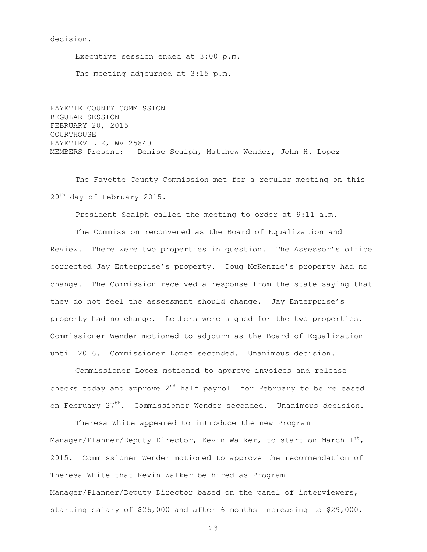decision.

Executive session ended at 3:00 p.m. The meeting adjourned at 3:15 p.m.

FAYETTE COUNTY COMMISSION REGULAR SESSION FEBRUARY 20, 2015 COURTHOUSE FAYETTEVILLE, WV 25840 MEMBERS Present: Denise Scalph, Matthew Wender, John H. Lopez

The Fayette County Commission met for a regular meeting on this 20<sup>th</sup> day of February 2015.

President Scalph called the meeting to order at 9:11 a.m.

The Commission reconvened as the Board of Equalization and Review. There were two properties in question. The Assessor's office corrected Jay Enterprise's property. Doug McKenzie's property had no change. The Commission received a response from the state saying that they do not feel the assessment should change. Jay Enterprise's property had no change. Letters were signed for the two properties. Commissioner Wender motioned to adjourn as the Board of Equalization until 2016. Commissioner Lopez seconded. Unanimous decision.

Commissioner Lopez motioned to approve invoices and release checks today and approve  $2<sup>nd</sup>$  half payroll for February to be released on February 27<sup>th</sup>. Commissioner Wender seconded. Unanimous decision.

Theresa White appeared to introduce the new Program Manager/Planner/Deputy Director, Kevin Walker, to start on March  $1^{st}$ , 2015. Commissioner Wender motioned to approve the recommendation of Theresa White that Kevin Walker be hired as Program Manager/Planner/Deputy Director based on the panel of interviewers, starting salary of \$26,000 and after 6 months increasing to \$29,000,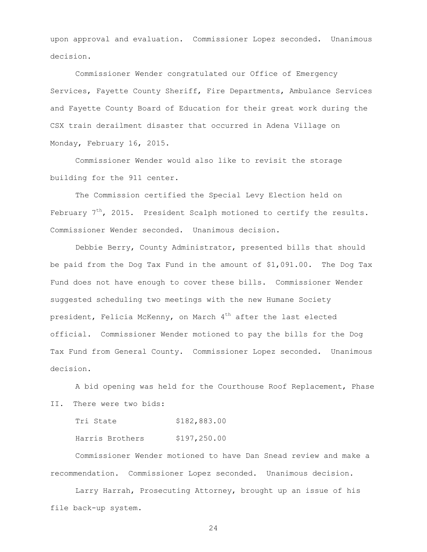upon approval and evaluation. Commissioner Lopez seconded. Unanimous decision.

Commissioner Wender congratulated our Office of Emergency Services, Fayette County Sheriff, Fire Departments, Ambulance Services and Fayette County Board of Education for their great work during the CSX train derailment disaster that occurred in Adena Village on Monday, February 16, 2015.

Commissioner Wender would also like to revisit the storage building for the 911 center.

The Commission certified the Special Levy Election held on February  $7^{th}$ , 2015. President Scalph motioned to certify the results. Commissioner Wender seconded. Unanimous decision.

Debbie Berry, County Administrator, presented bills that should be paid from the Dog Tax Fund in the amount of \$1,091.00. The Dog Tax Fund does not have enough to cover these bills. Commissioner Wender suggested scheduling two meetings with the new Humane Society president, Felicia McKenny, on March  $4<sup>th</sup>$  after the last elected official. Commissioner Wender motioned to pay the bills for the Dog Tax Fund from General County. Commissioner Lopez seconded. Unanimous decision.

A bid opening was held for the Courthouse Roof Replacement, Phase II. There were two bids:

Tri State \$182,883.00

Harris Brothers \$197,250.00

Commissioner Wender motioned to have Dan Snead review and make a recommendation. Commissioner Lopez seconded. Unanimous decision.

Larry Harrah, Prosecuting Attorney, brought up an issue of his file back-up system.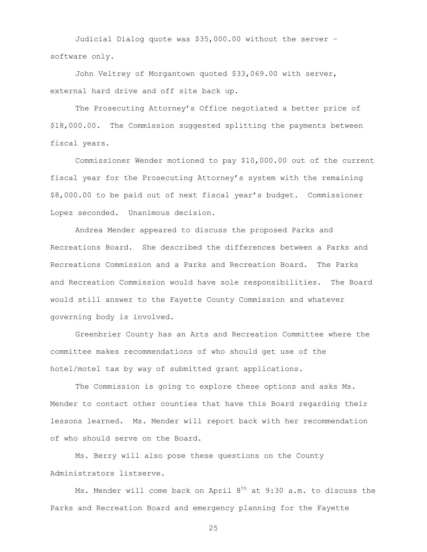Judicial Dialog quote was \$35,000.00 without the server – software only.

John Veltrey of Morgantown quoted \$33,069.00 with server, external hard drive and off site back up.

The Prosecuting Attorney's Office negotiated a better price of \$18,000.00. The Commission suggested splitting the payments between fiscal years.

Commissioner Wender motioned to pay \$10,000.00 out of the current fiscal year for the Prosecuting Attorney's system with the remaining \$8,000.00 to be paid out of next fiscal year's budget. Commissioner Lopez seconded. Unanimous decision.

Andrea Mender appeared to discuss the proposed Parks and Recreations Board. She described the differences between a Parks and Recreations Commission and a Parks and Recreation Board. The Parks and Recreation Commission would have sole responsibilities. The Board would still answer to the Fayette County Commission and whatever governing body is involved.

Greenbrier County has an Arts and Recreation Committee where the committee makes recommendations of who should get use of the hotel/motel tax by way of submitted grant applications.

The Commission is going to explore these options and asks Ms. Mender to contact other counties that have this Board regarding their lessons learned. Ms. Mender will report back with her recommendation of who should serve on the Board.

Ms. Berry will also pose these questions on the County Administrators listserve.

Ms. Mender will come back on April  $8<sup>th</sup>$  at  $9:30$  a.m. to discuss the Parks and Recreation Board and emergency planning for the Fayette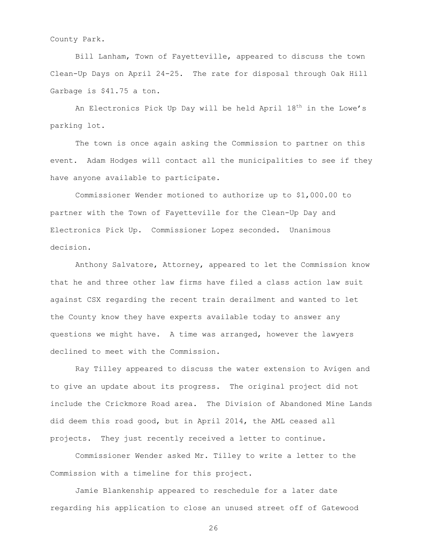County Park.

Bill Lanham, Town of Fayetteville, appeared to discuss the town Clean-Up Days on April 24-25. The rate for disposal through Oak Hill Garbage is \$41.75 a ton.

An Electronics Pick Up Day will be held April 18<sup>th</sup> in the Lowe's parking lot.

The town is once again asking the Commission to partner on this event. Adam Hodges will contact all the municipalities to see if they have anyone available to participate.

Commissioner Wender motioned to authorize up to \$1,000.00 to partner with the Town of Fayetteville for the Clean-Up Day and Electronics Pick Up. Commissioner Lopez seconded. Unanimous decision.

Anthony Salvatore, Attorney, appeared to let the Commission know that he and three other law firms have filed a class action law suit against CSX regarding the recent train derailment and wanted to let the County know they have experts available today to answer any questions we might have. A time was arranged, however the lawyers declined to meet with the Commission.

Ray Tilley appeared to discuss the water extension to Avigen and to give an update about its progress. The original project did not include the Crickmore Road area. The Division of Abandoned Mine Lands did deem this road good, but in April 2014, the AML ceased all projects. They just recently received a letter to continue.

Commissioner Wender asked Mr. Tilley to write a letter to the Commission with a timeline for this project.

Jamie Blankenship appeared to reschedule for a later date regarding his application to close an unused street off of Gatewood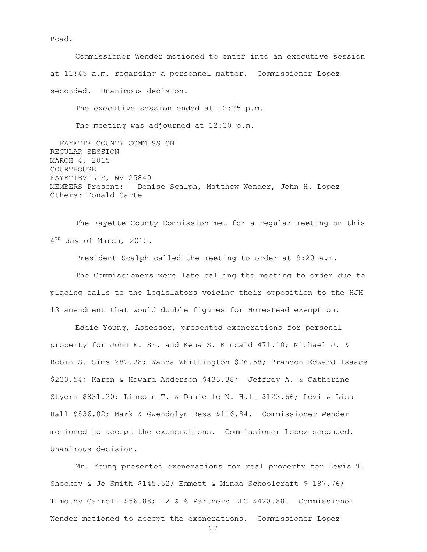Road.

Commissioner Wender motioned to enter into an executive session at 11:45 a.m. regarding a personnel matter. Commissioner Lopez seconded. Unanimous decision. The executive session ended at 12:25 p.m. The meeting was adjourned at 12:30 p.m.

 FAYETTE COUNTY COMMISSION REGULAR SESSION MARCH 4, 2015 COURTHOUSE FAYETTEVILLE, WV 25840 MEMBERS Present: Denise Scalph, Matthew Wender, John H. Lopez Others: Donald Carte

The Fayette County Commission met for a regular meeting on this 4<sup>th</sup> day of March, 2015.

President Scalph called the meeting to order at 9:20 a.m.

The Commissioners were late calling the meeting to order due to placing calls to the Legislators voicing their opposition to the HJH 13 amendment that would double figures for Homestead exemption.

Eddie Young, Assessor, presented exonerations for personal property for John F. Sr. and Kena S. Kincaid 471.10; Michael J. & Robin S. Sims 282.28; Wanda Whittington \$26.58; Brandon Edward Isaacs \$233.54; Karen & Howard Anderson \$433.38; Jeffrey A. & Catherine Styers \$831.20; Lincoln T. & Danielle N. Hall \$123.66; Levi & Lisa Hall \$836.02; Mark & Gwendolyn Bess \$116.84. Commissioner Wender motioned to accept the exonerations. Commissioner Lopez seconded. Unanimous decision.

Mr. Young presented exonerations for real property for Lewis T. Shockey & Jo Smith \$145.52; Emmett & Minda Schoolcraft \$ 187.76; Timothy Carroll \$56.88; 12 & 6 Partners LLC \$428.88. Commissioner Wender motioned to accept the exonerations. Commissioner Lopez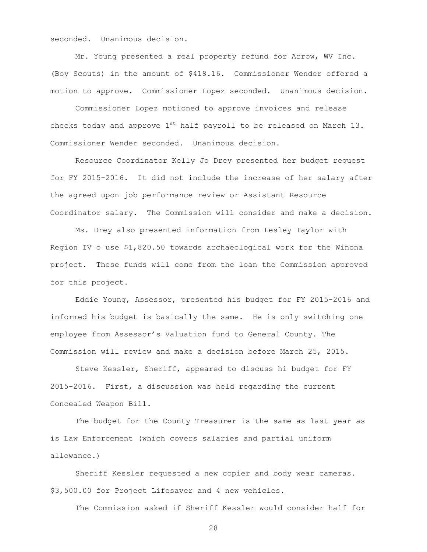seconded. Unanimous decision.

Mr. Young presented a real property refund for Arrow, WV Inc. (Boy Scouts) in the amount of \$418.16. Commissioner Wender offered a motion to approve. Commissioner Lopez seconded. Unanimous decision.

Commissioner Lopez motioned to approve invoices and release checks today and approve  $1^{st}$  half payroll to be released on March 13. Commissioner Wender seconded. Unanimous decision.

Resource Coordinator Kelly Jo Drey presented her budget request for FY 2015-2016. It did not include the increase of her salary after the agreed upon job performance review or Assistant Resource Coordinator salary. The Commission will consider and make a decision.

Ms. Drey also presented information from Lesley Taylor with Region IV o use \$1,820.50 towards archaeological work for the Winona project. These funds will come from the loan the Commission approved for this project.

Eddie Young, Assessor, presented his budget for FY 2015-2016 and informed his budget is basically the same. He is only switching one employee from Assessor's Valuation fund to General County. The Commission will review and make a decision before March 25, 2015.

Steve Kessler, Sheriff, appeared to discuss hi budget for FY 2015-2016. First, a discussion was held regarding the current Concealed Weapon Bill.

The budget for the County Treasurer is the same as last year as is Law Enforcement (which covers salaries and partial uniform allowance.)

Sheriff Kessler requested a new copier and body wear cameras. \$3,500.00 for Project Lifesaver and 4 new vehicles.

The Commission asked if Sheriff Kessler would consider half for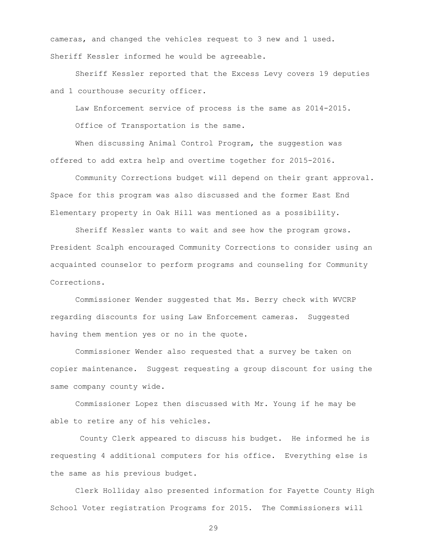cameras, and changed the vehicles request to 3 new and 1 used. Sheriff Kessler informed he would be agreeable.

Sheriff Kessler reported that the Excess Levy covers 19 deputies and 1 courthouse security officer.

Law Enforcement service of process is the same as 2014-2015.

Office of Transportation is the same.

When discussing Animal Control Program, the suggestion was offered to add extra help and overtime together for 2015-2016.

Community Corrections budget will depend on their grant approval. Space for this program was also discussed and the former East End Elementary property in Oak Hill was mentioned as a possibility.

Sheriff Kessler wants to wait and see how the program grows. President Scalph encouraged Community Corrections to consider using an acquainted counselor to perform programs and counseling for Community Corrections.

Commissioner Wender suggested that Ms. Berry check with WVCRP regarding discounts for using Law Enforcement cameras. Suggested having them mention yes or no in the quote.

Commissioner Wender also requested that a survey be taken on copier maintenance. Suggest requesting a group discount for using the same company county wide.

Commissioner Lopez then discussed with Mr. Young if he may be able to retire any of his vehicles.

County Clerk appeared to discuss his budget. He informed he is requesting 4 additional computers for his office. Everything else is the same as his previous budget.

Clerk Holliday also presented information for Fayette County High School Voter registration Programs for 2015. The Commissioners will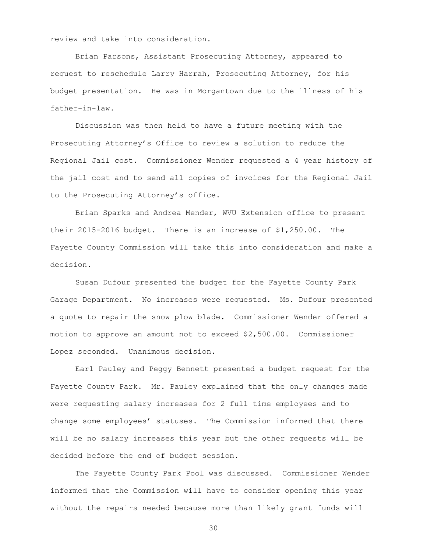review and take into consideration.

Brian Parsons, Assistant Prosecuting Attorney, appeared to request to reschedule Larry Harrah, Prosecuting Attorney, for his budget presentation. He was in Morgantown due to the illness of his father-in-law.

Discussion was then held to have a future meeting with the Prosecuting Attorney's Office to review a solution to reduce the Regional Jail cost. Commissioner Wender requested a 4 year history of the jail cost and to send all copies of invoices for the Regional Jail to the Prosecuting Attorney's office.

Brian Sparks and Andrea Mender, WVU Extension office to present their 2015-2016 budget. There is an increase of \$1,250.00. The Fayette County Commission will take this into consideration and make a decision.

Susan Dufour presented the budget for the Fayette County Park Garage Department. No increases were requested. Ms. Dufour presented a quote to repair the snow plow blade. Commissioner Wender offered a motion to approve an amount not to exceed \$2,500.00. Commissioner Lopez seconded. Unanimous decision.

Earl Pauley and Peggy Bennett presented a budget request for the Fayette County Park. Mr. Pauley explained that the only changes made were requesting salary increases for 2 full time employees and to change some employees' statuses. The Commission informed that there will be no salary increases this year but the other requests will be decided before the end of budget session.

The Fayette County Park Pool was discussed. Commissioner Wender informed that the Commission will have to consider opening this year without the repairs needed because more than likely grant funds will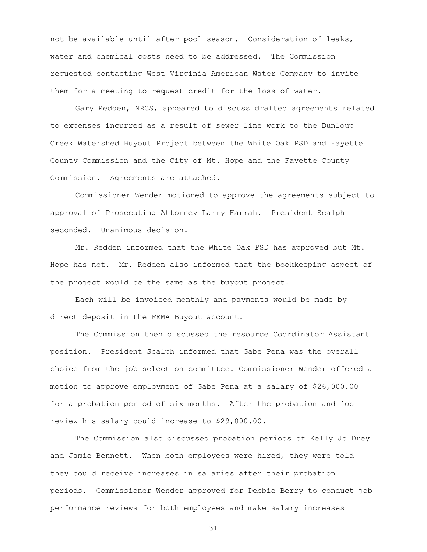not be available until after pool season. Consideration of leaks, water and chemical costs need to be addressed. The Commission requested contacting West Virginia American Water Company to invite them for a meeting to request credit for the loss of water.

Gary Redden, NRCS, appeared to discuss drafted agreements related to expenses incurred as a result of sewer line work to the Dunloup Creek Watershed Buyout Project between the White Oak PSD and Fayette County Commission and the City of Mt. Hope and the Fayette County Commission. Agreements are attached.

Commissioner Wender motioned to approve the agreements subject to approval of Prosecuting Attorney Larry Harrah. President Scalph seconded. Unanimous decision.

Mr. Redden informed that the White Oak PSD has approved but Mt. Hope has not. Mr. Redden also informed that the bookkeeping aspect of the project would be the same as the buyout project.

Each will be invoiced monthly and payments would be made by direct deposit in the FEMA Buyout account.

The Commission then discussed the resource Coordinator Assistant position. President Scalph informed that Gabe Pena was the overall choice from the job selection committee. Commissioner Wender offered a motion to approve employment of Gabe Pena at a salary of \$26,000.00 for a probation period of six months. After the probation and job review his salary could increase to \$29,000.00.

The Commission also discussed probation periods of Kelly Jo Drey and Jamie Bennett. When both employees were hired, they were told they could receive increases in salaries after their probation periods. Commissioner Wender approved for Debbie Berry to conduct job performance reviews for both employees and make salary increases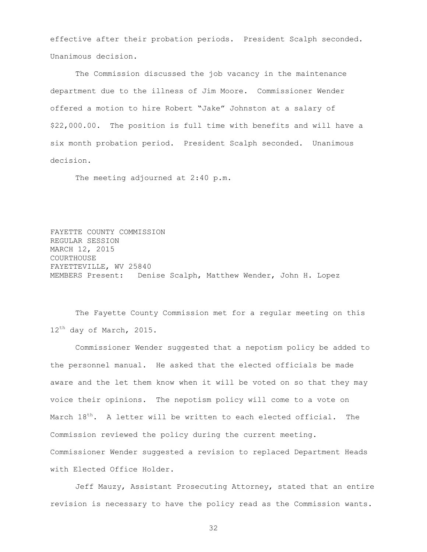effective after their probation periods. President Scalph seconded. Unanimous decision.

The Commission discussed the job vacancy in the maintenance department due to the illness of Jim Moore. Commissioner Wender offered a motion to hire Robert "Jake" Johnston at a salary of \$22,000.00. The position is full time with benefits and will have a six month probation period. President Scalph seconded. Unanimous decision.

The meeting adjourned at 2:40 p.m.

FAYETTE COUNTY COMMISSION REGULAR SESSION MARCH 12, 2015 COURTHOUSE FAYETTEVILLE, WV 25840 MEMBERS Present: Denise Scalph, Matthew Wender, John H. Lopez

The Fayette County Commission met for a regular meeting on this 12<sup>th</sup> day of March, 2015.

Commissioner Wender suggested that a nepotism policy be added to the personnel manual. He asked that the elected officials be made aware and the let them know when it will be voted on so that they may voice their opinions. The nepotism policy will come to a vote on March  $18^{th}$ . A letter will be written to each elected official. The Commission reviewed the policy during the current meeting. Commissioner Wender suggested a revision to replaced Department Heads with Elected Office Holder.

Jeff Mauzy, Assistant Prosecuting Attorney, stated that an entire revision is necessary to have the policy read as the Commission wants.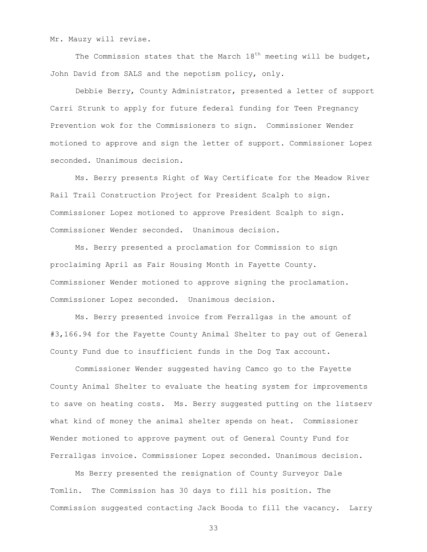Mr. Mauzy will revise.

The Commission states that the March  $18<sup>th</sup>$  meeting will be budget, John David from SALS and the nepotism policy, only.

Debbie Berry, County Administrator, presented a letter of support Carri Strunk to apply for future federal funding for Teen Pregnancy Prevention wok for the Commissioners to sign. Commissioner Wender motioned to approve and sign the letter of support. Commissioner Lopez seconded. Unanimous decision.

Ms. Berry presents Right of Way Certificate for the Meadow River Rail Trail Construction Project for President Scalph to sign. Commissioner Lopez motioned to approve President Scalph to sign. Commissioner Wender seconded. Unanimous decision.

Ms. Berry presented a proclamation for Commission to sign proclaiming April as Fair Housing Month in Fayette County. Commissioner Wender motioned to approve signing the proclamation. Commissioner Lopez seconded. Unanimous decision.

Ms. Berry presented invoice from Ferrallgas in the amount of #3,166.94 for the Fayette County Animal Shelter to pay out of General County Fund due to insufficient funds in the Dog Tax account.

Commissioner Wender suggested having Camco go to the Fayette County Animal Shelter to evaluate the heating system for improvements to save on heating costs. Ms. Berry suggested putting on the listserv what kind of money the animal shelter spends on heat. Commissioner Wender motioned to approve payment out of General County Fund for Ferrallgas invoice. Commissioner Lopez seconded. Unanimous decision.

Ms Berry presented the resignation of County Surveyor Dale Tomlin. The Commission has 30 days to fill his position. The Commission suggested contacting Jack Booda to fill the vacancy. Larry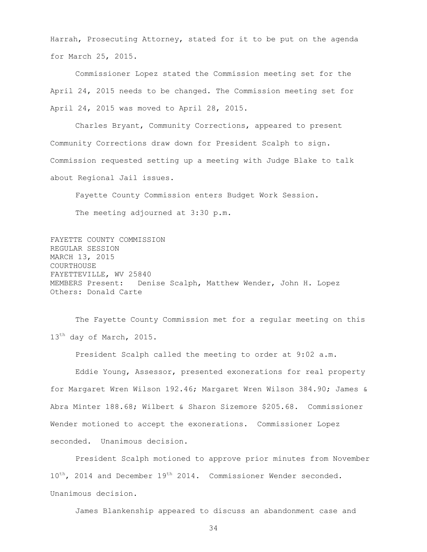Harrah, Prosecuting Attorney, stated for it to be put on the agenda for March 25, 2015.

Commissioner Lopez stated the Commission meeting set for the April 24, 2015 needs to be changed. The Commission meeting set for April 24, 2015 was moved to April 28, 2015.

Charles Bryant, Community Corrections, appeared to present Community Corrections draw down for President Scalph to sign. Commission requested setting up a meeting with Judge Blake to talk about Regional Jail issues.

Fayette County Commission enters Budget Work Session. The meeting adjourned at 3:30 p.m.

FAYETTE COUNTY COMMISSION REGULAR SESSION MARCH 13, 2015 COURTHOUSE FAYETTEVILLE, WV 25840 MEMBERS Present: Denise Scalph, Matthew Wender, John H. Lopez Others: Donald Carte

The Fayette County Commission met for a regular meeting on this 13<sup>th</sup> day of March, 2015.

President Scalph called the meeting to order at 9:02 a.m.

Eddie Young, Assessor, presented exonerations for real property for Margaret Wren Wilson 192.46; Margaret Wren Wilson 384.90; James & Abra Minter 188.68; Wilbert & Sharon Sizemore \$205.68. Commissioner Wender motioned to accept the exonerations. Commissioner Lopez seconded. Unanimous decision.

President Scalph motioned to approve prior minutes from November  $10^{th}$ , 2014 and December 19<sup>th</sup> 2014. Commissioner Wender seconded. Unanimous decision.

James Blankenship appeared to discuss an abandonment case and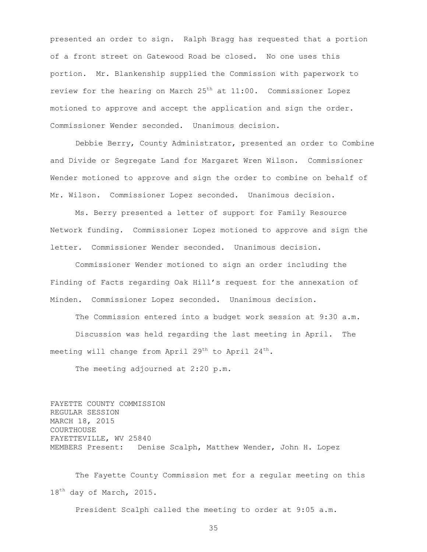presented an order to sign. Ralph Bragg has requested that a portion of a front street on Gatewood Road be closed. No one uses this portion. Mr. Blankenship supplied the Commission with paperwork to review for the hearing on March  $25<sup>th</sup>$  at  $11:00$ . Commissioner Lopez motioned to approve and accept the application and sign the order. Commissioner Wender seconded. Unanimous decision.

Debbie Berry, County Administrator, presented an order to Combine and Divide or Segregate Land for Margaret Wren Wilson. Commissioner Wender motioned to approve and sign the order to combine on behalf of Mr. Wilson. Commissioner Lopez seconded. Unanimous decision.

Ms. Berry presented a letter of support for Family Resource Network funding. Commissioner Lopez motioned to approve and sign the letter. Commissioner Wender seconded. Unanimous decision.

Commissioner Wender motioned to sign an order including the Finding of Facts regarding Oak Hill's request for the annexation of Minden. Commissioner Lopez seconded. Unanimous decision.

The Commission entered into a budget work session at 9:30 a.m. Discussion was held regarding the last meeting in April. The meeting will change from April  $29^{th}$  to April  $24^{th}$ .

The meeting adjourned at 2:20 p.m.

FAYETTE COUNTY COMMISSION REGULAR SESSION MARCH 18, 2015 COURTHOUSE FAYETTEVILLE, WV 25840 MEMBERS Present: Denise Scalph, Matthew Wender, John H. Lopez

The Fayette County Commission met for a regular meeting on this 18<sup>th</sup> day of March, 2015.

President Scalph called the meeting to order at 9:05 a.m.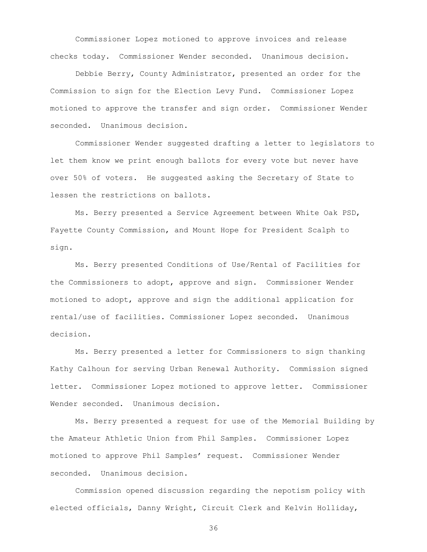Commissioner Lopez motioned to approve invoices and release checks today. Commissioner Wender seconded. Unanimous decision.

Debbie Berry, County Administrator, presented an order for the Commission to sign for the Election Levy Fund. Commissioner Lopez motioned to approve the transfer and sign order. Commissioner Wender seconded. Unanimous decision.

Commissioner Wender suggested drafting a letter to legislators to let them know we print enough ballots for every vote but never have over 50% of voters. He suggested asking the Secretary of State to lessen the restrictions on ballots.

Ms. Berry presented a Service Agreement between White Oak PSD, Fayette County Commission, and Mount Hope for President Scalph to sign.

Ms. Berry presented Conditions of Use/Rental of Facilities for the Commissioners to adopt, approve and sign. Commissioner Wender motioned to adopt, approve and sign the additional application for rental/use of facilities. Commissioner Lopez seconded. Unanimous decision.

Ms. Berry presented a letter for Commissioners to sign thanking Kathy Calhoun for serving Urban Renewal Authority. Commission signed letter. Commissioner Lopez motioned to approve letter. Commissioner Wender seconded. Unanimous decision.

Ms. Berry presented a request for use of the Memorial Building by the Amateur Athletic Union from Phil Samples. Commissioner Lopez motioned to approve Phil Samples' request. Commissioner Wender seconded. Unanimous decision.

Commission opened discussion regarding the nepotism policy with elected officials, Danny Wright, Circuit Clerk and Kelvin Holliday,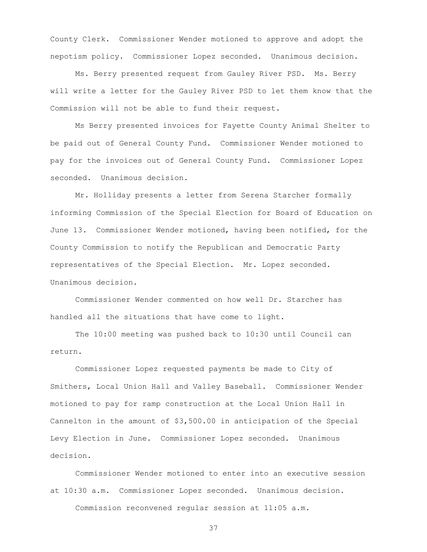County Clerk. Commissioner Wender motioned to approve and adopt the nepotism policy. Commissioner Lopez seconded. Unanimous decision.

Ms. Berry presented request from Gauley River PSD. Ms. Berry will write a letter for the Gauley River PSD to let them know that the Commission will not be able to fund their request.

Ms Berry presented invoices for Fayette County Animal Shelter to be paid out of General County Fund. Commissioner Wender motioned to pay for the invoices out of General County Fund. Commissioner Lopez seconded. Unanimous decision.

Mr. Holliday presents a letter from Serena Starcher formally informing Commission of the Special Election for Board of Education on June 13. Commissioner Wender motioned, having been notified, for the County Commission to notify the Republican and Democratic Party representatives of the Special Election. Mr. Lopez seconded. Unanimous decision.

Commissioner Wender commented on how well Dr. Starcher has handled all the situations that have come to light.

The 10:00 meeting was pushed back to 10:30 until Council can return.

Commissioner Lopez requested payments be made to City of Smithers, Local Union Hall and Valley Baseball. Commissioner Wender motioned to pay for ramp construction at the Local Union Hall in Cannelton in the amount of \$3,500.00 in anticipation of the Special Levy Election in June. Commissioner Lopez seconded. Unanimous decision.

Commissioner Wender motioned to enter into an executive session at 10:30 a.m. Commissioner Lopez seconded. Unanimous decision. Commission reconvened regular session at 11:05 a.m.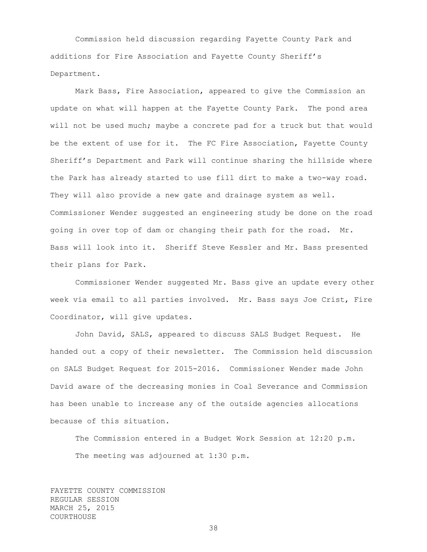Commission held discussion regarding Fayette County Park and additions for Fire Association and Fayette County Sheriff's Department.

Mark Bass, Fire Association, appeared to give the Commission an update on what will happen at the Fayette County Park. The pond area will not be used much; maybe a concrete pad for a truck but that would be the extent of use for it. The FC Fire Association, Fayette County Sheriff's Department and Park will continue sharing the hillside where the Park has already started to use fill dirt to make a two-way road. They will also provide a new gate and drainage system as well. Commissioner Wender suggested an engineering study be done on the road going in over top of dam or changing their path for the road. Mr. Bass will look into it. Sheriff Steve Kessler and Mr. Bass presented their plans for Park.

Commissioner Wender suggested Mr. Bass give an update every other week via email to all parties involved. Mr. Bass says Joe Crist, Fire Coordinator, will give updates.

John David, SALS, appeared to discuss SALS Budget Request. He handed out a copy of their newsletter. The Commission held discussion on SALS Budget Request for 2015-2016. Commissioner Wender made John David aware of the decreasing monies in Coal Severance and Commission has been unable to increase any of the outside agencies allocations because of this situation.

The Commission entered in a Budget Work Session at 12:20 p.m. The meeting was adjourned at 1:30 p.m.

FAYETTE COUNTY COMMISSION REGULAR SESSION MARCH 25, 2015 COURTHOUSE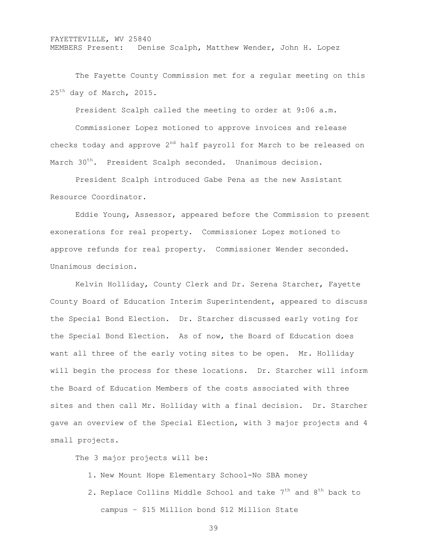## FAYETTEVILLE, WV 25840 MEMBERS Present: Denise Scalph, Matthew Wender, John H. Lopez

The Fayette County Commission met for a regular meeting on this 25<sup>th</sup> day of March, 2015.

President Scalph called the meeting to order at 9:06 a.m.

Commissioner Lopez motioned to approve invoices and release checks today and approve  $2^{nd}$  half payroll for March to be released on March 30<sup>th</sup>. President Scalph seconded. Unanimous decision.

President Scalph introduced Gabe Pena as the new Assistant Resource Coordinator.

Eddie Young, Assessor, appeared before the Commission to present exonerations for real property. Commissioner Lopez motioned to approve refunds for real property. Commissioner Wender seconded. Unanimous decision.

Kelvin Holliday, County Clerk and Dr. Serena Starcher, Fayette County Board of Education Interim Superintendent, appeared to discuss the Special Bond Election. Dr. Starcher discussed early voting for the Special Bond Election. As of now, the Board of Education does want all three of the early voting sites to be open. Mr. Holliday will begin the process for these locations. Dr. Starcher will inform the Board of Education Members of the costs associated with three sites and then call Mr. Holliday with a final decision. Dr. Starcher gave an overview of the Special Election, with 3 major projects and 4 small projects.

The 3 major projects will be:

- 1. New Mount Hope Elementary School-No SBA money
- 2. Replace Collins Middle School and take  $7<sup>th</sup>$  and  $8<sup>th</sup>$  back to campus – \$15 Million bond \$12 Million State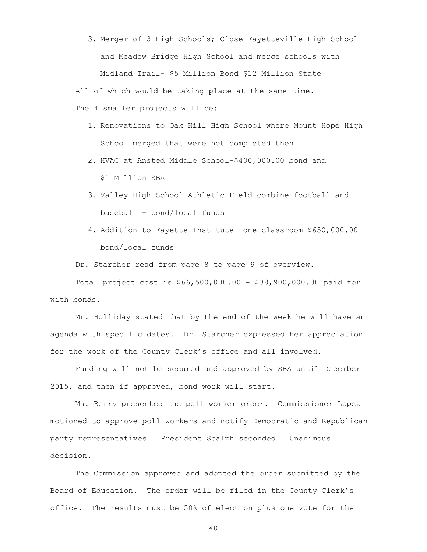3. Merger of 3 High Schools; Close Fayetteville High School and Meadow Bridge High School and merge schools with Midland Trail- \$5 Million Bond \$12 Million State

All of which would be taking place at the same time.

The 4 smaller projects will be:

- 1. Renovations to Oak Hill High School where Mount Hope High School merged that were not completed then
- 2. HVAC at Ansted Middle School-\$400,000.00 bond and \$1 Million SBA
- 3. Valley High School Athletic Field-combine football and baseball – bond/local funds
- 4. Addition to Fayette Institute- one classroom-\$650,000.00 bond/local funds

Dr. Starcher read from page 8 to page 9 of overview.

Total project cost is \$66,500,000.00 - \$38,900,000.00 paid for with bonds.

Mr. Holliday stated that by the end of the week he will have an agenda with specific dates. Dr. Starcher expressed her appreciation for the work of the County Clerk's office and all involved.

Funding will not be secured and approved by SBA until December 2015, and then if approved, bond work will start.

Ms. Berry presented the poll worker order. Commissioner Lopez motioned to approve poll workers and notify Democratic and Republican party representatives. President Scalph seconded. Unanimous decision.

The Commission approved and adopted the order submitted by the Board of Education. The order will be filed in the County Clerk's office. The results must be 50% of election plus one vote for the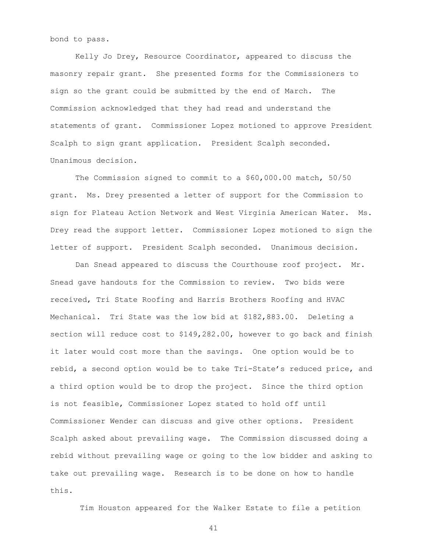bond to pass.

Kelly Jo Drey, Resource Coordinator, appeared to discuss the masonry repair grant. She presented forms for the Commissioners to sign so the grant could be submitted by the end of March. The Commission acknowledged that they had read and understand the statements of grant. Commissioner Lopez motioned to approve President Scalph to sign grant application. President Scalph seconded. Unanimous decision.

The Commission signed to commit to a \$60,000.00 match, 50/50 grant. Ms. Drey presented a letter of support for the Commission to sign for Plateau Action Network and West Virginia American Water. Ms. Drey read the support letter. Commissioner Lopez motioned to sign the letter of support. President Scalph seconded. Unanimous decision.

Dan Snead appeared to discuss the Courthouse roof project. Mr. Snead gave handouts for the Commission to review. Two bids were received, Tri State Roofing and Harris Brothers Roofing and HVAC Mechanical. Tri State was the low bid at \$182,883.00. Deleting a section will reduce cost to \$149,282.00, however to go back and finish it later would cost more than the savings. One option would be to rebid, a second option would be to take Tri-State's reduced price, and a third option would be to drop the project. Since the third option is not feasible, Commissioner Lopez stated to hold off until Commissioner Wender can discuss and give other options. President Scalph asked about prevailing wage. The Commission discussed doing a rebid without prevailing wage or going to the low bidder and asking to take out prevailing wage. Research is to be done on how to handle this.

Tim Houston appeared for the Walker Estate to file a petition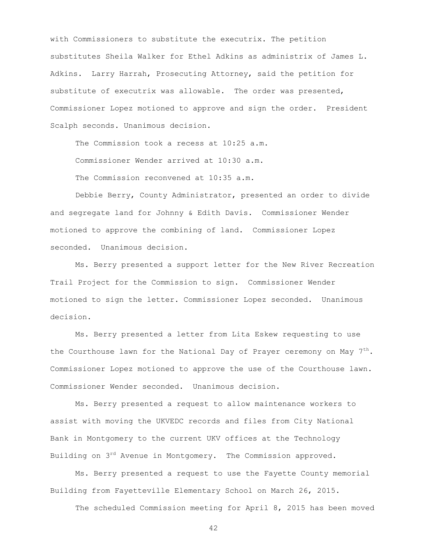with Commissioners to substitute the executrix. The petition substitutes Sheila Walker for Ethel Adkins as administrix of James L. Adkins. Larry Harrah, Prosecuting Attorney, said the petition for substitute of executrix was allowable. The order was presented, Commissioner Lopez motioned to approve and sign the order. President Scalph seconds. Unanimous decision.

The Commission took a recess at 10:25 a.m. Commissioner Wender arrived at 10:30 a.m. The Commission reconvened at 10:35 a.m.

Debbie Berry, County Administrator, presented an order to divide and segregate land for Johnny & Edith Davis. Commissioner Wender motioned to approve the combining of land. Commissioner Lopez seconded. Unanimous decision.

Ms. Berry presented a support letter for the New River Recreation Trail Project for the Commission to sign. Commissioner Wender motioned to sign the letter. Commissioner Lopez seconded. Unanimous decision.

Ms. Berry presented a letter from Lita Eskew requesting to use the Courthouse lawn for the National Day of Prayer ceremony on May  $7^{th}$ . Commissioner Lopez motioned to approve the use of the Courthouse lawn. Commissioner Wender seconded. Unanimous decision.

Ms. Berry presented a request to allow maintenance workers to assist with moving the UKVEDC records and files from City National Bank in Montgomery to the current UKV offices at the Technology Building on 3<sup>rd</sup> Avenue in Montgomery. The Commission approved.

Ms. Berry presented a request to use the Fayette County memorial Building from Fayetteville Elementary School on March 26, 2015.

The scheduled Commission meeting for April 8, 2015 has been moved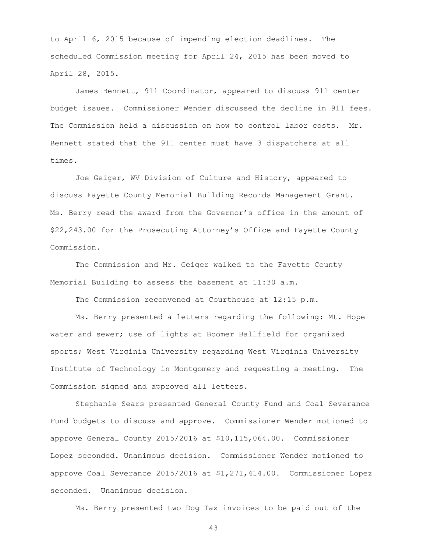to April 6, 2015 because of impending election deadlines. The scheduled Commission meeting for April 24, 2015 has been moved to April 28, 2015.

James Bennett, 911 Coordinator, appeared to discuss 911 center budget issues. Commissioner Wender discussed the decline in 911 fees. The Commission held a discussion on how to control labor costs. Mr. Bennett stated that the 911 center must have 3 dispatchers at all times.

Joe Geiger, WV Division of Culture and History, appeared to discuss Fayette County Memorial Building Records Management Grant. Ms. Berry read the award from the Governor's office in the amount of \$22,243.00 for the Prosecuting Attorney's Office and Fayette County Commission.

The Commission and Mr. Geiger walked to the Fayette County Memorial Building to assess the basement at 11:30 a.m.

The Commission reconvened at Courthouse at 12:15 p.m.

Ms. Berry presented a letters regarding the following: Mt. Hope water and sewer; use of lights at Boomer Ballfield for organized sports; West Virginia University regarding West Virginia University Institute of Technology in Montgomery and requesting a meeting. The Commission signed and approved all letters.

Stephanie Sears presented General County Fund and Coal Severance Fund budgets to discuss and approve. Commissioner Wender motioned to approve General County 2015/2016 at \$10,115,064.00. Commissioner Lopez seconded. Unanimous decision. Commissioner Wender motioned to approve Coal Severance 2015/2016 at \$1,271,414.00. Commissioner Lopez seconded. Unanimous decision.

Ms. Berry presented two Dog Tax invoices to be paid out of the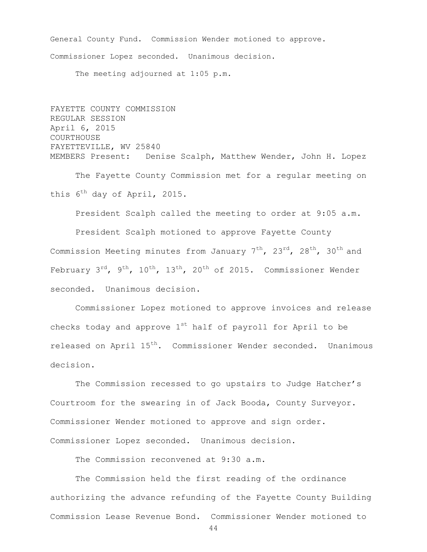General County Fund. Commission Wender motioned to approve. Commissioner Lopez seconded. Unanimous decision.

The meeting adjourned at 1:05 p.m.

FAYETTE COUNTY COMMISSION REGULAR SESSION April 6, 2015 COURTHOUSE FAYETTEVILLE, WV 25840 MEMBERS Present: Denise Scalph, Matthew Wender, John H. Lopez

The Fayette County Commission met for a regular meeting on this 6<sup>th</sup> day of April, 2015.

President Scalph called the meeting to order at 9:05 a.m.

President Scalph motioned to approve Fayette County Commission Meeting minutes from January  $7<sup>th</sup>$ ,  $23<sup>rd</sup>$ ,  $28<sup>th</sup>$ ,  $30<sup>th</sup>$  and February  $3^{rd}$ ,  $9^{th}$ ,  $10^{th}$ ,  $13^{th}$ ,  $20^{th}$  of 2015. Commissioner Wender seconded. Unanimous decision.

Commissioner Lopez motioned to approve invoices and release checks today and approve  $1^{st}$  half of payroll for April to be released on April 15<sup>th</sup>. Commissioner Wender seconded. Unanimous decision.

The Commission recessed to go upstairs to Judge Hatcher's Courtroom for the swearing in of Jack Booda, County Surveyor. Commissioner Wender motioned to approve and sign order. Commissioner Lopez seconded. Unanimous decision.

The Commission reconvened at 9:30 a.m.

The Commission held the first reading of the ordinance authorizing the advance refunding of the Fayette County Building Commission Lease Revenue Bond. Commissioner Wender motioned to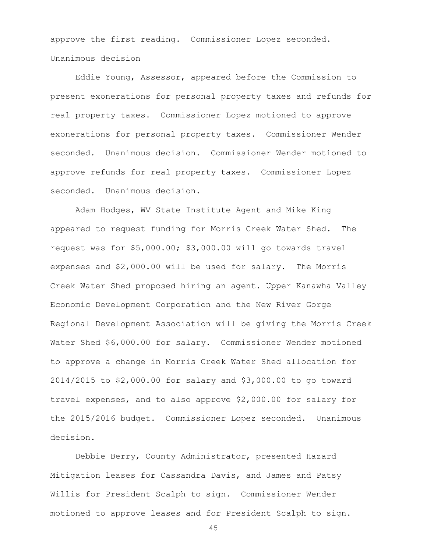approve the first reading. Commissioner Lopez seconded. Unanimous decision

Eddie Young, Assessor, appeared before the Commission to present exonerations for personal property taxes and refunds for real property taxes. Commissioner Lopez motioned to approve exonerations for personal property taxes. Commissioner Wender seconded. Unanimous decision. Commissioner Wender motioned to approve refunds for real property taxes. Commissioner Lopez seconded. Unanimous decision.

Adam Hodges, WV State Institute Agent and Mike King appeared to request funding for Morris Creek Water Shed. The request was for \$5,000.00; \$3,000.00 will go towards travel expenses and \$2,000.00 will be used for salary. The Morris Creek Water Shed proposed hiring an agent. Upper Kanawha Valley Economic Development Corporation and the New River Gorge Regional Development Association will be giving the Morris Creek Water Shed \$6,000.00 for salary. Commissioner Wender motioned to approve a change in Morris Creek Water Shed allocation for 2014/2015 to \$2,000.00 for salary and \$3,000.00 to go toward travel expenses, and to also approve \$2,000.00 for salary for the 2015/2016 budget. Commissioner Lopez seconded. Unanimous decision.

Debbie Berry, County Administrator, presented Hazard Mitigation leases for Cassandra Davis, and James and Patsy Willis for President Scalph to sign. Commissioner Wender motioned to approve leases and for President Scalph to sign.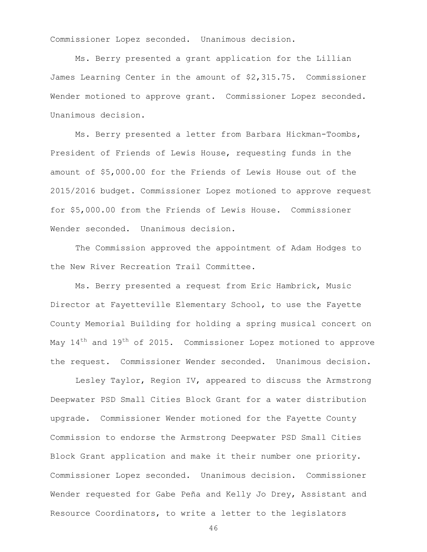Commissioner Lopez seconded. Unanimous decision.

Ms. Berry presented a grant application for the Lillian James Learning Center in the amount of \$2,315.75. Commissioner Wender motioned to approve grant. Commissioner Lopez seconded. Unanimous decision.

Ms. Berry presented a letter from Barbara Hickman-Toombs, President of Friends of Lewis House, requesting funds in the amount of \$5,000.00 for the Friends of Lewis House out of the 2015/2016 budget. Commissioner Lopez motioned to approve request for \$5,000.00 from the Friends of Lewis House. Commissioner Wender seconded. Unanimous decision.

The Commission approved the appointment of Adam Hodges to the New River Recreation Trail Committee.

Ms. Berry presented a request from Eric Hambrick, Music Director at Fayetteville Elementary School, to use the Fayette County Memorial Building for holding a spring musical concert on May  $14<sup>th</sup>$  and  $19<sup>th</sup>$  of 2015. Commissioner Lopez motioned to approve the request. Commissioner Wender seconded. Unanimous decision.

Lesley Taylor, Region IV, appeared to discuss the Armstrong Deepwater PSD Small Cities Block Grant for a water distribution upgrade. Commissioner Wender motioned for the Fayette County Commission to endorse the Armstrong Deepwater PSD Small Cities Block Grant application and make it their number one priority. Commissioner Lopez seconded. Unanimous decision. Commissioner Wender requested for Gabe Peña and Kelly Jo Drey, Assistant and Resource Coordinators, to write a letter to the legislators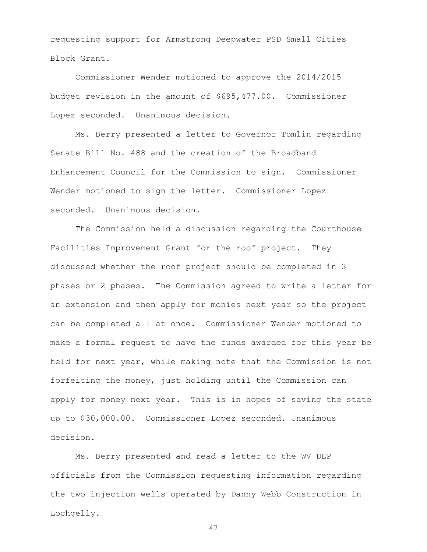requesting support for Armstrong Deepwater PSD Small Cities Block Grant.

Commissioner Wender motioned to approve the 2014/2015 budget revision in the amount of \$695,477.00. Commissioner Lopez seconded. Unanimous decision.

Ms. Berry presented a letter to Governor Tomlin regarding Senate Bill No. 488 and the creation of the Broadband Enhancement Council for the Commission to sign. Commissioner Wender motioned to sign the letter. Commissioner Lopez seconded. Unanimous decision.

The Commission held a discussion regarding the Courthouse Facilities Improvement Grant for the roof project. They discussed whether the roof project should be completed in 3 phases or 2 phases. The Commission agreed to write a letter for an extension and then apply for monies next year so the project can be completed all at once. Commissioner Wender motioned to make a formal request to have the funds awarded for this year be held for next year, while making note that the Commission is not forfeiting the money, just holding until the Commission can apply for money next year. This is in hopes of saving the state up to \$30,000.00. Commissioner Lopez seconded. Unanimous decision.

Ms. Berry presented and read a letter to the WV DEP officials from the Commission requesting information regarding the two injection wells operated by Danny Webb Construction in Lochgelly.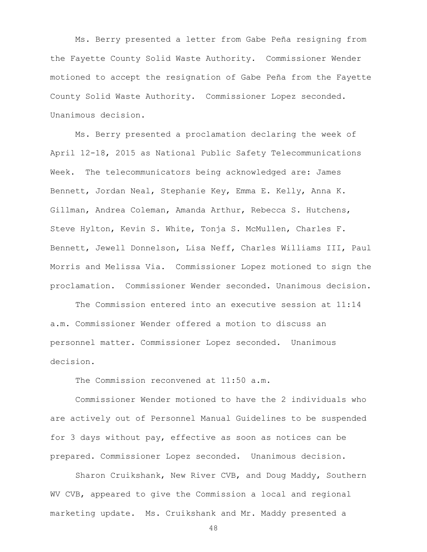Ms. Berry presented a letter from Gabe Peña resigning from the Fayette County Solid Waste Authority. Commissioner Wender motioned to accept the resignation of Gabe Peña from the Fayette County Solid Waste Authority. Commissioner Lopez seconded. Unanimous decision.

Ms. Berry presented a proclamation declaring the week of April 12-18, 2015 as National Public Safety Telecommunications Week. The telecommunicators being acknowledged are: James Bennett, Jordan Neal, Stephanie Key, Emma E. Kelly, Anna K. Gillman, Andrea Coleman, Amanda Arthur, Rebecca S. Hutchens, Steve Hylton, Kevin S. White, Tonja S. McMullen, Charles F. Bennett, Jewell Donnelson, Lisa Neff, Charles Williams III, Paul Morris and Melissa Via. Commissioner Lopez motioned to sign the proclamation. Commissioner Wender seconded. Unanimous decision.

The Commission entered into an executive session at 11:14 a.m. Commissioner Wender offered a motion to discuss an personnel matter. Commissioner Lopez seconded. Unanimous decision.

The Commission reconvened at 11:50 a.m.

Commissioner Wender motioned to have the 2 individuals who are actively out of Personnel Manual Guidelines to be suspended for 3 days without pay, effective as soon as notices can be prepared. Commissioner Lopez seconded. Unanimous decision.

Sharon Cruikshank, New River CVB, and Doug Maddy, Southern WV CVB, appeared to give the Commission a local and regional marketing update. Ms. Cruikshank and Mr. Maddy presented a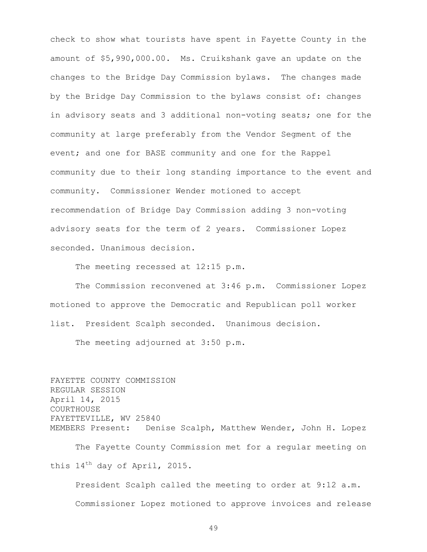check to show what tourists have spent in Fayette County in the amount of \$5,990,000.00. Ms. Cruikshank gave an update on the changes to the Bridge Day Commission bylaws. The changes made by the Bridge Day Commission to the bylaws consist of: changes in advisory seats and 3 additional non-voting seats; one for the community at large preferably from the Vendor Segment of the event; and one for BASE community and one for the Rappel community due to their long standing importance to the event and community. Commissioner Wender motioned to accept recommendation of Bridge Day Commission adding 3 non-voting advisory seats for the term of 2 years. Commissioner Lopez seconded. Unanimous decision.

The meeting recessed at 12:15 p.m.

The Commission reconvened at 3:46 p.m. Commissioner Lopez motioned to approve the Democratic and Republican poll worker list. President Scalph seconded. Unanimous decision.

The meeting adjourned at 3:50 p.m.

FAYETTE COUNTY COMMISSION REGULAR SESSION April 14, 2015 COURTHOUSE FAYETTEVILLE, WV 25840 MEMBERS Present: Denise Scalph, Matthew Wender, John H. Lopez The Fayette County Commission met for a regular meeting on this 14th day of April, 2015.

President Scalph called the meeting to order at 9:12 a.m. Commissioner Lopez motioned to approve invoices and release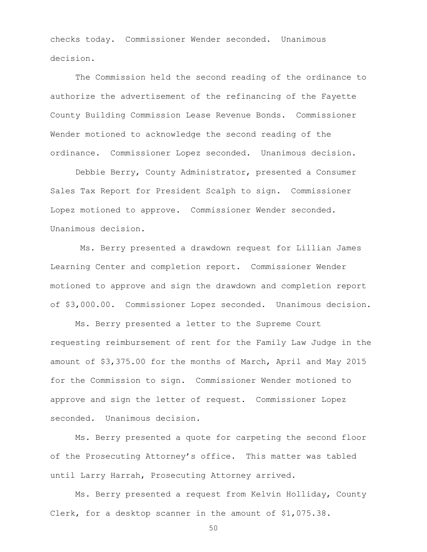checks today. Commissioner Wender seconded. Unanimous decision.

The Commission held the second reading of the ordinance to authorize the advertisement of the refinancing of the Fayette County Building Commission Lease Revenue Bonds. Commissioner Wender motioned to acknowledge the second reading of the ordinance. Commissioner Lopez seconded. Unanimous decision.

Debbie Berry, County Administrator, presented a Consumer Sales Tax Report for President Scalph to sign. Commissioner Lopez motioned to approve. Commissioner Wender seconded. Unanimous decision.

Ms. Berry presented a drawdown request for Lillian James Learning Center and completion report. Commissioner Wender motioned to approve and sign the drawdown and completion report of \$3,000.00. Commissioner Lopez seconded. Unanimous decision.

Ms. Berry presented a letter to the Supreme Court requesting reimbursement of rent for the Family Law Judge in the amount of \$3,375.00 for the months of March, April and May 2015 for the Commission to sign. Commissioner Wender motioned to approve and sign the letter of request. Commissioner Lopez seconded. Unanimous decision.

Ms. Berry presented a quote for carpeting the second floor of the Prosecuting Attorney's office. This matter was tabled until Larry Harrah, Prosecuting Attorney arrived.

Ms. Berry presented a request from Kelvin Holliday, County Clerk, for a desktop scanner in the amount of \$1,075.38.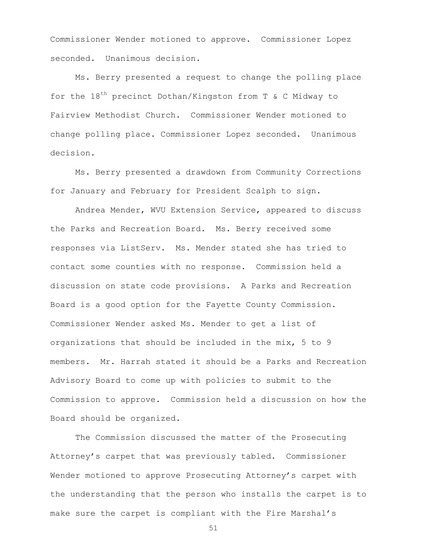Commissioner Wender motioned to approve. Commissioner Lopez seconded. Unanimous decision.

Ms. Berry presented a request to change the polling place for the  $18^{th}$  precinct Dothan/Kingston from T & C Midway to Fairview Methodist Church. Commissioner Wender motioned to change polling place. Commissioner Lopez seconded. Unanimous decision.

Ms. Berry presented a drawdown from Community Corrections for January and February for President Scalph to sign.

Andrea Mender, WVU Extension Service, appeared to discuss the Parks and Recreation Board. Ms. Berry received some responses via ListServ. Ms. Mender stated she has tried to contact some counties with no response. Commission held a discussion on state code provisions. A Parks and Recreation Board is a good option for the Fayette County Commission. Commissioner Wender asked Ms. Mender to get a list of organizations that should be included in the mix, 5 to 9 members. Mr. Harrah stated it should be a Parks and Recreation Advisory Board to come up with policies to submit to the Commission to approve. Commission held a discussion on how the Board should be organized.

The Commission discussed the matter of the Prosecuting Attorney's carpet that was previously tabled. Commissioner Wender motioned to approve Prosecuting Attorney's carpet with the understanding that the person who installs the carpet is to make sure the carpet is compliant with the Fire Marshal's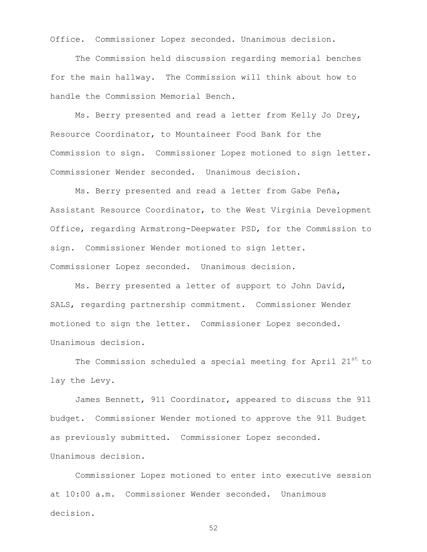Office. Commissioner Lopez seconded. Unanimous decision.

The Commission held discussion regarding memorial benches for the main hallway. The Commission will think about how to handle the Commission Memorial Bench.

Ms. Berry presented and read a letter from Kelly Jo Drey, Resource Coordinator, to Mountaineer Food Bank for the Commission to sign. Commissioner Lopez motioned to sign letter. Commissioner Wender seconded. Unanimous decision.

Ms. Berry presented and read a letter from Gabe Peña, Assistant Resource Coordinator, to the West Virginia Development Office, regarding Armstrong-Deepwater PSD, for the Commission to sign. Commissioner Wender motioned to sign letter. Commissioner Lopez seconded. Unanimous decision.

Ms. Berry presented a letter of support to John David, SALS, regarding partnership commitment. Commissioner Wender motioned to sign the letter. Commissioner Lopez seconded. Unanimous decision.

The Commission scheduled a special meeting for April 21st to lay the Levy.

James Bennett, 911 Coordinator, appeared to discuss the 911 budget. Commissioner Wender motioned to approve the 911 Budget as previously submitted. Commissioner Lopez seconded. Unanimous decision.

Commissioner Lopez motioned to enter into executive session at 10:00 a.m. Commissioner Wender seconded. Unanimous decision.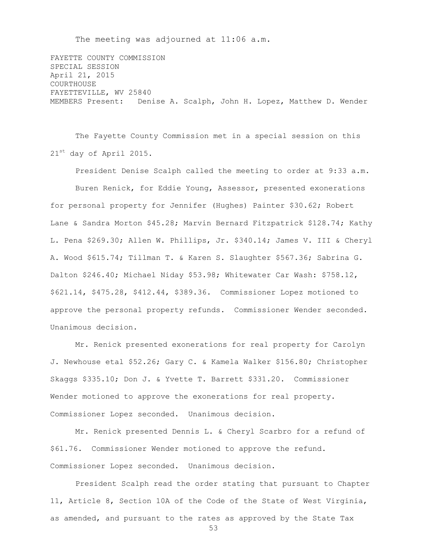The meeting was adjourned at 11:06 a.m.

FAYETTE COUNTY COMMISSION SPECIAL SESSION April 21, 2015 COURTHOUSE FAYETTEVILLE, WV 25840 MEMBERS Present: Denise A. Scalph, John H. Lopez, Matthew D. Wender

The Fayette County Commission met in a special session on this 21<sup>st</sup> day of April 2015.

President Denise Scalph called the meeting to order at 9:33 a.m. Buren Renick, for Eddie Young, Assessor, presented exonerations for personal property for Jennifer (Hughes) Painter \$30.62; Robert Lane & Sandra Morton \$45.28; Marvin Bernard Fitzpatrick \$128.74; Kathy L. Pena \$269.30; Allen W. Phillips, Jr. \$340.14; James V. III & Cheryl A. Wood \$615.74; Tillman T. & Karen S. Slaughter \$567.36; Sabrina G. Dalton \$246.40; Michael Niday \$53.98; Whitewater Car Wash: \$758.12, \$621.14, \$475.28, \$412.44, \$389.36. Commissioner Lopez motioned to approve the personal property refunds. Commissioner Wender seconded. Unanimous decision.

Mr. Renick presented exonerations for real property for Carolyn J. Newhouse etal \$52.26; Gary C. & Kamela Walker \$156.80; Christopher Skaggs \$335.10; Don J. & Yvette T. Barrett \$331.20. Commissioner Wender motioned to approve the exonerations for real property. Commissioner Lopez seconded. Unanimous decision.

Mr. Renick presented Dennis L. & Cheryl Scarbro for a refund of \$61.76. Commissioner Wender motioned to approve the refund. Commissioner Lopez seconded. Unanimous decision.

President Scalph read the order stating that pursuant to Chapter 11, Article 8, Section 10A of the Code of the State of West Virginia, as amended, and pursuant to the rates as approved by the State Tax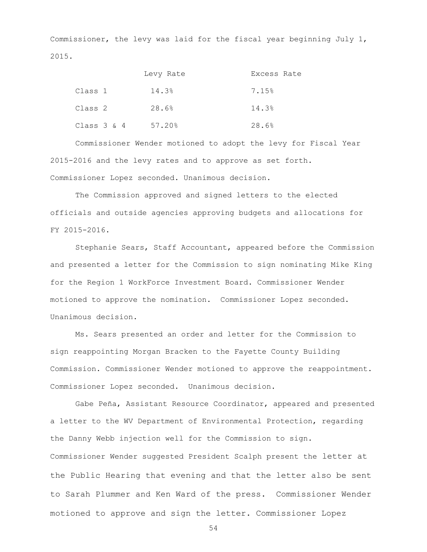Commissioner, the levy was laid for the fiscal year beginning July 1, 2015.

|                | Levy Rate | Excess Rate |
|----------------|-----------|-------------|
| Class 1        | 14.3%     | 7.15%       |
| Class 2        | 28.6%     | 14.3%       |
| Class $3 \& 4$ | 57.20%    | 28.6%       |

Commissioner Wender motioned to adopt the levy for Fiscal Year 2015-2016 and the levy rates and to approve as set forth. Commissioner Lopez seconded. Unanimous decision.

The Commission approved and signed letters to the elected officials and outside agencies approving budgets and allocations for FY 2015-2016.

Stephanie Sears, Staff Accountant, appeared before the Commission and presented a letter for the Commission to sign nominating Mike King for the Region 1 WorkForce Investment Board. Commissioner Wender motioned to approve the nomination. Commissioner Lopez seconded. Unanimous decision.

Ms. Sears presented an order and letter for the Commission to sign reappointing Morgan Bracken to the Fayette County Building Commission. Commissioner Wender motioned to approve the reappointment. Commissioner Lopez seconded. Unanimous decision.

Gabe Peña, Assistant Resource Coordinator, appeared and presented a letter to the WV Department of Environmental Protection, regarding the Danny Webb injection well for the Commission to sign. Commissioner Wender suggested President Scalph present the letter at the Public Hearing that evening and that the letter also be sent to Sarah Plummer and Ken Ward of the press. Commissioner Wender motioned to approve and sign the letter. Commissioner Lopez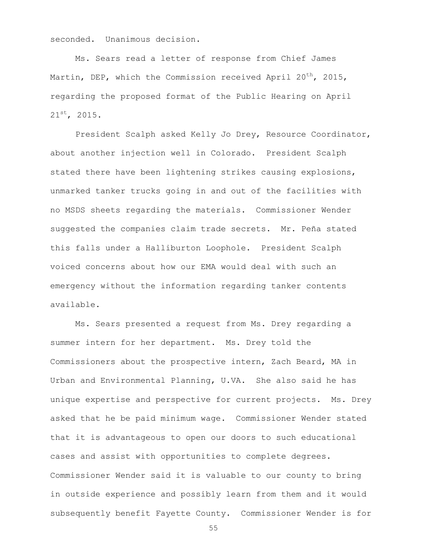seconded. Unanimous decision.

Ms. Sears read a letter of response from Chief James Martin, DEP, which the Commission received April 20<sup>th</sup>, 2015, regarding the proposed format of the Public Hearing on April 21st, 2015.

President Scalph asked Kelly Jo Drey, Resource Coordinator, about another injection well in Colorado. President Scalph stated there have been lightening strikes causing explosions, unmarked tanker trucks going in and out of the facilities with no MSDS sheets regarding the materials. Commissioner Wender suggested the companies claim trade secrets. Mr. Peña stated this falls under a Halliburton Loophole. President Scalph voiced concerns about how our EMA would deal with such an emergency without the information regarding tanker contents available.

Ms. Sears presented a request from Ms. Drey regarding a summer intern for her department. Ms. Drey told the Commissioners about the prospective intern, Zach Beard, MA in Urban and Environmental Planning, U.VA. She also said he has unique expertise and perspective for current projects. Ms. Drey asked that he be paid minimum wage. Commissioner Wender stated that it is advantageous to open our doors to such educational cases and assist with opportunities to complete degrees. Commissioner Wender said it is valuable to our county to bring in outside experience and possibly learn from them and it would subsequently benefit Fayette County. Commissioner Wender is for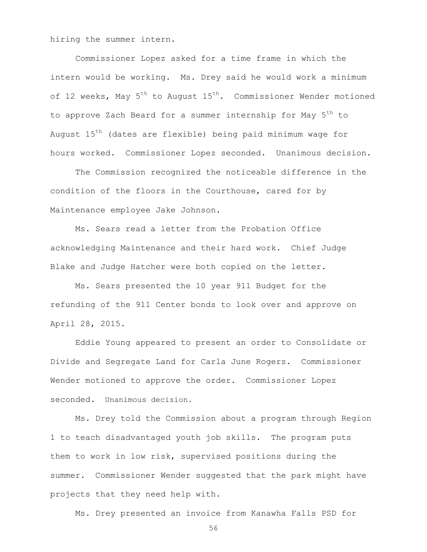hiring the summer intern.

Commissioner Lopez asked for a time frame in which the intern would be working. Ms. Drey said he would work a minimum of 12 weeks, May  $5^{th}$  to August  $15^{th}$ . Commissioner Wender motioned to approve Zach Beard for a summer internship for May 5<sup>th</sup> to August 15<sup>th</sup> (dates are flexible) being paid minimum wage for hours worked. Commissioner Lopez seconded. Unanimous decision.

The Commission recognized the noticeable difference in the condition of the floors in the Courthouse, cared for by Maintenance employee Jake Johnson.

Ms. Sears read a letter from the Probation Office acknowledging Maintenance and their hard work. Chief Judge Blake and Judge Hatcher were both copied on the letter.

Ms. Sears presented the 10 year 911 Budget for the refunding of the 911 Center bonds to look over and approve on April 28, 2015.

Eddie Young appeared to present an order to Consolidate or Divide and Segregate Land for Carla June Rogers. Commissioner Wender motioned to approve the order. Commissioner Lopez seconded. Unanimous decision.

Ms. Drey told the Commission about a program through Region 1 to teach disadvantaged youth job skills. The program puts them to work in low risk, supervised positions during the summer. Commissioner Wender suggested that the park might have projects that they need help with.

Ms. Drey presented an invoice from Kanawha Falls PSD for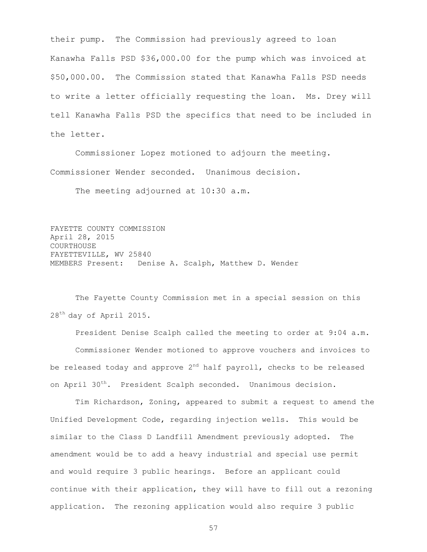their pump. The Commission had previously agreed to loan Kanawha Falls PSD \$36,000.00 for the pump which was invoiced at \$50,000.00. The Commission stated that Kanawha Falls PSD needs to write a letter officially requesting the loan. Ms. Drey will tell Kanawha Falls PSD the specifics that need to be included in the letter.

Commissioner Lopez motioned to adjourn the meeting. Commissioner Wender seconded. Unanimous decision.

The meeting adjourned at 10:30 a.m.

FAYETTE COUNTY COMMISSION April 28, 2015 COURTHOUSE FAYETTEVILLE, WV 25840 MEMBERS Present: Denise A. Scalph, Matthew D. Wender

The Fayette County Commission met in a special session on this 28<sup>th</sup> day of April 2015.

President Denise Scalph called the meeting to order at 9:04 a.m. Commissioner Wender motioned to approve vouchers and invoices to be released today and approve  $2^{nd}$  half payroll, checks to be released on April 30<sup>th</sup>. President Scalph seconded. Unanimous decision.

Tim Richardson, Zoning, appeared to submit a request to amend the Unified Development Code, regarding injection wells. This would be similar to the Class D Landfill Amendment previously adopted. The amendment would be to add a heavy industrial and special use permit and would require 3 public hearings. Before an applicant could continue with their application, they will have to fill out a rezoning application. The rezoning application would also require 3 public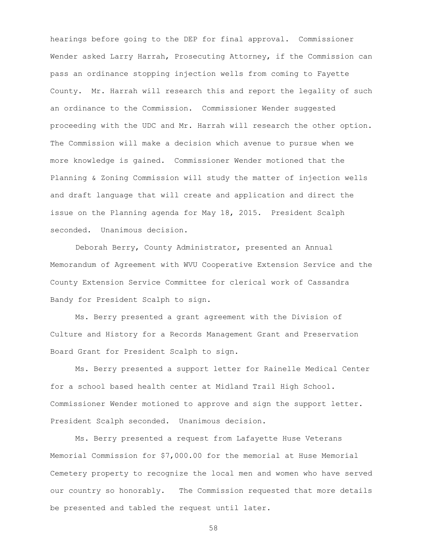hearings before going to the DEP for final approval. Commissioner Wender asked Larry Harrah, Prosecuting Attorney, if the Commission can pass an ordinance stopping injection wells from coming to Fayette County. Mr. Harrah will research this and report the legality of such an ordinance to the Commission. Commissioner Wender suggested proceeding with the UDC and Mr. Harrah will research the other option. The Commission will make a decision which avenue to pursue when we more knowledge is gained. Commissioner Wender motioned that the Planning & Zoning Commission will study the matter of injection wells and draft language that will create and application and direct the issue on the Planning agenda for May 18, 2015. President Scalph seconded. Unanimous decision.

Deborah Berry, County Administrator, presented an Annual Memorandum of Agreement with WVU Cooperative Extension Service and the County Extension Service Committee for clerical work of Cassandra Bandy for President Scalph to sign.

Ms. Berry presented a grant agreement with the Division of Culture and History for a Records Management Grant and Preservation Board Grant for President Scalph to sign.

Ms. Berry presented a support letter for Rainelle Medical Center for a school based health center at Midland Trail High School. Commissioner Wender motioned to approve and sign the support letter. President Scalph seconded. Unanimous decision.

Ms. Berry presented a request from Lafayette Huse Veterans Memorial Commission for \$7,000.00 for the memorial at Huse Memorial Cemetery property to recognize the local men and women who have served our country so honorably. The Commission requested that more details be presented and tabled the request until later.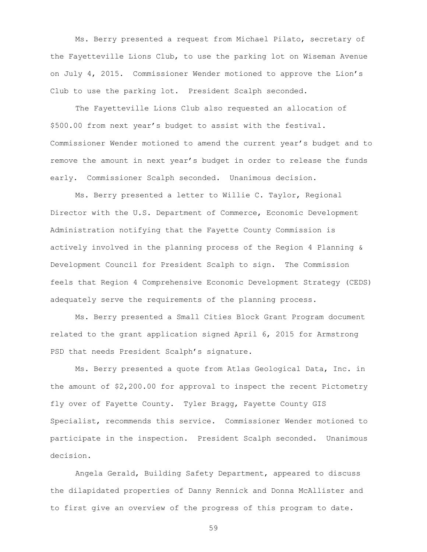Ms. Berry presented a request from Michael Pilato, secretary of the Fayetteville Lions Club, to use the parking lot on Wiseman Avenue on July 4, 2015. Commissioner Wender motioned to approve the Lion's Club to use the parking lot. President Scalph seconded.

The Fayetteville Lions Club also requested an allocation of \$500.00 from next year's budget to assist with the festival. Commissioner Wender motioned to amend the current year's budget and to remove the amount in next year's budget in order to release the funds early. Commissioner Scalph seconded. Unanimous decision.

Ms. Berry presented a letter to Willie C. Taylor, Regional Director with the U.S. Department of Commerce, Economic Development Administration notifying that the Fayette County Commission is actively involved in the planning process of the Region 4 Planning & Development Council for President Scalph to sign. The Commission feels that Region 4 Comprehensive Economic Development Strategy (CEDS) adequately serve the requirements of the planning process.

Ms. Berry presented a Small Cities Block Grant Program document related to the grant application signed April 6, 2015 for Armstrong PSD that needs President Scalph's signature.

Ms. Berry presented a quote from Atlas Geological Data, Inc. in the amount of \$2,200.00 for approval to inspect the recent Pictometry fly over of Fayette County. Tyler Bragg, Fayette County GIS Specialist, recommends this service. Commissioner Wender motioned to participate in the inspection. President Scalph seconded. Unanimous decision.

Angela Gerald, Building Safety Department, appeared to discuss the dilapidated properties of Danny Rennick and Donna McAllister and to first give an overview of the progress of this program to date.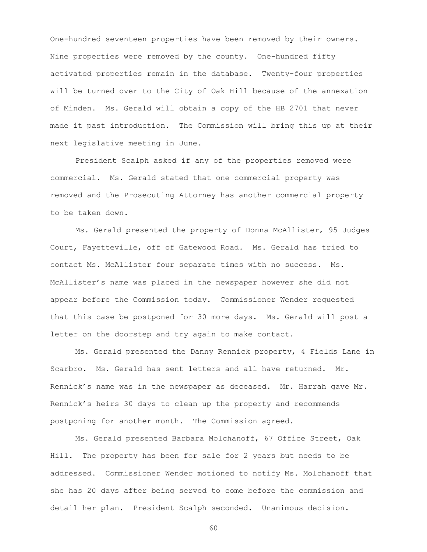One-hundred seventeen properties have been removed by their owners. Nine properties were removed by the county. One-hundred fifty activated properties remain in the database. Twenty-four properties will be turned over to the City of Oak Hill because of the annexation of Minden. Ms. Gerald will obtain a copy of the HB 2701 that never made it past introduction. The Commission will bring this up at their next legislative meeting in June.

President Scalph asked if any of the properties removed were commercial. Ms. Gerald stated that one commercial property was removed and the Prosecuting Attorney has another commercial property to be taken down.

Ms. Gerald presented the property of Donna McAllister, 95 Judges Court, Fayetteville, off of Gatewood Road. Ms. Gerald has tried to contact Ms. McAllister four separate times with no success. Ms. McAllister's name was placed in the newspaper however she did not appear before the Commission today. Commissioner Wender requested that this case be postponed for 30 more days. Ms. Gerald will post a letter on the doorstep and try again to make contact.

Ms. Gerald presented the Danny Rennick property, 4 Fields Lane in Scarbro. Ms. Gerald has sent letters and all have returned. Mr. Rennick's name was in the newspaper as deceased. Mr. Harrah gave Mr. Rennick's heirs 30 days to clean up the property and recommends postponing for another month. The Commission agreed.

Ms. Gerald presented Barbara Molchanoff, 67 Office Street, Oak Hill. The property has been for sale for 2 years but needs to be addressed. Commissioner Wender motioned to notify Ms. Molchanoff that she has 20 days after being served to come before the commission and detail her plan. President Scalph seconded. Unanimous decision.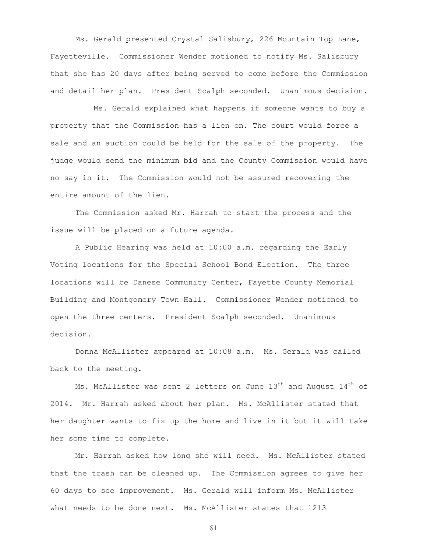Ms. Gerald presented Crystal Salisbury, 226 Mountain Top Lane, Fayetteville. Commissioner Wender motioned to notify Ms. Salisbury that she has 20 days after being served to come before the Commission and detail her plan. President Scalph seconded. Unanimous decision.

 Ms. Gerald explained what happens if someone wants to buy a property that the Commission has a lien on. The court would force a sale and an auction could be held for the sale of the property. The judge would send the minimum bid and the County Commission would have no say in it. The Commission would not be assured recovering the entire amount of the lien.

The Commission asked Mr. Harrah to start the process and the issue will be placed on a future agenda.

A Public Hearing was held at 10:00 a.m. regarding the Early Voting locations for the Special School Bond Election. The three locations will be Danese Community Center, Fayette County Memorial Building and Montgomery Town Hall. Commissioner Wender motioned to open the three centers. President Scalph seconded. Unanimous decision.

Donna McAllister appeared at 10:08 a.m. Ms. Gerald was called back to the meeting.

Ms. McAllister was sent 2 letters on June  $13<sup>th</sup>$  and August  $14<sup>th</sup>$  of 2014. Mr. Harrah asked about her plan. Ms. McAllister stated that her daughter wants to fix up the home and live in it but it will take her some time to complete.

Mr. Harrah asked how long she will need. Ms. McAllister stated that the trash can be cleaned up. The Commission agrees to give her 60 days to see improvement. Ms. Gerald will inform Ms. McAllister what needs to be done next. Ms. McAllister states that 1213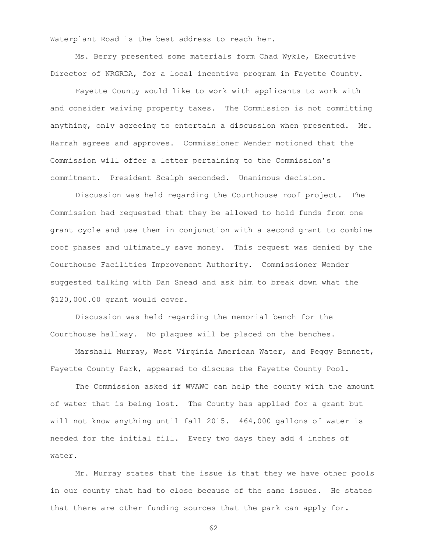Waterplant Road is the best address to reach her.

Ms. Berry presented some materials form Chad Wykle, Executive Director of NRGRDA, for a local incentive program in Fayette County.

Fayette County would like to work with applicants to work with and consider waiving property taxes. The Commission is not committing anything, only agreeing to entertain a discussion when presented. Mr. Harrah agrees and approves. Commissioner Wender motioned that the Commission will offer a letter pertaining to the Commission's commitment. President Scalph seconded. Unanimous decision.

Discussion was held regarding the Courthouse roof project. The Commission had requested that they be allowed to hold funds from one grant cycle and use them in conjunction with a second grant to combine roof phases and ultimately save money. This request was denied by the Courthouse Facilities Improvement Authority. Commissioner Wender suggested talking with Dan Snead and ask him to break down what the \$120,000.00 grant would cover.

Discussion was held regarding the memorial bench for the Courthouse hallway. No plaques will be placed on the benches.

Marshall Murray, West Virginia American Water, and Peggy Bennett, Fayette County Park, appeared to discuss the Fayette County Pool.

The Commission asked if WVAWC can help the county with the amount of water that is being lost. The County has applied for a grant but will not know anything until fall 2015. 464,000 gallons of water is needed for the initial fill. Every two days they add 4 inches of water.

Mr. Murray states that the issue is that they we have other pools in our county that had to close because of the same issues. He states that there are other funding sources that the park can apply for.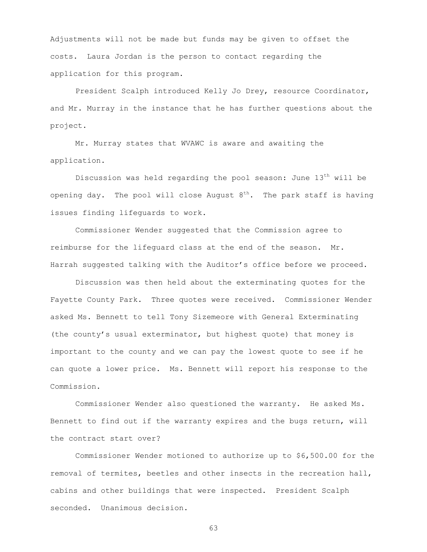Adjustments will not be made but funds may be given to offset the costs. Laura Jordan is the person to contact regarding the application for this program.

President Scalph introduced Kelly Jo Drey, resource Coordinator, and Mr. Murray in the instance that he has further questions about the project.

Mr. Murray states that WVAWC is aware and awaiting the application.

Discussion was held regarding the pool season: June  $13<sup>th</sup>$  will be opening day. The pool will close August  $8^{th}$ . The park staff is having issues finding lifeguards to work.

Commissioner Wender suggested that the Commission agree to reimburse for the lifeguard class at the end of the season. Mr. Harrah suggested talking with the Auditor's office before we proceed.

Discussion was then held about the exterminating quotes for the Fayette County Park. Three quotes were received. Commissioner Wender asked Ms. Bennett to tell Tony Sizemeore with General Exterminating (the county's usual exterminator, but highest quote) that money is important to the county and we can pay the lowest quote to see if he can quote a lower price. Ms. Bennett will report his response to the Commission.

Commissioner Wender also questioned the warranty. He asked Ms. Bennett to find out if the warranty expires and the bugs return, will the contract start over?

Commissioner Wender motioned to authorize up to \$6,500.00 for the removal of termites, beetles and other insects in the recreation hall, cabins and other buildings that were inspected. President Scalph seconded. Unanimous decision.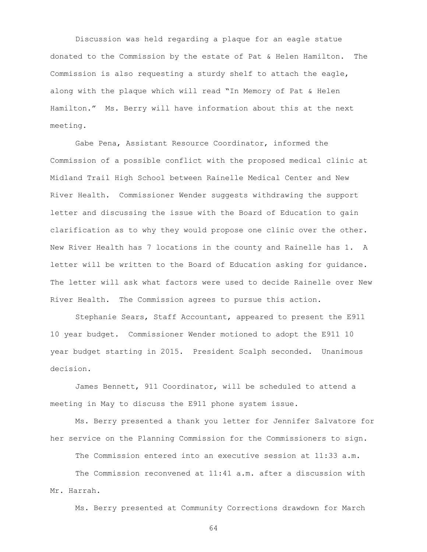Discussion was held regarding a plaque for an eagle statue donated to the Commission by the estate of Pat & Helen Hamilton. The Commission is also requesting a sturdy shelf to attach the eagle, along with the plaque which will read "In Memory of Pat & Helen Hamilton." Ms. Berry will have information about this at the next meeting.

Gabe Pena, Assistant Resource Coordinator, informed the Commission of a possible conflict with the proposed medical clinic at Midland Trail High School between Rainelle Medical Center and New River Health. Commissioner Wender suggests withdrawing the support letter and discussing the issue with the Board of Education to gain clarification as to why they would propose one clinic over the other. New River Health has 7 locations in the county and Rainelle has 1. A letter will be written to the Board of Education asking for guidance. The letter will ask what factors were used to decide Rainelle over New River Health. The Commission agrees to pursue this action.

Stephanie Sears, Staff Accountant, appeared to present the E911 10 year budget. Commissioner Wender motioned to adopt the E911 10 year budget starting in 2015. President Scalph seconded. Unanimous decision.

James Bennett, 911 Coordinator, will be scheduled to attend a meeting in May to discuss the E911 phone system issue.

Ms. Berry presented a thank you letter for Jennifer Salvatore for her service on the Planning Commission for the Commissioners to sign.

The Commission entered into an executive session at 11:33 a.m.

The Commission reconvened at 11:41 a.m. after a discussion with Mr. Harrah.

Ms. Berry presented at Community Corrections drawdown for March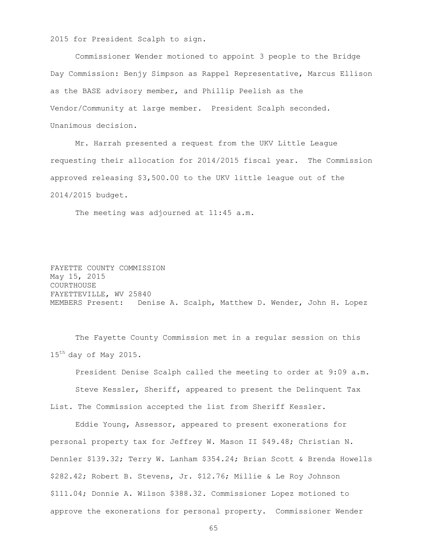2015 for President Scalph to sign.

Commissioner Wender motioned to appoint 3 people to the Bridge Day Commission: Benjy Simpson as Rappel Representative, Marcus Ellison as the BASE advisory member, and Phillip Peelish as the Vendor/Community at large member. President Scalph seconded. Unanimous decision.

Mr. Harrah presented a request from the UKV Little League requesting their allocation for 2014/2015 fiscal year. The Commission approved releasing \$3,500.00 to the UKV little league out of the 2014/2015 budget.

The meeting was adjourned at 11:45 a.m.

FAYETTE COUNTY COMMISSION May 15, 2015 COURTHOUSE FAYETTEVILLE, WV 25840 MEMBERS Present: Denise A. Scalph, Matthew D. Wender, John H. Lopez

The Fayette County Commission met in a regular session on this 15<sup>th</sup> day of May 2015.

President Denise Scalph called the meeting to order at 9:09 a.m. Steve Kessler, Sheriff, appeared to present the Delinquent Tax List. The Commission accepted the list from Sheriff Kessler.

Eddie Young, Assessor, appeared to present exonerations for personal property tax for Jeffrey W. Mason II \$49.48; Christian N. Dennler \$139.32; Terry W. Lanham \$354.24; Brian Scott & Brenda Howells \$282.42; Robert B. Stevens, Jr. \$12.76; Millie & Le Roy Johnson \$111.04; Donnie A. Wilson \$388.32. Commissioner Lopez motioned to approve the exonerations for personal property. Commissioner Wender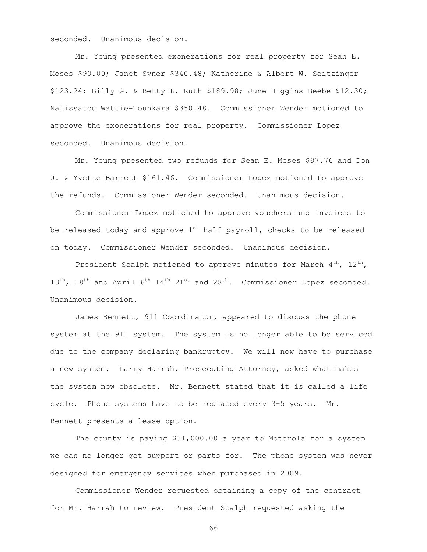seconded. Unanimous decision.

Mr. Young presented exonerations for real property for Sean E. Moses \$90.00; Janet Syner \$340.48; Katherine & Albert W. Seitzinger \$123.24; Billy G. & Betty L. Ruth \$189.98; June Higgins Beebe \$12.30; Nafissatou Wattie-Tounkara \$350.48. Commissioner Wender motioned to approve the exonerations for real property. Commissioner Lopez seconded. Unanimous decision.

Mr. Young presented two refunds for Sean E. Moses \$87.76 and Don J. & Yvette Barrett \$161.46. Commissioner Lopez motioned to approve the refunds. Commissioner Wender seconded. Unanimous decision.

Commissioner Lopez motioned to approve vouchers and invoices to be released today and approve  $1<sup>st</sup>$  half payroll, checks to be released on today. Commissioner Wender seconded. Unanimous decision.

President Scalph motioned to approve minutes for March  $4^{th}$ ,  $12^{th}$ ,  $13<sup>th</sup>$ ,  $18<sup>th</sup>$  and April 6<sup>th</sup>  $14<sup>th</sup>$   $21<sup>st</sup>$  and  $28<sup>th</sup>$ . Commissioner Lopez seconded. Unanimous decision.

James Bennett, 911 Coordinator, appeared to discuss the phone system at the 911 system. The system is no longer able to be serviced due to the company declaring bankruptcy. We will now have to purchase a new system. Larry Harrah, Prosecuting Attorney, asked what makes the system now obsolete. Mr. Bennett stated that it is called a life cycle. Phone systems have to be replaced every 3-5 years. Mr. Bennett presents a lease option.

The county is paying \$31,000.00 a year to Motorola for a system we can no longer get support or parts for. The phone system was never designed for emergency services when purchased in 2009.

Commissioner Wender requested obtaining a copy of the contract for Mr. Harrah to review. President Scalph requested asking the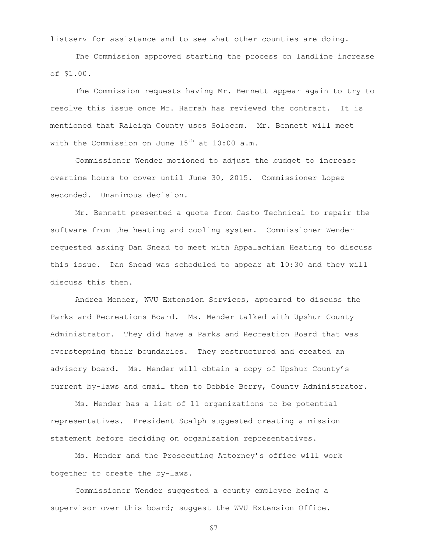listserv for assistance and to see what other counties are doing.

The Commission approved starting the process on landline increase of \$1.00.

The Commission requests having Mr. Bennett appear again to try to resolve this issue once Mr. Harrah has reviewed the contract. It is mentioned that Raleigh County uses Solocom. Mr. Bennett will meet with the Commission on June  $15^{th}$  at  $10:00$  a.m.

Commissioner Wender motioned to adjust the budget to increase overtime hours to cover until June 30, 2015. Commissioner Lopez seconded. Unanimous decision.

Mr. Bennett presented a quote from Casto Technical to repair the software from the heating and cooling system. Commissioner Wender requested asking Dan Snead to meet with Appalachian Heating to discuss this issue. Dan Snead was scheduled to appear at 10:30 and they will discuss this then.

Andrea Mender, WVU Extension Services, appeared to discuss the Parks and Recreations Board. Ms. Mender talked with Upshur County Administrator. They did have a Parks and Recreation Board that was overstepping their boundaries. They restructured and created an advisory board. Ms. Mender will obtain a copy of Upshur County's current by-laws and email them to Debbie Berry, County Administrator.

Ms. Mender has a list of 11 organizations to be potential representatives. President Scalph suggested creating a mission statement before deciding on organization representatives.

Ms. Mender and the Prosecuting Attorney's office will work together to create the by-laws.

Commissioner Wender suggested a county employee being a supervisor over this board; suggest the WVU Extension Office.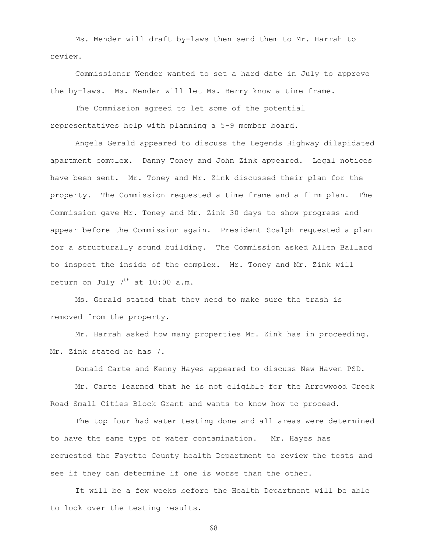Ms. Mender will draft by-laws then send them to Mr. Harrah to review.

Commissioner Wender wanted to set a hard date in July to approve the by-laws. Ms. Mender will let Ms. Berry know a time frame.

The Commission agreed to let some of the potential representatives help with planning a 5-9 member board.

Angela Gerald appeared to discuss the Legends Highway dilapidated apartment complex. Danny Toney and John Zink appeared. Legal notices have been sent. Mr. Toney and Mr. Zink discussed their plan for the property. The Commission requested a time frame and a firm plan. The Commission gave Mr. Toney and Mr. Zink 30 days to show progress and appear before the Commission again. President Scalph requested a plan for a structurally sound building. The Commission asked Allen Ballard to inspect the inside of the complex. Mr. Toney and Mr. Zink will return on July  $7<sup>th</sup>$  at 10:00 a.m.

Ms. Gerald stated that they need to make sure the trash is removed from the property.

Mr. Harrah asked how many properties Mr. Zink has in proceeding. Mr. Zink stated he has 7.

Donald Carte and Kenny Hayes appeared to discuss New Haven PSD.

Mr. Carte learned that he is not eligible for the Arrowwood Creek Road Small Cities Block Grant and wants to know how to proceed.

The top four had water testing done and all areas were determined to have the same type of water contamination. Mr. Hayes has requested the Fayette County health Department to review the tests and see if they can determine if one is worse than the other.

It will be a few weeks before the Health Department will be able to look over the testing results.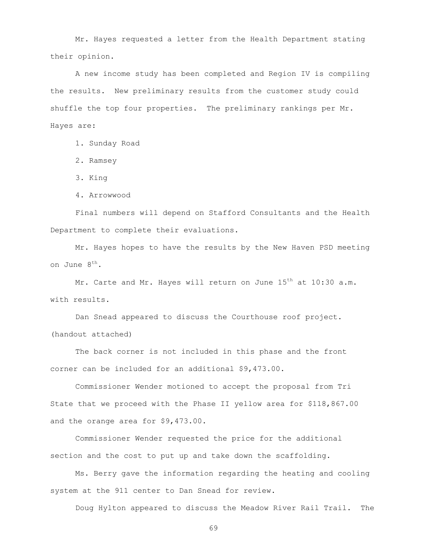Mr. Hayes requested a letter from the Health Department stating their opinion.

A new income study has been completed and Region IV is compiling the results. New preliminary results from the customer study could shuffle the top four properties. The preliminary rankings per Mr. Hayes are:

1. Sunday Road

2. Ramsey

3. King

4. Arrowwood

Final numbers will depend on Stafford Consultants and the Health Department to complete their evaluations.

Mr. Hayes hopes to have the results by the New Haven PSD meeting on June 8th.

Mr. Carte and Mr. Hayes will return on June 15<sup>th</sup> at 10:30 a.m. with results.

Dan Snead appeared to discuss the Courthouse roof project. (handout attached)

The back corner is not included in this phase and the front corner can be included for an additional \$9,473.00.

Commissioner Wender motioned to accept the proposal from Tri State that we proceed with the Phase II yellow area for \$118,867.00 and the orange area for \$9,473.00.

Commissioner Wender requested the price for the additional section and the cost to put up and take down the scaffolding.

Ms. Berry gave the information regarding the heating and cooling system at the 911 center to Dan Snead for review.

Doug Hylton appeared to discuss the Meadow River Rail Trail. The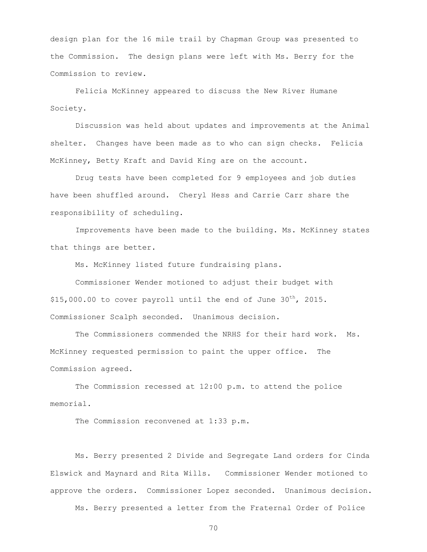design plan for the 16 mile trail by Chapman Group was presented to the Commission. The design plans were left with Ms. Berry for the Commission to review.

Felicia McKinney appeared to discuss the New River Humane Society.

Discussion was held about updates and improvements at the Animal shelter. Changes have been made as to who can sign checks. Felicia McKinney, Betty Kraft and David King are on the account.

Drug tests have been completed for 9 employees and job duties have been shuffled around. Cheryl Hess and Carrie Carr share the responsibility of scheduling.

Improvements have been made to the building. Ms. McKinney states that things are better.

Ms. McKinney listed future fundraising plans.

Commissioner Wender motioned to adjust their budget with  $$15,000.00$  to cover payroll until the end of June  $30^{th}$ , 2015. Commissioner Scalph seconded. Unanimous decision.

The Commissioners commended the NRHS for their hard work. Ms. McKinney requested permission to paint the upper office. The Commission agreed.

The Commission recessed at 12:00 p.m. to attend the police memorial.

The Commission reconvened at 1:33 p.m.

Ms. Berry presented 2 Divide and Segregate Land orders for Cinda Elswick and Maynard and Rita Wills. Commissioner Wender motioned to approve the orders. Commissioner Lopez seconded. Unanimous decision.

Ms. Berry presented a letter from the Fraternal Order of Police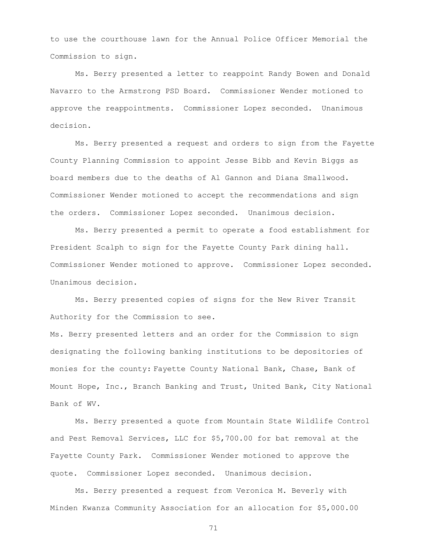to use the courthouse lawn for the Annual Police Officer Memorial the Commission to sign.

Ms. Berry presented a letter to reappoint Randy Bowen and Donald Navarro to the Armstrong PSD Board. Commissioner Wender motioned to approve the reappointments. Commissioner Lopez seconded. Unanimous decision.

Ms. Berry presented a request and orders to sign from the Fayette County Planning Commission to appoint Jesse Bibb and Kevin Biggs as board members due to the deaths of Al Gannon and Diana Smallwood. Commissioner Wender motioned to accept the recommendations and sign the orders. Commissioner Lopez seconded. Unanimous decision.

Ms. Berry presented a permit to operate a food establishment for President Scalph to sign for the Fayette County Park dining hall. Commissioner Wender motioned to approve. Commissioner Lopez seconded. Unanimous decision.

Ms. Berry presented copies of signs for the New River Transit Authority for the Commission to see.

Ms. Berry presented letters and an order for the Commission to sign designating the following banking institutions to be depositories of monies for the county: Fayette County National Bank, Chase, Bank of Mount Hope, Inc., Branch Banking and Trust, United Bank, City National Bank of WV.

Ms. Berry presented a quote from Mountain State Wildlife Control and Pest Removal Services, LLC for \$5,700.00 for bat removal at the Fayette County Park. Commissioner Wender motioned to approve the quote. Commissioner Lopez seconded. Unanimous decision.

Ms. Berry presented a request from Veronica M. Beverly with Minden Kwanza Community Association for an allocation for \$5,000.00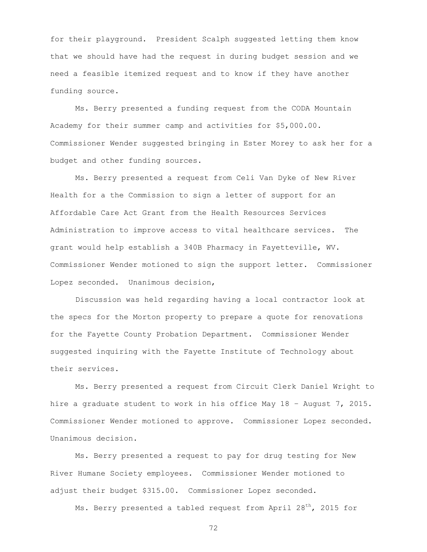for their playground. President Scalph suggested letting them know that we should have had the request in during budget session and we need a feasible itemized request and to know if they have another funding source.

Ms. Berry presented a funding request from the CODA Mountain Academy for their summer camp and activities for \$5,000.00. Commissioner Wender suggested bringing in Ester Morey to ask her for a budget and other funding sources.

Ms. Berry presented a request from Celi Van Dyke of New River Health for a the Commission to sign a letter of support for an Affordable Care Act Grant from the Health Resources Services Administration to improve access to vital healthcare services. The grant would help establish a 340B Pharmacy in Fayetteville, WV. Commissioner Wender motioned to sign the support letter. Commissioner Lopez seconded. Unanimous decision,

Discussion was held regarding having a local contractor look at the specs for the Morton property to prepare a quote for renovations for the Fayette County Probation Department. Commissioner Wender suggested inquiring with the Fayette Institute of Technology about their services.

Ms. Berry presented a request from Circuit Clerk Daniel Wright to hire a graduate student to work in his office May 18 – August 7, 2015. Commissioner Wender motioned to approve. Commissioner Lopez seconded. Unanimous decision.

Ms. Berry presented a request to pay for drug testing for New River Humane Society employees. Commissioner Wender motioned to adjust their budget \$315.00. Commissioner Lopez seconded.

Ms. Berry presented a tabled request from April  $28<sup>th</sup>$ , 2015 for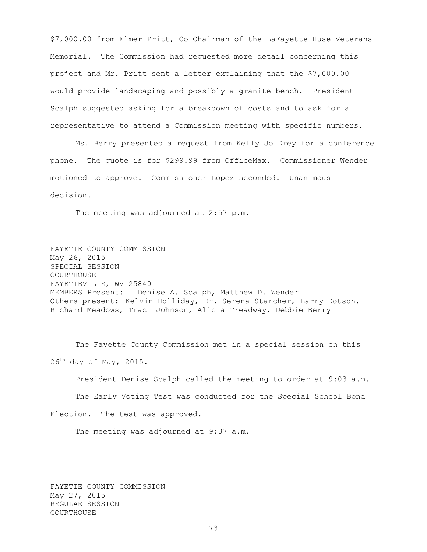\$7,000.00 from Elmer Pritt, Co-Chairman of the LaFayette Huse Veterans Memorial. The Commission had requested more detail concerning this project and Mr. Pritt sent a letter explaining that the \$7,000.00 would provide landscaping and possibly a granite bench. President Scalph suggested asking for a breakdown of costs and to ask for a representative to attend a Commission meeting with specific numbers.

Ms. Berry presented a request from Kelly Jo Drey for a conference phone. The quote is for \$299.99 from OfficeMax. Commissioner Wender motioned to approve. Commissioner Lopez seconded. Unanimous decision.

The meeting was adjourned at 2:57 p.m.

FAYETTE COUNTY COMMISSION May 26, 2015 SPECIAL SESSION COURTHOUSE FAYETTEVILLE, WV 25840 MEMBERS Present: Denise A. Scalph, Matthew D. Wender Others present: Kelvin Holliday, Dr. Serena Starcher, Larry Dotson, Richard Meadows, Traci Johnson, Alicia Treadway, Debbie Berry

The Fayette County Commission met in a special session on this  $26^{th}$  day of May, 2015.

President Denise Scalph called the meeting to order at 9:03 a.m.

The Early Voting Test was conducted for the Special School Bond

Election. The test was approved.

The meeting was adjourned at 9:37 a.m.

FAYETTE COUNTY COMMISSION May 27, 2015 REGULAR SESSION COURTHOUSE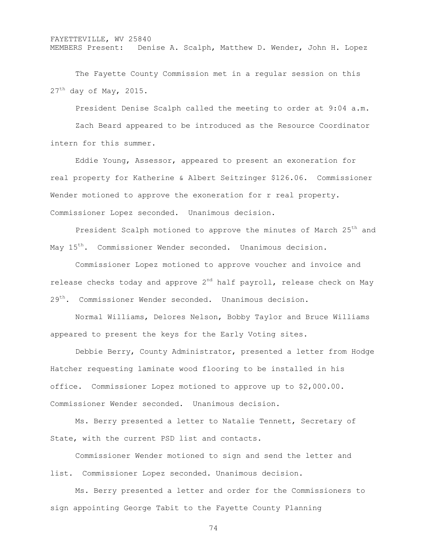FAYETTEVILLE, WV 25840 MEMBERS Present: Denise A. Scalph, Matthew D. Wender, John H. Lopez

The Fayette County Commission met in a regular session on this  $27<sup>th</sup>$  day of May, 2015.

President Denise Scalph called the meeting to order at 9:04 a.m. Zach Beard appeared to be introduced as the Resource Coordinator intern for this summer.

Eddie Young, Assessor, appeared to present an exoneration for real property for Katherine & Albert Seitzinger \$126.06. Commissioner Wender motioned to approve the exoneration for r real property. Commissioner Lopez seconded. Unanimous decision.

President Scalph motioned to approve the minutes of March 25<sup>th</sup> and May 15<sup>th</sup>. Commissioner Wender seconded. Unanimous decision.

Commissioner Lopez motioned to approve voucher and invoice and release checks today and approve  $2^{nd}$  half payroll, release check on May 29<sup>th</sup>. Commissioner Wender seconded. Unanimous decision.

Normal Williams, Delores Nelson, Bobby Taylor and Bruce Williams appeared to present the keys for the Early Voting sites.

Debbie Berry, County Administrator, presented a letter from Hodge Hatcher requesting laminate wood flooring to be installed in his office. Commissioner Lopez motioned to approve up to \$2,000.00. Commissioner Wender seconded. Unanimous decision.

Ms. Berry presented a letter to Natalie Tennett, Secretary of State, with the current PSD list and contacts.

Commissioner Wender motioned to sign and send the letter and list. Commissioner Lopez seconded. Unanimous decision.

Ms. Berry presented a letter and order for the Commissioners to sign appointing George Tabit to the Fayette County Planning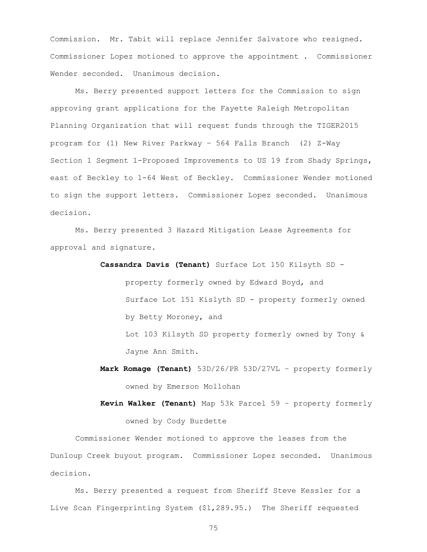Commission. Mr. Tabit will replace Jennifer Salvatore who resigned. Commissioner Lopez motioned to approve the appointment . Commissioner Wender seconded. Unanimous decision.

Ms. Berry presented support letters for the Commission to sign approving grant applications for the Fayette Raleigh Metropolitan Planning Organization that will request funds through the TIGER2015 program for (1) New River Parkway – 564 Falls Branch (2) Z-Way Section 1 Segment 1-Proposed Improvements to US 19 from Shady Springs, east of Beckley to 1-64 West of Beckley. Commissioner Wender motioned to sign the support letters. Commissioner Lopez seconded. Unanimous decision.

Ms. Berry presented 3 Hazard Mitigation Lease Agreements for approval and signature.

**Cassandra Davis (Tenant)** Surface Lot 150 Kilsyth SD -

property formerly owned by Edward Boyd, and Surface Lot 151 Kislyth SD - property formerly owned by Betty Moroney, and Lot 103 Kilsyth SD property formerly owned by Tony &

Jayne Ann Smith.

- **Mark Romage (Tenant)** 53D/26/PR 53D/27VL property formerly owned by Emerson Mollohan
- **Kevin Walker (Tenant)** Map 53k Parcel 59 property formerly owned by Cody Burdette

Commissioner Wender motioned to approve the leases from the Dunloup Creek buyout program. Commissioner Lopez seconded. Unanimous decision.

Ms. Berry presented a request from Sheriff Steve Kessler for a Live Scan Fingerprinting System (\$1,289.95.) The Sheriff requested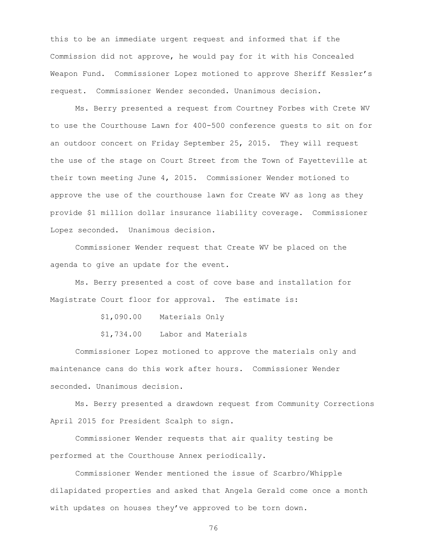this to be an immediate urgent request and informed that if the Commission did not approve, he would pay for it with his Concealed Weapon Fund. Commissioner Lopez motioned to approve Sheriff Kessler's request. Commissioner Wender seconded. Unanimous decision.

Ms. Berry presented a request from Courtney Forbes with Crete WV to use the Courthouse Lawn for 400-500 conference guests to sit on for an outdoor concert on Friday September 25, 2015. They will request the use of the stage on Court Street from the Town of Fayetteville at their town meeting June 4, 2015. Commissioner Wender motioned to approve the use of the courthouse lawn for Create WV as long as they provide \$1 million dollar insurance liability coverage. Commissioner Lopez seconded. Unanimous decision.

Commissioner Wender request that Create WV be placed on the agenda to give an update for the event.

Ms. Berry presented a cost of cove base and installation for Magistrate Court floor for approval. The estimate is:

\$1,090.00 Materials Only

\$1,734.00 Labor and Materials

Commissioner Lopez motioned to approve the materials only and maintenance cans do this work after hours. Commissioner Wender seconded. Unanimous decision.

Ms. Berry presented a drawdown request from Community Corrections April 2015 for President Scalph to sign.

Commissioner Wender requests that air quality testing be performed at the Courthouse Annex periodically.

Commissioner Wender mentioned the issue of Scarbro/Whipple dilapidated properties and asked that Angela Gerald come once a month with updates on houses they've approved to be torn down.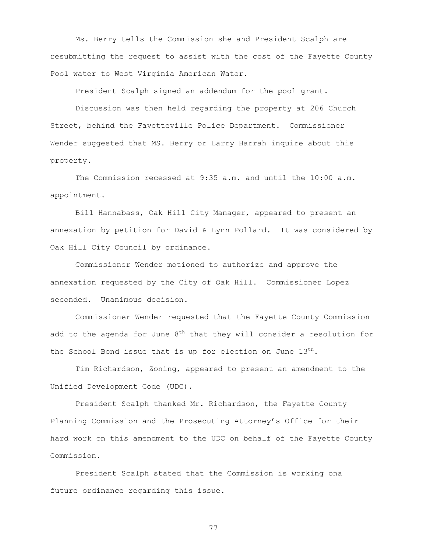Ms. Berry tells the Commission she and President Scalph are resubmitting the request to assist with the cost of the Fayette County Pool water to West Virginia American Water.

President Scalph signed an addendum for the pool grant.

Discussion was then held regarding the property at 206 Church Street, behind the Fayetteville Police Department. Commissioner Wender suggested that MS. Berry or Larry Harrah inquire about this property.

The Commission recessed at 9:35 a.m. and until the 10:00 a.m. appointment.

Bill Hannabass, Oak Hill City Manager, appeared to present an annexation by petition for David & Lynn Pollard. It was considered by Oak Hill City Council by ordinance.

Commissioner Wender motioned to authorize and approve the annexation requested by the City of Oak Hill. Commissioner Lopez seconded. Unanimous decision.

Commissioner Wender requested that the Fayette County Commission add to the agenda for June  $8<sup>th</sup>$  that they will consider a resolution for the School Bond issue that is up for election on June  $13^{th}$ .

Tim Richardson, Zoning, appeared to present an amendment to the Unified Development Code (UDC).

President Scalph thanked Mr. Richardson, the Fayette County Planning Commission and the Prosecuting Attorney's Office for their hard work on this amendment to the UDC on behalf of the Fayette County Commission.

President Scalph stated that the Commission is working ona future ordinance regarding this issue.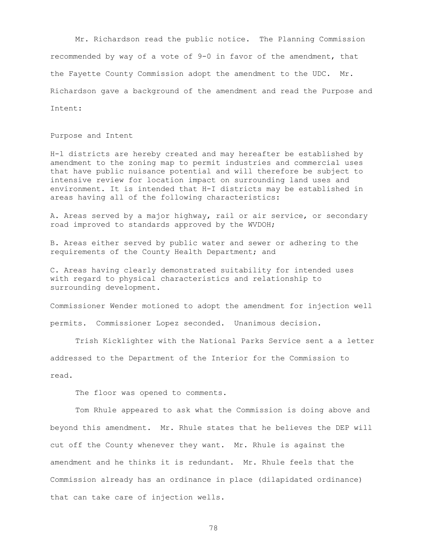Mr. Richardson read the public notice. The Planning Commission recommended by way of a vote of 9-0 in favor of the amendment, that the Fayette County Commission adopt the amendment to the UDC. Mr. Richardson gave a background of the amendment and read the Purpose and Intent:

Purpose and Intent

H-l districts are hereby created and may hereafter be established by amendment to the zoning map to permit industries and commercial uses that have public nuisance potential and will therefore be subject to intensive review for location impact on surrounding land uses and environment. It is intended that H-I districts may be established in areas having all of the following characteristics:

A. Areas served by a major highway, rail or air service, or secondary road improved to standards approved by the WVDOH;

B. Areas either served by public water and sewer or adhering to the requirements of the County Health Department; and

C. Areas having clearly demonstrated suitability for intended uses with regard to physical characteristics and relationship to surrounding development.

Commissioner Wender motioned to adopt the amendment for injection well permits. Commissioner Lopez seconded. Unanimous decision.

Trish Kicklighter with the National Parks Service sent a a letter addressed to the Department of the Interior for the Commission to read.

The floor was opened to comments.

Tom Rhule appeared to ask what the Commission is doing above and beyond this amendment. Mr. Rhule states that he believes the DEP will cut off the County whenever they want. Mr. Rhule is against the amendment and he thinks it is redundant. Mr. Rhule feels that the Commission already has an ordinance in place (dilapidated ordinance) that can take care of injection wells.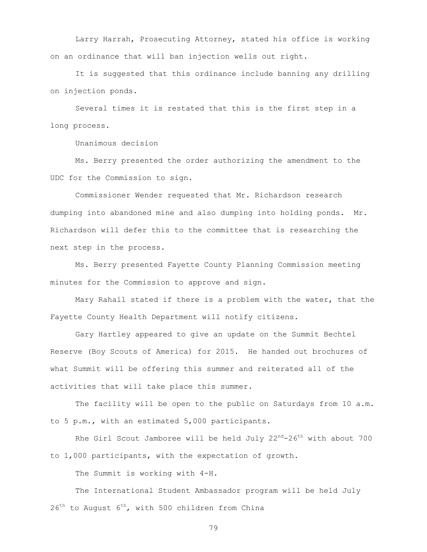Larry Harrah, Prosecuting Attorney, stated his office is working on an ordinance that will ban injection wells out right.

It is suggested that this ordinance include banning any drilling on injection ponds.

Several times it is restated that this is the first step in a long process.

Unanimous decision

Ms. Berry presented the order authorizing the amendment to the UDC for the Commission to sign.

Commissioner Wender requested that Mr. Richardson research dumping into abandoned mine and also dumping into holding ponds. Mr. Richardson will defer this to the committee that is researching the next step in the process.

Ms. Berry presented Fayette County Planning Commission meeting minutes for the Commission to approve and sign.

Mary Rahall stated if there is a problem with the water, that the Fayette County Health Department will notify citizens.

Gary Hartley appeared to give an update on the Summit Bechtel Reserve (Boy Scouts of America) for 2015. He handed out brochures of what Summit will be offering this summer and reiterated all of the activities that will take place this summer.

The facility will be open to the public on Saturdays from 10 a.m. to 5 p.m., with an estimated 5,000 participants.

Rhe Girl Scout Jamboree will be held July  $22^{nd}-26^{th}$  with about 700 to 1,000 participants, with the expectation of growth.

The Summit is working with 4-H.

The International Student Ambassador program will be held July  $26<sup>th</sup>$  to August  $6<sup>th</sup>$ , with 500 children from China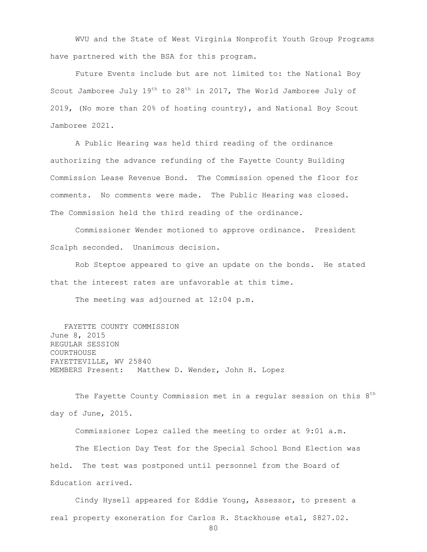WVU and the State of West Virginia Nonprofit Youth Group Programs have partnered with the BSA for this program.

Future Events include but are not limited to: the National Boy Scout Jamboree July  $19<sup>th</sup>$  to  $28<sup>th</sup>$  in 2017, The World Jamboree July of 2019, (No more than 20% of hosting country), and National Boy Scout Jamboree 2021.

A Public Hearing was held third reading of the ordinance authorizing the advance refunding of the Fayette County Building Commission Lease Revenue Bond. The Commission opened the floor for comments. No comments were made. The Public Hearing was closed. The Commission held the third reading of the ordinance.

Commissioner Wender motioned to approve ordinance. President Scalph seconded. Unanimous decision.

Rob Steptoe appeared to give an update on the bonds. He stated that the interest rates are unfavorable at this time.

The meeting was adjourned at 12:04 p.m.

 FAYETTE COUNTY COMMISSION June 8, 2015 REGULAR SESSION COURTHOUSE FAYETTEVILLE, WV 25840 MEMBERS Present: Matthew D. Wender, John H. Lopez

The Fayette County Commission met in a regular session on this 8<sup>th</sup> day of June, 2015.

Commissioner Lopez called the meeting to order at 9:01 a.m. The Election Day Test for the Special School Bond Election was held. The test was postponed until personnel from the Board of Education arrived.

Cindy Hysell appeared for Eddie Young, Assessor, to present a real property exoneration for Carlos R. Stackhouse etal, \$827.02.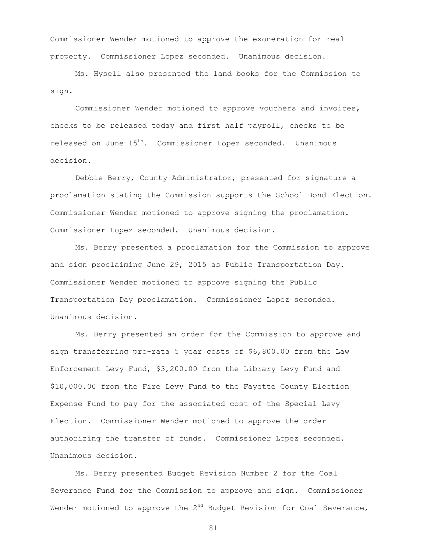Commissioner Wender motioned to approve the exoneration for real property. Commissioner Lopez seconded. Unanimous decision.

Ms. Hysell also presented the land books for the Commission to sign.

Commissioner Wender motioned to approve vouchers and invoices, checks to be released today and first half payroll, checks to be released on June 15<sup>th</sup>. Commissioner Lopez seconded. Unanimous decision.

Debbie Berry, County Administrator, presented for signature a proclamation stating the Commission supports the School Bond Election. Commissioner Wender motioned to approve signing the proclamation. Commissioner Lopez seconded. Unanimous decision.

Ms. Berry presented a proclamation for the Commission to approve and sign proclaiming June 29, 2015 as Public Transportation Day. Commissioner Wender motioned to approve signing the Public Transportation Day proclamation. Commissioner Lopez seconded. Unanimous decision.

Ms. Berry presented an order for the Commission to approve and sign transferring pro-rata 5 year costs of \$6,800.00 from the Law Enforcement Levy Fund, \$3,200.00 from the Library Levy Fund and \$10,000.00 from the Fire Levy Fund to the Fayette County Election Expense Fund to pay for the associated cost of the Special Levy Election. Commissioner Wender motioned to approve the order authorizing the transfer of funds. Commissioner Lopez seconded. Unanimous decision.

Ms. Berry presented Budget Revision Number 2 for the Coal Severance Fund for the Commission to approve and sign. Commissioner Wender motioned to approve the  $2^{nd}$  Budget Revision for Coal Severance,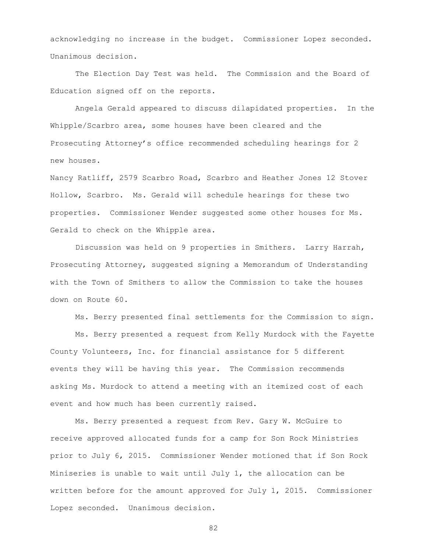acknowledging no increase in the budget. Commissioner Lopez seconded. Unanimous decision.

The Election Day Test was held. The Commission and the Board of Education signed off on the reports.

Angela Gerald appeared to discuss dilapidated properties. In the Whipple/Scarbro area, some houses have been cleared and the Prosecuting Attorney's office recommended scheduling hearings for 2 new houses.

Nancy Ratliff, 2579 Scarbro Road, Scarbro and Heather Jones 12 Stover Hollow, Scarbro. Ms. Gerald will schedule hearings for these two properties. Commissioner Wender suggested some other houses for Ms. Gerald to check on the Whipple area.

Discussion was held on 9 properties in Smithers. Larry Harrah, Prosecuting Attorney, suggested signing a Memorandum of Understanding with the Town of Smithers to allow the Commission to take the houses down on Route 60.

Ms. Berry presented final settlements for the Commission to sign.

Ms. Berry presented a request from Kelly Murdock with the Fayette County Volunteers, Inc. for financial assistance for 5 different events they will be having this year. The Commission recommends asking Ms. Murdock to attend a meeting with an itemized cost of each event and how much has been currently raised.

Ms. Berry presented a request from Rev. Gary W. McGuire to receive approved allocated funds for a camp for Son Rock Ministries prior to July 6, 2015. Commissioner Wender motioned that if Son Rock Miniseries is unable to wait until July 1, the allocation can be written before for the amount approved for July 1, 2015. Commissioner Lopez seconded. Unanimous decision.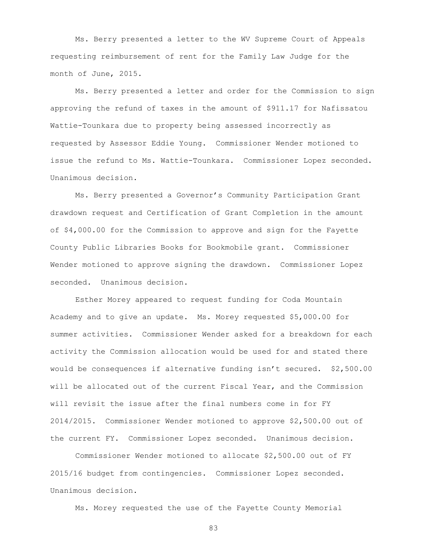Ms. Berry presented a letter to the WV Supreme Court of Appeals requesting reimbursement of rent for the Family Law Judge for the month of June, 2015.

Ms. Berry presented a letter and order for the Commission to sign approving the refund of taxes in the amount of \$911.17 for Nafissatou Wattie-Tounkara due to property being assessed incorrectly as requested by Assessor Eddie Young. Commissioner Wender motioned to issue the refund to Ms. Wattie-Tounkara. Commissioner Lopez seconded. Unanimous decision.

Ms. Berry presented a Governor's Community Participation Grant drawdown request and Certification of Grant Completion in the amount of \$4,000.00 for the Commission to approve and sign for the Fayette County Public Libraries Books for Bookmobile grant. Commissioner Wender motioned to approve signing the drawdown. Commissioner Lopez seconded. Unanimous decision.

Esther Morey appeared to request funding for Coda Mountain Academy and to give an update. Ms. Morey requested \$5,000.00 for summer activities. Commissioner Wender asked for a breakdown for each activity the Commission allocation would be used for and stated there would be consequences if alternative funding isn't secured. \$2,500.00 will be allocated out of the current Fiscal Year, and the Commission will revisit the issue after the final numbers come in for FY 2014/2015. Commissioner Wender motioned to approve \$2,500.00 out of the current FY. Commissioner Lopez seconded. Unanimous decision.

Commissioner Wender motioned to allocate \$2,500.00 out of FY 2015/16 budget from contingencies. Commissioner Lopez seconded. Unanimous decision.

Ms. Morey requested the use of the Fayette County Memorial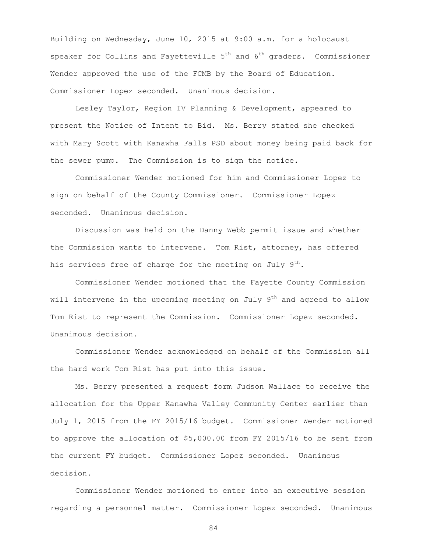Building on Wednesday, June 10, 2015 at 9:00 a.m. for a holocaust speaker for Collins and Fayetteville  $5<sup>th</sup>$  and  $6<sup>th</sup>$  graders. Commissioner Wender approved the use of the FCMB by the Board of Education. Commissioner Lopez seconded. Unanimous decision.

Lesley Taylor, Region IV Planning & Development, appeared to present the Notice of Intent to Bid. Ms. Berry stated she checked with Mary Scott with Kanawha Falls PSD about money being paid back for the sewer pump. The Commission is to sign the notice.

Commissioner Wender motioned for him and Commissioner Lopez to sign on behalf of the County Commissioner. Commissioner Lopez seconded. Unanimous decision.

Discussion was held on the Danny Webb permit issue and whether the Commission wants to intervene. Tom Rist, attorney, has offered his services free of charge for the meeting on July 9<sup>th</sup>.

Commissioner Wender motioned that the Fayette County Commission will intervene in the upcoming meeting on July  $9<sup>th</sup>$  and agreed to allow Tom Rist to represent the Commission. Commissioner Lopez seconded. Unanimous decision.

Commissioner Wender acknowledged on behalf of the Commission all the hard work Tom Rist has put into this issue.

Ms. Berry presented a request form Judson Wallace to receive the allocation for the Upper Kanawha Valley Community Center earlier than July 1, 2015 from the FY 2015/16 budget. Commissioner Wender motioned to approve the allocation of \$5,000.00 from FY 2015/16 to be sent from the current FY budget. Commissioner Lopez seconded. Unanimous decision.

Commissioner Wender motioned to enter into an executive session regarding a personnel matter. Commissioner Lopez seconded. Unanimous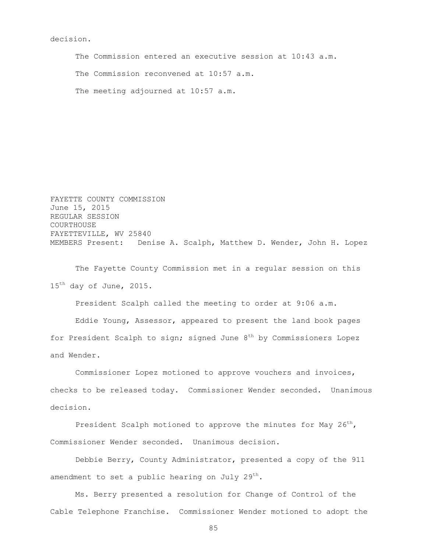## decision.

The Commission entered an executive session at 10:43 a.m. The Commission reconvened at 10:57 a.m. The meeting adjourned at 10:57 a.m.

FAYETTE COUNTY COMMISSION June 15, 2015 REGULAR SESSION **COURTHOUSE** FAYETTEVILLE, WV 25840 MEMBERS Present: Denise A. Scalph, Matthew D. Wender, John H. Lopez

The Fayette County Commission met in a regular session on this 15<sup>th</sup> day of June, 2015.

President Scalph called the meeting to order at 9:06 a.m.

Eddie Young, Assessor, appeared to present the land book pages for President Scalph to sign; signed June  $8<sup>th</sup>$  by Commissioners Lopez and Wender.

Commissioner Lopez motioned to approve vouchers and invoices, checks to be released today. Commissioner Wender seconded. Unanimous decision.

President Scalph motioned to approve the minutes for May  $26^{th}$ , Commissioner Wender seconded. Unanimous decision.

Debbie Berry, County Administrator, presented a copy of the 911 amendment to set a public hearing on July  $29<sup>th</sup>$ .

Ms. Berry presented a resolution for Change of Control of the Cable Telephone Franchise. Commissioner Wender motioned to adopt the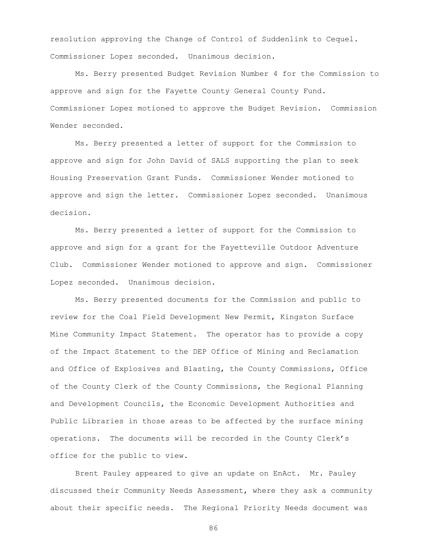resolution approving the Change of Control of Suddenlink to Cequel. Commissioner Lopez seconded. Unanimous decision.

Ms. Berry presented Budget Revision Number 4 for the Commission to approve and sign for the Fayette County General County Fund. Commissioner Lopez motioned to approve the Budget Revision. Commission Wender seconded.

Ms. Berry presented a letter of support for the Commission to approve and sign for John David of SALS supporting the plan to seek Housing Preservation Grant Funds. Commissioner Wender motioned to approve and sign the letter. Commissioner Lopez seconded. Unanimous decision.

Ms. Berry presented a letter of support for the Commission to approve and sign for a grant for the Fayetteville Outdoor Adventure Club. Commissioner Wender motioned to approve and sign. Commissioner Lopez seconded. Unanimous decision.

Ms. Berry presented documents for the Commission and public to review for the Coal Field Development New Permit, Kingston Surface Mine Community Impact Statement. The operator has to provide a copy of the Impact Statement to the DEP Office of Mining and Reclamation and Office of Explosives and Blasting, the County Commissions, Office of the County Clerk of the County Commissions, the Regional Planning and Development Councils, the Economic Development Authorities and Public Libraries in those areas to be affected by the surface mining operations. The documents will be recorded in the County Clerk's office for the public to view.

Brent Pauley appeared to give an update on EnAct. Mr. Pauley discussed their Community Needs Assessment, where they ask a community about their specific needs. The Regional Priority Needs document was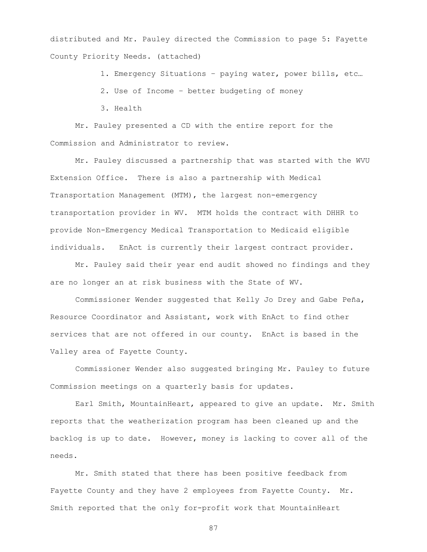distributed and Mr. Pauley directed the Commission to page 5: Fayette County Priority Needs. (attached)

1. Emergency Situations – paying water, power bills, etc…

2. Use of Income – better budgeting of money

3. Health

Mr. Pauley presented a CD with the entire report for the Commission and Administrator to review.

Mr. Pauley discussed a partnership that was started with the WVU Extension Office. There is also a partnership with Medical Transportation Management (MTM), the largest non-emergency transportation provider in WV. MTM holds the contract with DHHR to provide Non-Emergency Medical Transportation to Medicaid eligible individuals. EnAct is currently their largest contract provider.

Mr. Pauley said their year end audit showed no findings and they are no longer an at risk business with the State of WV.

Commissioner Wender suggested that Kelly Jo Drey and Gabe Peña, Resource Coordinator and Assistant, work with EnAct to find other services that are not offered in our county. EnAct is based in the Valley area of Fayette County.

Commissioner Wender also suggested bringing Mr. Pauley to future Commission meetings on a quarterly basis for updates.

Earl Smith, MountainHeart, appeared to give an update. Mr. Smith reports that the weatherization program has been cleaned up and the backlog is up to date. However, money is lacking to cover all of the needs.

Mr. Smith stated that there has been positive feedback from Fayette County and they have 2 employees from Fayette County. Mr. Smith reported that the only for-profit work that MountainHeart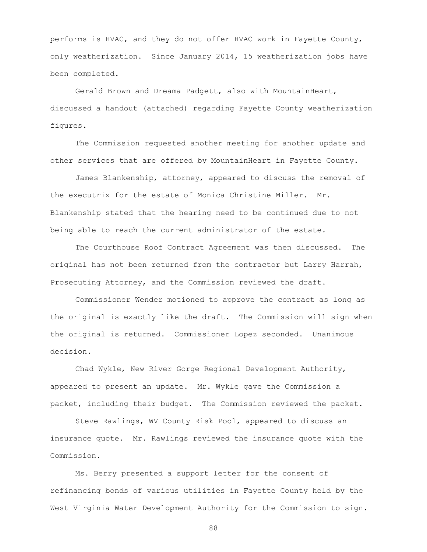performs is HVAC, and they do not offer HVAC work in Fayette County, only weatherization. Since January 2014, 15 weatherization jobs have been completed.

Gerald Brown and Dreama Padgett, also with MountainHeart, discussed a handout (attached) regarding Fayette County weatherization figures.

The Commission requested another meeting for another update and other services that are offered by MountainHeart in Fayette County.

James Blankenship, attorney, appeared to discuss the removal of the executrix for the estate of Monica Christine Miller. Mr. Blankenship stated that the hearing need to be continued due to not being able to reach the current administrator of the estate.

The Courthouse Roof Contract Agreement was then discussed. The original has not been returned from the contractor but Larry Harrah, Prosecuting Attorney, and the Commission reviewed the draft.

Commissioner Wender motioned to approve the contract as long as the original is exactly like the draft. The Commission will sign when the original is returned. Commissioner Lopez seconded. Unanimous decision.

Chad Wykle, New River Gorge Regional Development Authority, appeared to present an update. Mr. Wykle gave the Commission a packet, including their budget. The Commission reviewed the packet.

Steve Rawlings, WV County Risk Pool, appeared to discuss an insurance quote. Mr. Rawlings reviewed the insurance quote with the Commission.

Ms. Berry presented a support letter for the consent of refinancing bonds of various utilities in Fayette County held by the West Virginia Water Development Authority for the Commission to sign.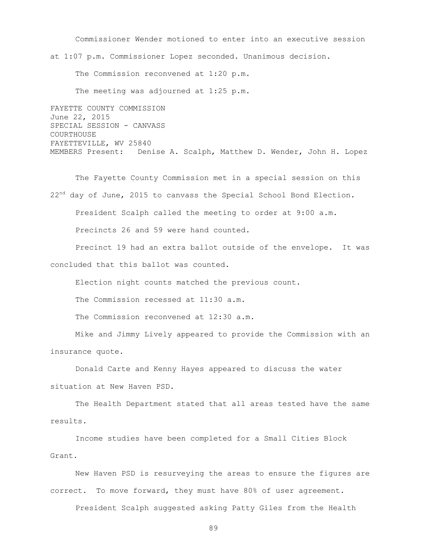Commissioner Wender motioned to enter into an executive session at 1:07 p.m. Commissioner Lopez seconded. Unanimous decision.

The Commission reconvened at 1:20 p.m.

The meeting was adjourned at 1:25 p.m.

FAYETTE COUNTY COMMISSION June 22, 2015 SPECIAL SESSION - CANVASS COURTHOUSE FAYETTEVILLE, WV 25840 MEMBERS Present: Denise A. Scalph, Matthew D. Wender, John H. Lopez

The Fayette County Commission met in a special session on this 22<sup>nd</sup> day of June, 2015 to canvass the Special School Bond Election. President Scalph called the meeting to order at 9:00 a.m. Precincts 26 and 59 were hand counted.

Precinct 19 had an extra ballot outside of the envelope. It was concluded that this ballot was counted.

Election night counts matched the previous count.

The Commission recessed at 11:30 a.m.

The Commission reconvened at 12:30 a.m.

Mike and Jimmy Lively appeared to provide the Commission with an insurance quote.

Donald Carte and Kenny Hayes appeared to discuss the water situation at New Haven PSD.

The Health Department stated that all areas tested have the same results.

Income studies have been completed for a Small Cities Block Grant.

New Haven PSD is resurveying the areas to ensure the figures are correct. To move forward, they must have 80% of user agreement.

President Scalph suggested asking Patty Giles from the Health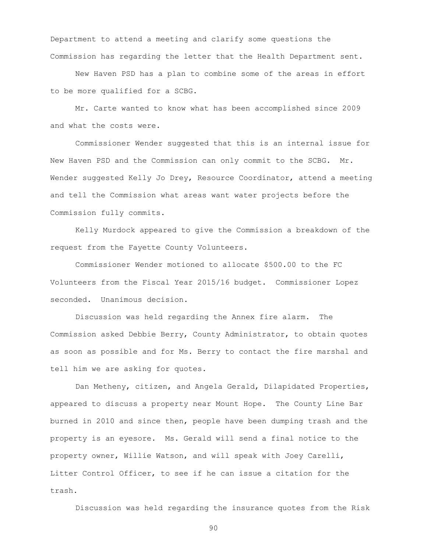Department to attend a meeting and clarify some questions the Commission has regarding the letter that the Health Department sent.

New Haven PSD has a plan to combine some of the areas in effort to be more qualified for a SCBG.

Mr. Carte wanted to know what has been accomplished since 2009 and what the costs were.

Commissioner Wender suggested that this is an internal issue for New Haven PSD and the Commission can only commit to the SCBG. Mr. Wender suggested Kelly Jo Drey, Resource Coordinator, attend a meeting and tell the Commission what areas want water projects before the Commission fully commits.

Kelly Murdock appeared to give the Commission a breakdown of the request from the Fayette County Volunteers.

Commissioner Wender motioned to allocate \$500.00 to the FC Volunteers from the Fiscal Year 2015/16 budget. Commissioner Lopez seconded. Unanimous decision.

Discussion was held regarding the Annex fire alarm. The Commission asked Debbie Berry, County Administrator, to obtain quotes as soon as possible and for Ms. Berry to contact the fire marshal and tell him we are asking for quotes.

Dan Metheny, citizen, and Angela Gerald, Dilapidated Properties, appeared to discuss a property near Mount Hope. The County Line Bar burned in 2010 and since then, people have been dumping trash and the property is an eyesore. Ms. Gerald will send a final notice to the property owner, Willie Watson, and will speak with Joey Carelli, Litter Control Officer, to see if he can issue a citation for the trash.

Discussion was held regarding the insurance quotes from the Risk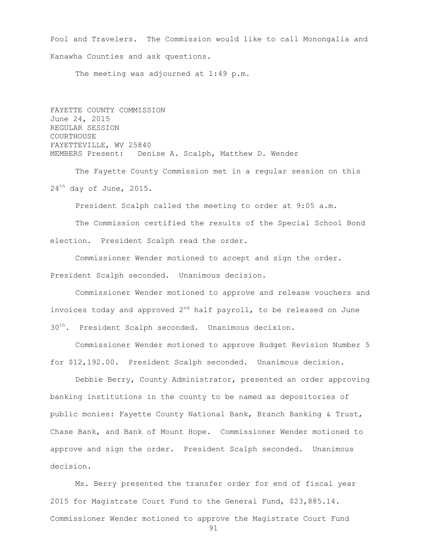Pool and Travelers. The Commission would like to call Monongalia and Kanawha Counties and ask questions.

The meeting was adjourned at 1:49 p.m.

FAYETTE COUNTY COMMISSION June 24, 2015 REGULAR SESSION COURTHOUSE FAYETTEVILLE, WV 25840 MEMBERS Present: Denise A. Scalph, Matthew D. Wender

The Fayette County Commission met in a regular session on this  $24<sup>th</sup>$  day of June, 2015.

President Scalph called the meeting to order at 9:05 a.m.

The Commission certified the results of the Special School Bond election. President Scalph read the order.

Commissioner Wender motioned to accept and sign the order. President Scalph seconded. Unanimous decision.

Commissioner Wender motioned to approve and release vouchers and invoices today and approved  $2^{nd}$  half payroll, to be released on June 30<sup>th</sup>. President Scalph seconded. Unanimous decision.

Commissioner Wender motioned to approve Budget Revision Number 5 for \$12,192.00. President Scalph seconded. Unanimous decision.

Debbie Berry, County Administrator, presented an order approving banking institutions in the county to be named as depositories of public monies: Fayette County National Bank, Branch Banking & Trust, Chase Bank, and Bank of Mount Hope. Commissioner Wender motioned to approve and sign the order. President Scalph seconded. Unanimous decision.

Ms. Berry presented the transfer order for end of fiscal year 2015 for Magistrate Court Fund to the General Fund, \$23,885.14. Commissioner Wender motioned to approve the Magistrate Court Fund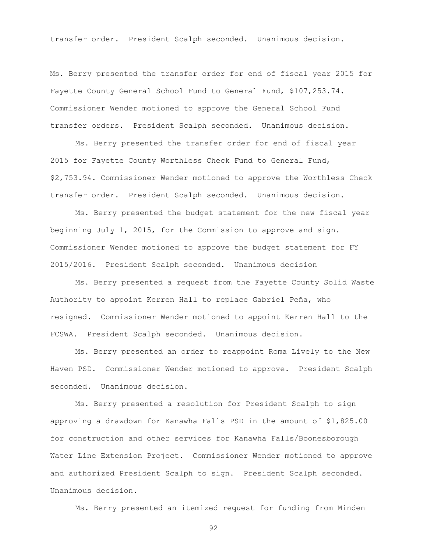transfer order. President Scalph seconded. Unanimous decision.

Ms. Berry presented the transfer order for end of fiscal year 2015 for Fayette County General School Fund to General Fund, \$107,253.74. Commissioner Wender motioned to approve the General School Fund transfer orders. President Scalph seconded. Unanimous decision.

Ms. Berry presented the transfer order for end of fiscal year 2015 for Fayette County Worthless Check Fund to General Fund, \$2,753.94. Commissioner Wender motioned to approve the Worthless Check transfer order. President Scalph seconded. Unanimous decision.

Ms. Berry presented the budget statement for the new fiscal year beginning July 1, 2015, for the Commission to approve and sign. Commissioner Wender motioned to approve the budget statement for FY 2015/2016. President Scalph seconded. Unanimous decision

Ms. Berry presented a request from the Fayette County Solid Waste Authority to appoint Kerren Hall to replace Gabriel Peña, who resigned. Commissioner Wender motioned to appoint Kerren Hall to the FCSWA. President Scalph seconded. Unanimous decision.

Ms. Berry presented an order to reappoint Roma Lively to the New Haven PSD. Commissioner Wender motioned to approve. President Scalph seconded. Unanimous decision.

Ms. Berry presented a resolution for President Scalph to sign approving a drawdown for Kanawha Falls PSD in the amount of \$1,825.00 for construction and other services for Kanawha Falls/Boonesborough Water Line Extension Project. Commissioner Wender motioned to approve and authorized President Scalph to sign. President Scalph seconded. Unanimous decision.

Ms. Berry presented an itemized request for funding from Minden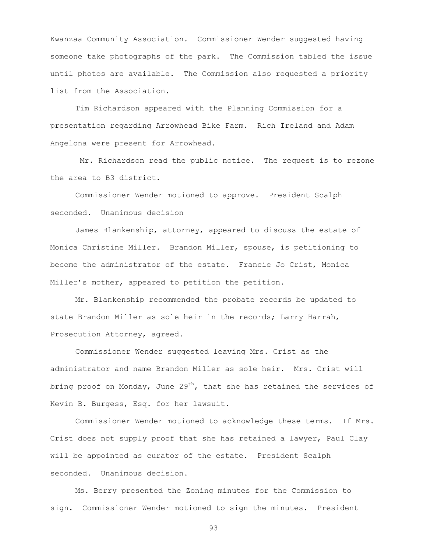Kwanzaa Community Association. Commissioner Wender suggested having someone take photographs of the park. The Commission tabled the issue until photos are available. The Commission also requested a priority list from the Association.

Tim Richardson appeared with the Planning Commission for a presentation regarding Arrowhead Bike Farm. Rich Ireland and Adam Angelona were present for Arrowhead.

Mr. Richardson read the public notice. The request is to rezone the area to B3 district.

Commissioner Wender motioned to approve. President Scalph seconded. Unanimous decision

James Blankenship, attorney, appeared to discuss the estate of Monica Christine Miller. Brandon Miller, spouse, is petitioning to become the administrator of the estate. Francie Jo Crist, Monica Miller's mother, appeared to petition the petition.

Mr. Blankenship recommended the probate records be updated to state Brandon Miller as sole heir in the records; Larry Harrah, Prosecution Attorney, agreed.

Commissioner Wender suggested leaving Mrs. Crist as the administrator and name Brandon Miller as sole heir. Mrs. Crist will bring proof on Monday, June  $29<sup>th</sup>$ , that she has retained the services of Kevin B. Burgess, Esq. for her lawsuit.

Commissioner Wender motioned to acknowledge these terms. If Mrs. Crist does not supply proof that she has retained a lawyer, Paul Clay will be appointed as curator of the estate. President Scalph seconded. Unanimous decision.

Ms. Berry presented the Zoning minutes for the Commission to sign. Commissioner Wender motioned to sign the minutes. President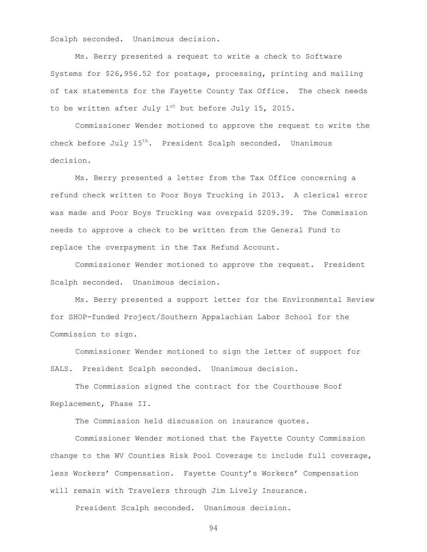Scalph seconded. Unanimous decision.

Ms. Berry presented a request to write a check to Software Systems for \$26,956.52 for postage, processing, printing and mailing of tax statements for the Fayette County Tax Office. The check needs to be written after July  $1^{st}$  but before July 15, 2015.

Commissioner Wender motioned to approve the request to write the check before July  $15^{th}$ . President Scalph seconded. Unanimous decision.

Ms. Berry presented a letter from the Tax Office concerning a refund check written to Poor Boys Trucking in 2013. A clerical error was made and Poor Boys Trucking was overpaid \$209.39. The Commission needs to approve a check to be written from the General Fund to replace the overpayment in the Tax Refund Account.

Commissioner Wender motioned to approve the request. President Scalph seconded. Unanimous decision.

Ms. Berry presented a support letter for the Environmental Review for SHOP-funded Project/Southern Appalachian Labor School for the Commission to sign.

Commissioner Wender motioned to sign the letter of support for SALS. President Scalph seconded. Unanimous decision.

The Commission signed the contract for the Courthouse Roof Replacement, Phase II.

The Commission held discussion on insurance quotes.

Commissioner Wender motioned that the Fayette County Commission change to the WV Counties Risk Pool Coverage to include full coverage, less Workers' Compensation. Fayette County's Workers' Compensation will remain with Travelers through Jim Lively Insurance.

President Scalph seconded. Unanimous decision.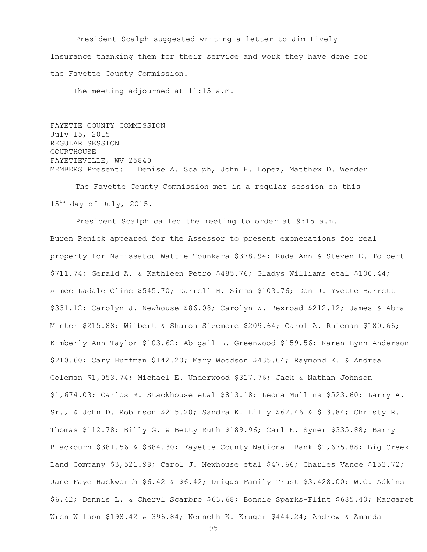President Scalph suggested writing a letter to Jim Lively Insurance thanking them for their service and work they have done for the Fayette County Commission.

The meeting adjourned at 11:15 a.m.

FAYETTE COUNTY COMMISSION July 15, 2015 REGULAR SESSION COURTHOUSE FAYETTEVILLE, WV 25840 MEMBERS Present: Denise A. Scalph, John H. Lopez, Matthew D. Wender

The Fayette County Commission met in a regular session on this  $15<sup>th</sup>$  day of July, 2015.

President Scalph called the meeting to order at 9:15 a.m. Buren Renick appeared for the Assessor to present exonerations for real property for Nafissatou Wattie-Tounkara \$378.94; Ruda Ann & Steven E. Tolbert \$711.74; Gerald A. & Kathleen Petro \$485.76; Gladys Williams etal \$100.44; Aimee Ladale Cline \$545.70; Darrell H. Simms \$103.76; Don J. Yvette Barrett \$331.12; Carolyn J. Newhouse \$86.08; Carolyn W. Rexroad \$212.12; James & Abra Minter \$215.88; Wilbert & Sharon Sizemore \$209.64; Carol A. Ruleman \$180.66; Kimberly Ann Taylor \$103.62; Abigail L. Greenwood \$159.56; Karen Lynn Anderson \$210.60; Cary Huffman \$142.20; Mary Woodson \$435.04; Raymond K. & Andrea Coleman \$1,053.74; Michael E. Underwood \$317.76; Jack & Nathan Johnson \$1,674.03; Carlos R. Stackhouse etal \$813.18; Leona Mullins \$523.60; Larry A. Sr., & John D. Robinson \$215.20; Sandra K. Lilly \$62.46 & \$ 3.84; Christy R. Thomas \$112.78; Billy G. & Betty Ruth \$189.96; Carl E. Syner \$335.88; Barry Blackburn \$381.56 & \$884.30; Fayette County National Bank \$1,675.88; Big Creek Land Company \$3,521.98; Carol J. Newhouse etal \$47.66; Charles Vance \$153.72; Jane Faye Hackworth \$6.42 & \$6.42; Driggs Family Trust \$3,428.00; W.C. Adkins \$6.42; Dennis L. & Cheryl Scarbro \$63.68; Bonnie Sparks-Flint \$685.40; Margaret Wren Wilson \$198.42 & 396.84; Kenneth K. Kruger \$444.24; Andrew & Amanda

```
95
```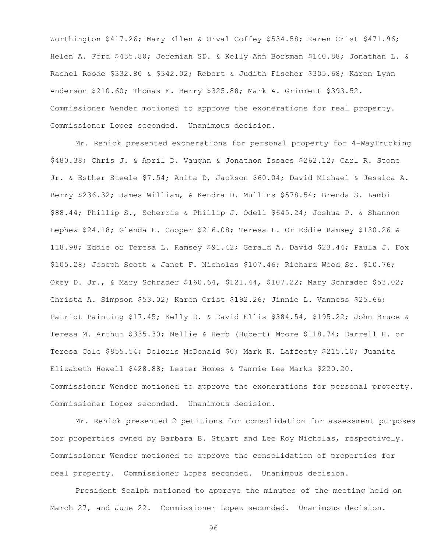Worthington \$417.26; Mary Ellen & Orval Coffey \$534.58; Karen Crist \$471.96; Helen A. Ford \$435.80; Jeremiah SD. & Kelly Ann Borsman \$140.88; Jonathan L. & Rachel Roode \$332.80 & \$342.02; Robert & Judith Fischer \$305.68; Karen Lynn Anderson \$210.60; Thomas E. Berry \$325.88; Mark A. Grimmett \$393.52. Commissioner Wender motioned to approve the exonerations for real property. Commissioner Lopez seconded. Unanimous decision.

Mr. Renick presented exonerations for personal property for 4-WayTrucking \$480.38; Chris J. & April D. Vaughn & Jonathon Issacs \$262.12; Carl R. Stone Jr. & Esther Steele \$7.54; Anita D, Jackson \$60.04; David Michael & Jessica A. Berry \$236.32; James William, & Kendra D. Mullins \$578.54; Brenda S. Lambi \$88.44; Phillip S., Scherrie & Phillip J. Odell \$645.24; Joshua P. & Shannon Lephew \$24.18; Glenda E. Cooper \$216.08; Teresa L. Or Eddie Ramsey \$130.26 & 118.98; Eddie or Teresa L. Ramsey \$91.42; Gerald A. David \$23.44; Paula J. Fox \$105.28; Joseph Scott & Janet F. Nicholas \$107.46; Richard Wood Sr. \$10.76; Okey D. Jr., & Mary Schrader \$160.64, \$121.44, \$107.22; Mary Schrader \$53.02; Christa A. Simpson \$53.02; Karen Crist \$192.26; Jinnie L. Vanness \$25.66; Patriot Painting \$17.45; Kelly D. & David Ellis \$384.54, \$195.22; John Bruce & Teresa M. Arthur \$335.30; Nellie & Herb (Hubert) Moore \$118.74; Darrell H. or Teresa Cole \$855.54; Deloris McDonald \$0; Mark K. Laffeety \$215.10; Juanita Elizabeth Howell \$428.88; Lester Homes & Tammie Lee Marks \$220.20. Commissioner Wender motioned to approve the exonerations for personal property. Commissioner Lopez seconded. Unanimous decision.

Mr. Renick presented 2 petitions for consolidation for assessment purposes for properties owned by Barbara B. Stuart and Lee Roy Nicholas, respectively. Commissioner Wender motioned to approve the consolidation of properties for real property. Commissioner Lopez seconded. Unanimous decision.

President Scalph motioned to approve the minutes of the meeting held on March 27, and June 22. Commissioner Lopez seconded. Unanimous decision.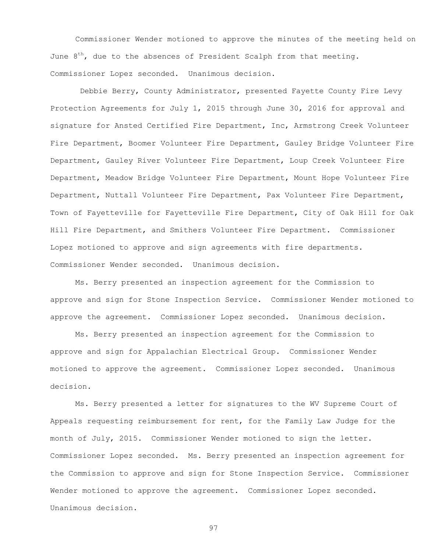Commissioner Wender motioned to approve the minutes of the meeting held on June  $8<sup>th</sup>$ , due to the absences of President Scalph from that meeting. Commissioner Lopez seconded. Unanimous decision.

Debbie Berry, County Administrator, presented Fayette County Fire Levy Protection Agreements for July 1, 2015 through June 30, 2016 for approval and signature for Ansted Certified Fire Department, Inc, Armstrong Creek Volunteer Fire Department, Boomer Volunteer Fire Department, Gauley Bridge Volunteer Fire Department, Gauley River Volunteer Fire Department, Loup Creek Volunteer Fire Department, Meadow Bridge Volunteer Fire Department, Mount Hope Volunteer Fire Department, Nuttall Volunteer Fire Department, Pax Volunteer Fire Department, Town of Fayetteville for Fayetteville Fire Department, City of Oak Hill for Oak Hill Fire Department, and Smithers Volunteer Fire Department. Commissioner Lopez motioned to approve and sign agreements with fire departments. Commissioner Wender seconded. Unanimous decision.

Ms. Berry presented an inspection agreement for the Commission to approve and sign for Stone Inspection Service. Commissioner Wender motioned to approve the agreement. Commissioner Lopez seconded. Unanimous decision.

Ms. Berry presented an inspection agreement for the Commission to approve and sign for Appalachian Electrical Group. Commissioner Wender motioned to approve the agreement. Commissioner Lopez seconded. Unanimous decision.

Ms. Berry presented a letter for signatures to the WV Supreme Court of Appeals requesting reimbursement for rent, for the Family Law Judge for the month of July, 2015. Commissioner Wender motioned to sign the letter. Commissioner Lopez seconded. Ms. Berry presented an inspection agreement for the Commission to approve and sign for Stone Inspection Service. Commissioner Wender motioned to approve the agreement. Commissioner Lopez seconded. Unanimous decision.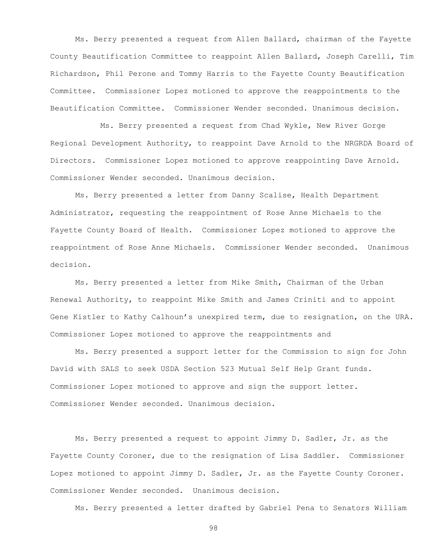Ms. Berry presented a request from Allen Ballard, chairman of the Fayette County Beautification Committee to reappoint Allen Ballard, Joseph Carelli, Tim Richardson, Phil Perone and Tommy Harris to the Fayette County Beautification Committee. Commissioner Lopez motioned to approve the reappointments to the Beautification Committee. Commissioner Wender seconded. Unanimous decision.

Ms. Berry presented a request from Chad Wykle, New River Gorge Regional Development Authority, to reappoint Dave Arnold to the NRGRDA Board of Directors. Commissioner Lopez motioned to approve reappointing Dave Arnold. Commissioner Wender seconded. Unanimous decision.

Ms. Berry presented a letter from Danny Scalise, Health Department Administrator, requesting the reappointment of Rose Anne Michaels to the Fayette County Board of Health. Commissioner Lopez motioned to approve the reappointment of Rose Anne Michaels. Commissioner Wender seconded. Unanimous decision.

Ms. Berry presented a letter from Mike Smith, Chairman of the Urban Renewal Authority, to reappoint Mike Smith and James Criniti and to appoint Gene Kistler to Kathy Calhoun's unexpired term, due to resignation, on the URA. Commissioner Lopez motioned to approve the reappointments and

Ms. Berry presented a support letter for the Commission to sign for John David with SALS to seek USDA Section 523 Mutual Self Help Grant funds. Commissioner Lopez motioned to approve and sign the support letter. Commissioner Wender seconded. Unanimous decision.

Ms. Berry presented a request to appoint Jimmy D. Sadler, Jr. as the Fayette County Coroner, due to the resignation of Lisa Saddler. Commissioner Lopez motioned to appoint Jimmy D. Sadler, Jr. as the Fayette County Coroner. Commissioner Wender seconded. Unanimous decision.

Ms. Berry presented a letter drafted by Gabriel Pena to Senators William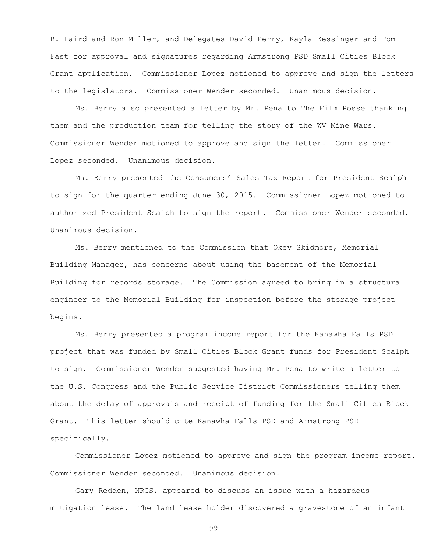R. Laird and Ron Miller, and Delegates David Perry, Kayla Kessinger and Tom Fast for approval and signatures regarding Armstrong PSD Small Cities Block Grant application. Commissioner Lopez motioned to approve and sign the letters to the legislators. Commissioner Wender seconded. Unanimous decision.

Ms. Berry also presented a letter by Mr. Pena to The Film Posse thanking them and the production team for telling the story of the WV Mine Wars. Commissioner Wender motioned to approve and sign the letter. Commissioner Lopez seconded. Unanimous decision.

Ms. Berry presented the Consumers' Sales Tax Report for President Scalph to sign for the quarter ending June 30, 2015. Commissioner Lopez motioned to authorized President Scalph to sign the report. Commissioner Wender seconded. Unanimous decision.

Ms. Berry mentioned to the Commission that Okey Skidmore, Memorial Building Manager, has concerns about using the basement of the Memorial Building for records storage. The Commission agreed to bring in a structural engineer to the Memorial Building for inspection before the storage project begins.

Ms. Berry presented a program income report for the Kanawha Falls PSD project that was funded by Small Cities Block Grant funds for President Scalph to sign. Commissioner Wender suggested having Mr. Pena to write a letter to the U.S. Congress and the Public Service District Commissioners telling them about the delay of approvals and receipt of funding for the Small Cities Block Grant. This letter should cite Kanawha Falls PSD and Armstrong PSD specifically.

Commissioner Lopez motioned to approve and sign the program income report. Commissioner Wender seconded. Unanimous decision.

Gary Redden, NRCS, appeared to discuss an issue with a hazardous mitigation lease. The land lease holder discovered a gravestone of an infant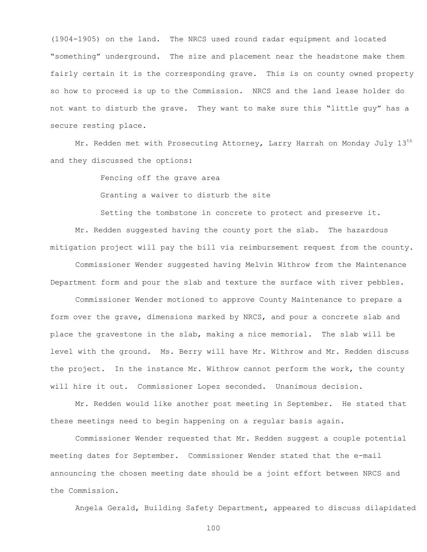(1904-1905) on the land. The NRCS used round radar equipment and located "something" underground. The size and placement near the headstone make them fairly certain it is the corresponding grave. This is on county owned property so how to proceed is up to the Commission. NRCS and the land lease holder do not want to disturb the grave. They want to make sure this "little guy" has a secure resting place.

Mr. Redden met with Prosecuting Attorney, Larry Harrah on Monday July 13<sup>th</sup> and they discussed the options:

Fencing off the grave area

Granting a waiver to disturb the site

Setting the tombstone in concrete to protect and preserve it.

Mr. Redden suggested having the county port the slab. The hazardous mitigation project will pay the bill via reimbursement request from the county. Commissioner Wender suggested having Melvin Withrow from the Maintenance Department form and pour the slab and texture the surface with river pebbles.

Commissioner Wender motioned to approve County Maintenance to prepare a form over the grave, dimensions marked by NRCS, and pour a concrete slab and place the gravestone in the slab, making a nice memorial. The slab will be level with the ground. Ms. Berry will have Mr. Withrow and Mr. Redden discuss the project. In the instance Mr. Withrow cannot perform the work, the county will hire it out. Commissioner Lopez seconded. Unanimous decision.

Mr. Redden would like another post meeting in September. He stated that these meetings need to begin happening on a regular basis again.

Commissioner Wender requested that Mr. Redden suggest a couple potential meeting dates for September. Commissioner Wender stated that the e-mail announcing the chosen meeting date should be a joint effort between NRCS and the Commission.

Angela Gerald, Building Safety Department, appeared to discuss dilapidated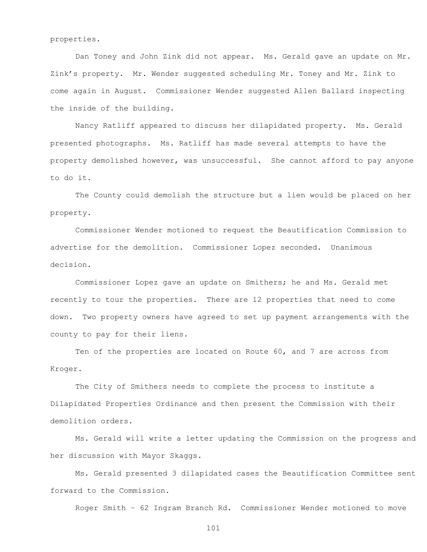properties.

Dan Toney and John Zink did not appear. Ms. Gerald gave an update on Mr. Zink's property. Mr. Wender suggested scheduling Mr. Toney and Mr. Zink to come again in August. Commissioner Wender suggested Allen Ballard inspecting the inside of the building.

Nancy Ratliff appeared to discuss her dilapidated property. Ms. Gerald presented photographs. Ms. Ratliff has made several attempts to have the property demolished however, was unsuccessful. She cannot afford to pay anyone to do it.

The County could demolish the structure but a lien would be placed on her property.

Commissioner Wender motioned to request the Beautification Commission to advertise for the demolition. Commissioner Lopez seconded. Unanimous decision.

Commissioner Lopez gave an update on Smithers; he and Ms. Gerald met recently to tour the properties. There are 12 properties that need to come down. Two property owners have agreed to set up payment arrangements with the county to pay for their liens.

Ten of the properties are located on Route 60, and 7 are across from Kroger.

The City of Smithers needs to complete the process to institute a Dilapidated Properties Ordinance and then present the Commission with their demolition orders.

Ms. Gerald will write a letter updating the Commission on the progress and her discussion with Mayor Skaggs.

Ms. Gerald presented 3 dilapidated cases the Beautification Committee sent forward to the Commission.

Roger Smith – 62 Ingram Branch Rd. Commissioner Wender motioned to move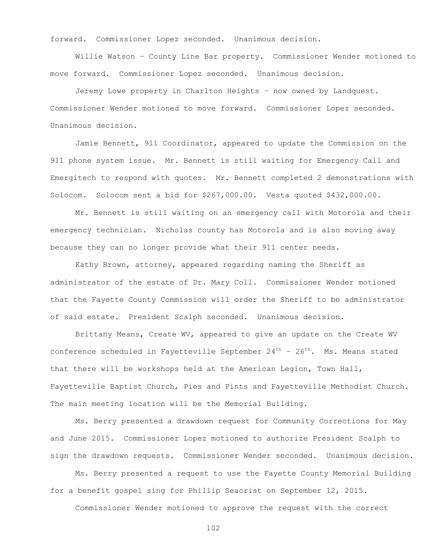forward. Commissioner Lopez seconded. Unanimous decision.

Willie Watson – County Line Bar property. Commissioner Wender motioned to move forward. Commissioner Lopez seconded. Unanimous decision.

Jeremy Lowe property in Charlton Heights – now owned by Landquest. Commissioner Wender motioned to move forward. Commissioner Lopez seconded. Unanimous decision.

Jamie Bennett, 911 Coordinator, appeared to update the Commission on the 911 phone system issue. Mr. Bennett is still waiting for Emergency Call and Emergitech to respond with quotes. Mr. Bennett completed 2 demonstrations with Solocom. Solocom sent a bid for \$267,000.00. Vesta quoted \$432,000.00.

Mr. Bennett is still waiting on an emergency call with Motorola and their emergency technician. Nicholas county has Motorola and is also moving away because they can no longer provide what their 911 center needs.

Kathy Brown, attorney, appeared regarding naming the Sheriff as administrator of the estate of Dr. Mary Coll. Commissioner Wender motioned that the Fayette County Commission will order the Sheriff to be administrator of said estate. President Scalph seconded. Unanimous decision.

Brittany Means, Create WV, appeared to give an update on the Create WV conference scheduled in Fayetteville September  $24<sup>th</sup>$  -  $26<sup>th</sup>$ . Ms. Means stated that there will be workshops held at the American Legion, Town Hall, Fayetteville Baptist Church, Pies and Pints and Fayetteville Methodist Church. The main meeting location will be the Memorial Building.

Ms. Berry presented a drawdown request for Community Corrections for May and June 2015. Commissioner Lopez motioned to authorize President Scalph to sign the drawdown requests. Commissioner Wender seconded. Unanimous decision.

Ms. Berry presented a request to use the Fayette County Memorial Building for a benefit gospel sing for Phillip Seacrist on September 12, 2015.

Commissioner Wender motioned to approve the request with the correct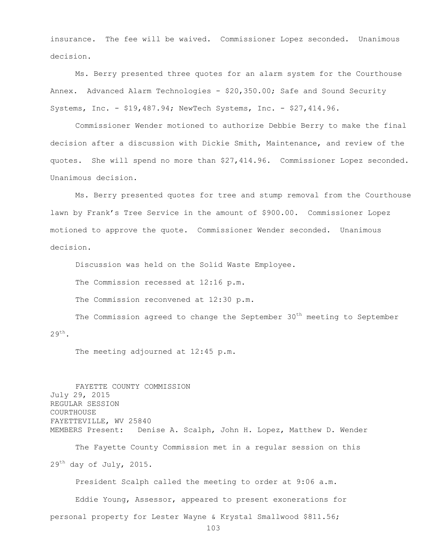insurance. The fee will be waived. Commissioner Lopez seconded. Unanimous decision.

Ms. Berry presented three quotes for an alarm system for the Courthouse Annex. Advanced Alarm Technologies - \$20,350.00; Safe and Sound Security Systems, Inc. - \$19,487.94; NewTech Systems, Inc. - \$27,414.96.

Commissioner Wender motioned to authorize Debbie Berry to make the final decision after a discussion with Dickie Smith, Maintenance, and review of the quotes. She will spend no more than \$27,414.96. Commissioner Lopez seconded. Unanimous decision.

Ms. Berry presented quotes for tree and stump removal from the Courthouse lawn by Frank's Tree Service in the amount of \$900.00. Commissioner Lopez motioned to approve the quote. Commissioner Wender seconded. Unanimous decision.

Discussion was held on the Solid Waste Employee.

The Commission recessed at 12:16 p.m.

The Commission reconvened at 12:30 p.m.

The Commission agreed to change the September  $30<sup>th</sup>$  meeting to September  $29<sup>th</sup>$ .

The meeting adjourned at 12:45 p.m.

FAYETTE COUNTY COMMISSION July 29, 2015 REGULAR SESSION **COURTHOUSE** FAYETTEVILLE, WV 25840 MEMBERS Present: Denise A. Scalph, John H. Lopez, Matthew D. Wender The Fayette County Commission met in a regular session on this  $29<sup>th</sup>$  day of July, 2015. President Scalph called the meeting to order at 9:06 a.m.

Eddie Young, Assessor, appeared to present exonerations for personal property for Lester Wayne & Krystal Smallwood \$811.56;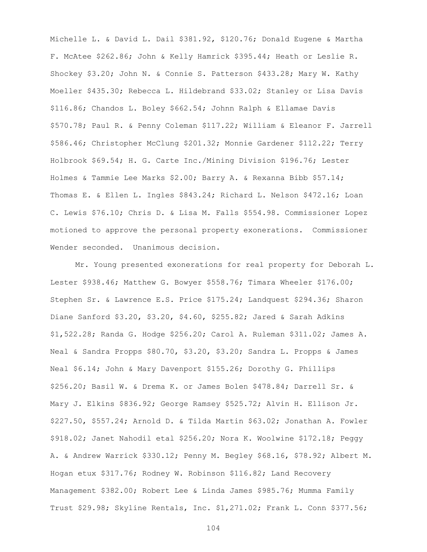Michelle L. & David L. Dail \$381.92, \$120.76; Donald Eugene & Martha F. McAtee \$262.86; John & Kelly Hamrick \$395.44; Heath or Leslie R. Shockey \$3.20; John N. & Connie S. Patterson \$433.28; Mary W. Kathy Moeller \$435.30; Rebecca L. Hildebrand \$33.02; Stanley or Lisa Davis \$116.86; Chandos L. Boley \$662.54; Johnn Ralph & Ellamae Davis \$570.78; Paul R. & Penny Coleman \$117.22; William & Eleanor F. Jarrell \$586.46; Christopher McClung \$201.32; Monnie Gardener \$112.22; Terry Holbrook \$69.54; H. G. Carte Inc./Mining Division \$196.76; Lester Holmes & Tammie Lee Marks \$2.00; Barry A. & Rexanna Bibb \$57.14; Thomas E. & Ellen L. Ingles \$843.24; Richard L. Nelson \$472.16; Loan C. Lewis \$76.10; Chris D. & Lisa M. Falls \$554.98. Commissioner Lopez motioned to approve the personal property exonerations. Commissioner Wender seconded. Unanimous decision.

Mr. Young presented exonerations for real property for Deborah L. Lester \$938.46; Matthew G. Bowyer \$558.76; Timara Wheeler \$176.00; Stephen Sr. & Lawrence E.S. Price \$175.24; Landquest \$294.36; Sharon Diane Sanford \$3.20, \$3.20, \$4.60, \$255.82; Jared & Sarah Adkins \$1,522.28; Randa G. Hodge \$256.20; Carol A. Ruleman \$311.02; James A. Neal & Sandra Propps \$80.70, \$3.20, \$3.20; Sandra L. Propps & James Neal \$6.14; John & Mary Davenport \$155.26; Dorothy G. Phillips \$256.20; Basil W. & Drema K. or James Bolen \$478.84; Darrell Sr. & Mary J. Elkins \$836.92; George Ramsey \$525.72; Alvin H. Ellison Jr. \$227.50, \$557.24; Arnold D. & Tilda Martin \$63.02; Jonathan A. Fowler \$918.02; Janet Nahodil etal \$256.20; Nora K. Woolwine \$172.18; Peggy A. & Andrew Warrick \$330.12; Penny M. Begley \$68.16, \$78.92; Albert M. Hogan etux \$317.76; Rodney W. Robinson \$116.82; Land Recovery Management \$382.00; Robert Lee & Linda James \$985.76; Mumma Family Trust \$29.98; Skyline Rentals, Inc. \$1,271.02; Frank L. Conn \$377.56;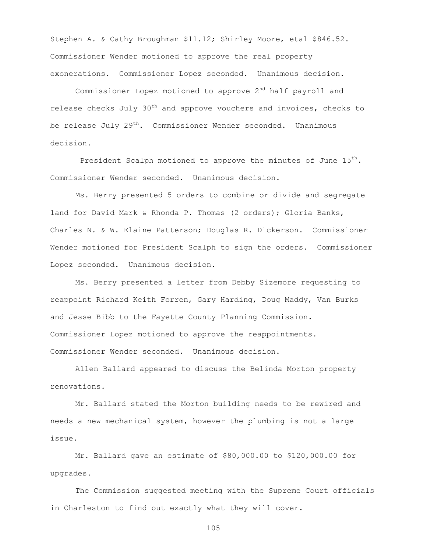Stephen A. & Cathy Broughman \$11.12; Shirley Moore, etal \$846.52. Commissioner Wender motioned to approve the real property exonerations. Commissioner Lopez seconded. Unanimous decision.

Commissioner Lopez motioned to approve 2<sup>nd</sup> half payroll and release checks July  $30<sup>th</sup>$  and approve vouchers and invoices, checks to be release July  $29^{th}$ . Commissioner Wender seconded. Unanimous decision.

President Scalph motioned to approve the minutes of June 15<sup>th</sup>. Commissioner Wender seconded. Unanimous decision.

Ms. Berry presented 5 orders to combine or divide and segregate land for David Mark & Rhonda P. Thomas (2 orders); Gloria Banks, Charles N. & W. Elaine Patterson; Douglas R. Dickerson. Commissioner Wender motioned for President Scalph to sign the orders. Commissioner Lopez seconded. Unanimous decision.

Ms. Berry presented a letter from Debby Sizemore requesting to reappoint Richard Keith Forren, Gary Harding, Doug Maddy, Van Burks and Jesse Bibb to the Fayette County Planning Commission. Commissioner Lopez motioned to approve the reappointments. Commissioner Wender seconded. Unanimous decision.

Allen Ballard appeared to discuss the Belinda Morton property renovations.

Mr. Ballard stated the Morton building needs to be rewired and needs a new mechanical system, however the plumbing is not a large issue.

Mr. Ballard gave an estimate of \$80,000.00 to \$120,000.00 for upgrades.

The Commission suggested meeting with the Supreme Court officials in Charleston to find out exactly what they will cover.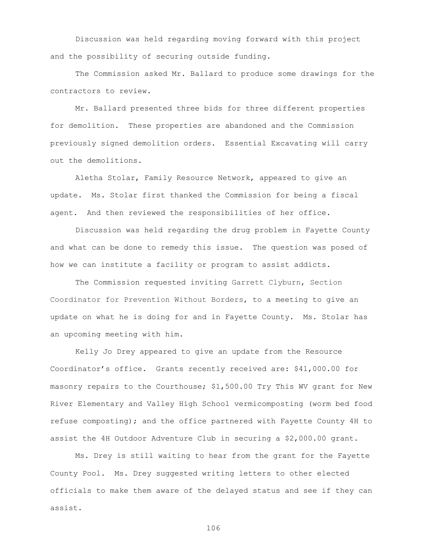Discussion was held regarding moving forward with this project and the possibility of securing outside funding.

The Commission asked Mr. Ballard to produce some drawings for the contractors to review.

Mr. Ballard presented three bids for three different properties for demolition. These properties are abandoned and the Commission previously signed demolition orders. Essential Excavating will carry out the demolitions.

Aletha Stolar, Family Resource Network, appeared to give an update. Ms. Stolar first thanked the Commission for being a fiscal agent. And then reviewed the responsibilities of her office.

Discussion was held regarding the drug problem in Fayette County and what can be done to remedy this issue. The question was posed of how we can institute a facility or program to assist addicts.

The Commission requested inviting Garrett Clyburn, Section Coordinator for Prevention Without Borders, to a meeting to give an update on what he is doing for and in Fayette County. Ms. Stolar has an upcoming meeting with him.

Kelly Jo Drey appeared to give an update from the Resource Coordinator's office. Grants recently received are: \$41,000.00 for masonry repairs to the Courthouse; \$1,500.00 Try This WV grant for New River Elementary and Valley High School vermicomposting (worm bed food refuse composting); and the office partnered with Fayette County 4H to assist the 4H Outdoor Adventure Club in securing a \$2,000.00 grant.

Ms. Drey is still waiting to hear from the grant for the Fayette County Pool. Ms. Drey suggested writing letters to other elected officials to make them aware of the delayed status and see if they can assist.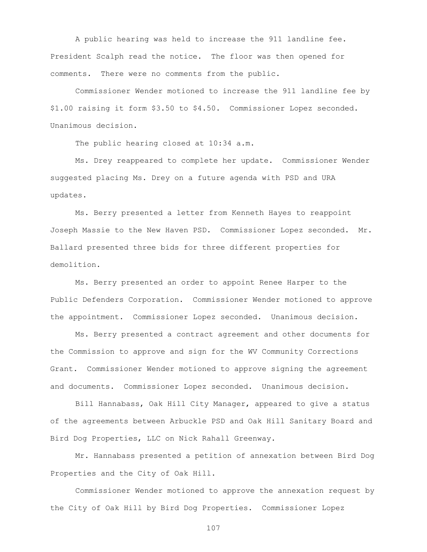A public hearing was held to increase the 911 landline fee. President Scalph read the notice. The floor was then opened for comments. There were no comments from the public.

Commissioner Wender motioned to increase the 911 landline fee by \$1.00 raising it form \$3.50 to \$4.50. Commissioner Lopez seconded. Unanimous decision.

The public hearing closed at 10:34 a.m.

Ms. Drey reappeared to complete her update. Commissioner Wender suggested placing Ms. Drey on a future agenda with PSD and URA updates.

Ms. Berry presented a letter from Kenneth Hayes to reappoint Joseph Massie to the New Haven PSD. Commissioner Lopez seconded. Mr. Ballard presented three bids for three different properties for demolition.

Ms. Berry presented an order to appoint Renee Harper to the Public Defenders Corporation. Commissioner Wender motioned to approve the appointment. Commissioner Lopez seconded. Unanimous decision.

Ms. Berry presented a contract agreement and other documents for the Commission to approve and sign for the WV Community Corrections Grant. Commissioner Wender motioned to approve signing the agreement and documents. Commissioner Lopez seconded. Unanimous decision.

Bill Hannabass, Oak Hill City Manager, appeared to give a status of the agreements between Arbuckle PSD and Oak Hill Sanitary Board and Bird Dog Properties, LLC on Nick Rahall Greenway.

Mr. Hannabass presented a petition of annexation between Bird Dog Properties and the City of Oak Hill.

Commissioner Wender motioned to approve the annexation request by the City of Oak Hill by Bird Dog Properties. Commissioner Lopez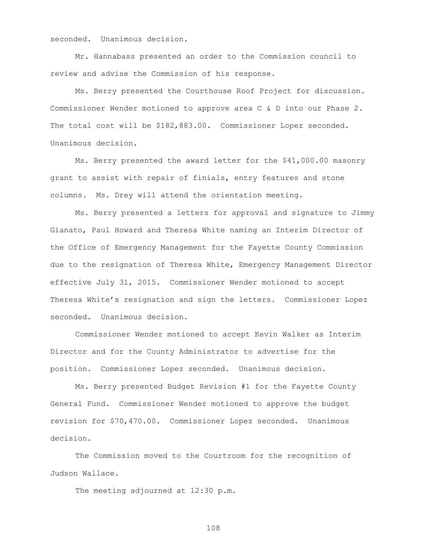seconded. Unanimous decision.

Mr. Hannabass presented an order to the Commission council to review and advise the Commission of his response.

Ms. Berry presented the Courthouse Roof Project for discussion. Commissioner Wender motioned to approve area C & D into our Phase 2. The total cost will be \$182,883.00. Commissioner Lopez seconded. Unanimous decision.

Ms. Berry presented the award letter for the \$41,000.00 masonry grant to assist with repair of finials, entry features and stone columns. Ms. Drey will attend the orientation meeting.

Ms. Berry presented a letters for approval and signature to Jimmy Gianato, Paul Howard and Theresa White naming an Interim Director of the Office of Emergency Management for the Fayette County Commission due to the resignation of Theresa White, Emergency Management Director effective July 31, 2015. Commissioner Wender motioned to accept Theresa White's resignation and sign the letters. Commissioner Lopez seconded. Unanimous decision.

Commissioner Wender motioned to accept Kevin Walker as Interim Director and for the County Administrator to advertise for the position. Commissioner Lopez seconded. Unanimous decision.

Ms. Berry presented Budget Revision #1 for the Fayette County General Fund. Commissioner Wender motioned to approve the budget revision for \$70,470.00. Commissioner Lopez seconded. Unanimous decision.

The Commission moved to the Courtroom for the recognition of Judson Wallace.

The meeting adjourned at 12:30 p.m.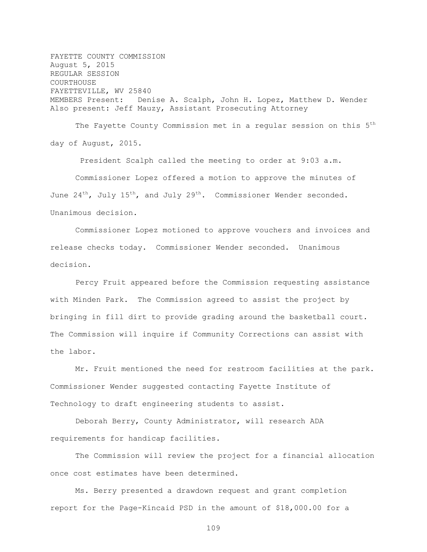FAYETTE COUNTY COMMISSION August 5, 2015 REGULAR SESSION COURTHOUSE FAYETTEVILLE, WV 25840 MEMBERS Present: Denise A. Scalph, John H. Lopez, Matthew D. Wender Also present: Jeff Mauzy, Assistant Prosecuting Attorney

The Fayette County Commission met in a regular session on this 5<sup>th</sup> day of August, 2015.

President Scalph called the meeting to order at 9:03 a.m. Commissioner Lopez offered a motion to approve the minutes of June  $24^{th}$ , July  $15^{th}$ , and July  $29^{th}$ . Commissioner Wender seconded. Unanimous decision.

Commissioner Lopez motioned to approve vouchers and invoices and release checks today. Commissioner Wender seconded. Unanimous decision.

Percy Fruit appeared before the Commission requesting assistance with Minden Park. The Commission agreed to assist the project by bringing in fill dirt to provide grading around the basketball court. The Commission will inquire if Community Corrections can assist with the labor.

Mr. Fruit mentioned the need for restroom facilities at the park. Commissioner Wender suggested contacting Fayette Institute of Technology to draft engineering students to assist.

Deborah Berry, County Administrator, will research ADA requirements for handicap facilities.

The Commission will review the project for a financial allocation once cost estimates have been determined.

Ms. Berry presented a drawdown request and grant completion report for the Page-Kincaid PSD in the amount of \$18,000.00 for a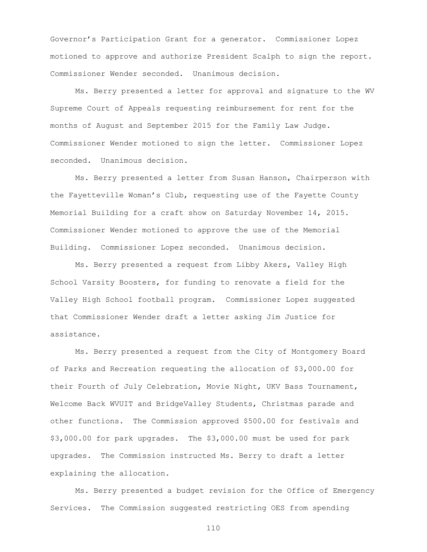Governor's Participation Grant for a generator. Commissioner Lopez motioned to approve and authorize President Scalph to sign the report. Commissioner Wender seconded. Unanimous decision.

Ms. Berry presented a letter for approval and signature to the WV Supreme Court of Appeals requesting reimbursement for rent for the months of August and September 2015 for the Family Law Judge. Commissioner Wender motioned to sign the letter. Commissioner Lopez seconded. Unanimous decision.

Ms. Berry presented a letter from Susan Hanson, Chairperson with the Fayetteville Woman's Club, requesting use of the Fayette County Memorial Building for a craft show on Saturday November 14, 2015. Commissioner Wender motioned to approve the use of the Memorial Building. Commissioner Lopez seconded. Unanimous decision.

Ms. Berry presented a request from Libby Akers, Valley High School Varsity Boosters, for funding to renovate a field for the Valley High School football program. Commissioner Lopez suggested that Commissioner Wender draft a letter asking Jim Justice for assistance.

Ms. Berry presented a request from the City of Montgomery Board of Parks and Recreation requesting the allocation of \$3,000.00 for their Fourth of July Celebration, Movie Night, UKV Bass Tournament, Welcome Back WVUIT and BridgeValley Students, Christmas parade and other functions. The Commission approved \$500.00 for festivals and \$3,000.00 for park upgrades. The \$3,000.00 must be used for park upgrades. The Commission instructed Ms. Berry to draft a letter explaining the allocation.

Ms. Berry presented a budget revision for the Office of Emergency Services. The Commission suggested restricting OES from spending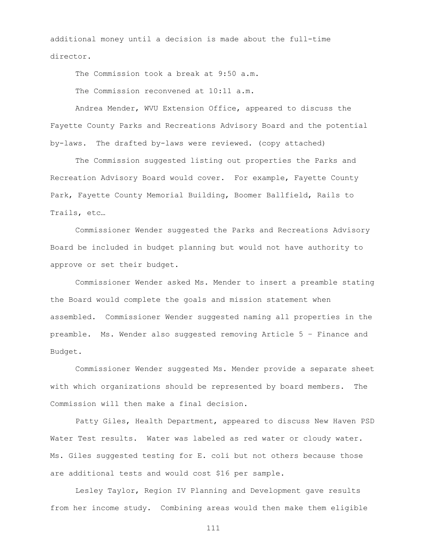additional money until a decision is made about the full-time director.

The Commission took a break at 9:50 a.m.

The Commission reconvened at 10:11 a.m.

Andrea Mender, WVU Extension Office, appeared to discuss the Fayette County Parks and Recreations Advisory Board and the potential by-laws. The drafted by-laws were reviewed. (copy attached)

The Commission suggested listing out properties the Parks and Recreation Advisory Board would cover. For example, Fayette County Park, Fayette County Memorial Building, Boomer Ballfield, Rails to Trails, etc…

Commissioner Wender suggested the Parks and Recreations Advisory Board be included in budget planning but would not have authority to approve or set their budget.

Commissioner Wender asked Ms. Mender to insert a preamble stating the Board would complete the goals and mission statement when assembled. Commissioner Wender suggested naming all properties in the preamble. Ms. Wender also suggested removing Article 5 – Finance and Budget.

Commissioner Wender suggested Ms. Mender provide a separate sheet with which organizations should be represented by board members. The Commission will then make a final decision.

Patty Giles, Health Department, appeared to discuss New Haven PSD Water Test results. Water was labeled as red water or cloudy water. Ms. Giles suggested testing for E. coli but not others because those are additional tests and would cost \$16 per sample.

Lesley Taylor, Region IV Planning and Development gave results from her income study. Combining areas would then make them eligible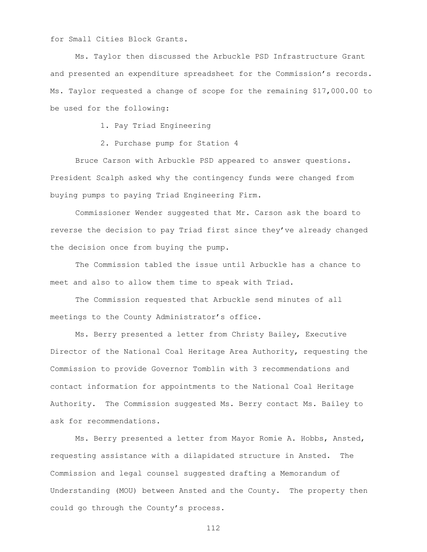for Small Cities Block Grants.

Ms. Taylor then discussed the Arbuckle PSD Infrastructure Grant and presented an expenditure spreadsheet for the Commission's records. Ms. Taylor requested a change of scope for the remaining \$17,000.00 to be used for the following:

1. Pay Triad Engineering

2. Purchase pump for Station 4

Bruce Carson with Arbuckle PSD appeared to answer questions. President Scalph asked why the contingency funds were changed from buying pumps to paying Triad Engineering Firm.

Commissioner Wender suggested that Mr. Carson ask the board to reverse the decision to pay Triad first since they've already changed the decision once from buying the pump.

The Commission tabled the issue until Arbuckle has a chance to meet and also to allow them time to speak with Triad.

The Commission requested that Arbuckle send minutes of all meetings to the County Administrator's office.

Ms. Berry presented a letter from Christy Bailey, Executive Director of the National Coal Heritage Area Authority, requesting the Commission to provide Governor Tomblin with 3 recommendations and contact information for appointments to the National Coal Heritage Authority. The Commission suggested Ms. Berry contact Ms. Bailey to ask for recommendations.

Ms. Berry presented a letter from Mayor Romie A. Hobbs, Ansted, requesting assistance with a dilapidated structure in Ansted. The Commission and legal counsel suggested drafting a Memorandum of Understanding (MOU) between Ansted and the County. The property then could go through the County's process.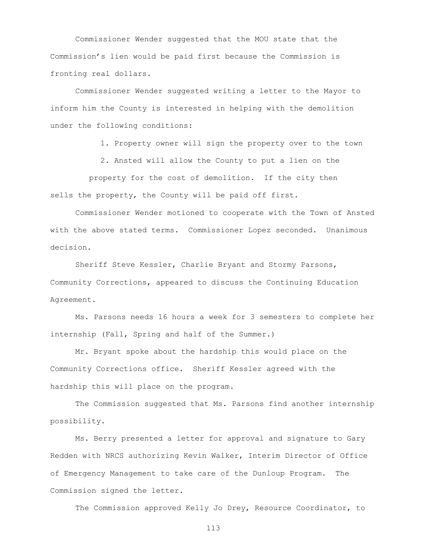Commissioner Wender suggested that the MOU state that the Commission's lien would be paid first because the Commission is fronting real dollars.

Commissioner Wender suggested writing a letter to the Mayor to inform him the County is interested in helping with the demolition under the following conditions:

1. Property owner will sign the property over to the town

2. Ansted will allow the County to put a lien on the

 property for the cost of demolition. If the city then sells the property, the County will be paid off first.

Commissioner Wender motioned to cooperate with the Town of Ansted with the above stated terms. Commissioner Lopez seconded. Unanimous decision.

Sheriff Steve Kessler, Charlie Bryant and Stormy Parsons, Community Corrections, appeared to discuss the Continuing Education Agreement.

Ms. Parsons needs 16 hours a week for 3 semesters to complete her internship (Fall, Spring and half of the Summer.)

Mr. Bryant spoke about the hardship this would place on the Community Corrections office. Sheriff Kessler agreed with the hardship this will place on the program.

The Commission suggested that Ms. Parsons find another internship possibility.

Ms. Berry presented a letter for approval and signature to Gary Redden with NRCS authorizing Kevin Walker, Interim Director of Office of Emergency Management to take care of the Dunloup Program. The Commission signed the letter.

The Commission approved Kelly Jo Drey, Resource Coordinator, to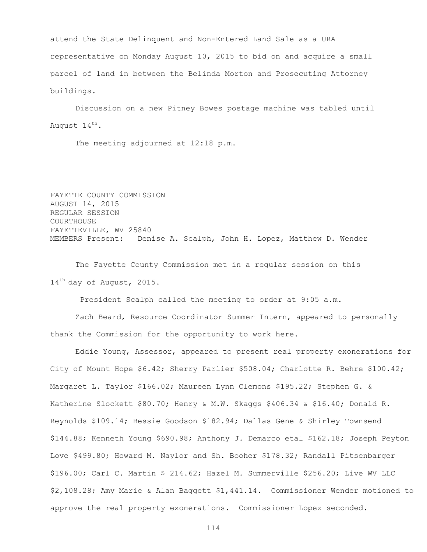attend the State Delinquent and Non-Entered Land Sale as a URA representative on Monday August 10, 2015 to bid on and acquire a small parcel of land in between the Belinda Morton and Prosecuting Attorney buildings.

Discussion on a new Pitney Bowes postage machine was tabled until August 14<sup>th</sup>.

The meeting adjourned at 12:18 p.m.

FAYETTE COUNTY COMMISSION AUGUST 14, 2015 REGULAR SESSION **COURTHOUSE** FAYETTEVILLE, WV 25840 MEMBERS Present: Denise A. Scalph, John H. Lopez, Matthew D. Wender

The Fayette County Commission met in a regular session on this 14<sup>th</sup> day of August, 2015.

President Scalph called the meeting to order at 9:05 a.m.

Zach Beard, Resource Coordinator Summer Intern, appeared to personally thank the Commission for the opportunity to work here.

Eddie Young, Assessor, appeared to present real property exonerations for City of Mount Hope \$6.42; Sherry Parlier \$508.04; Charlotte R. Behre \$100.42; Margaret L. Taylor \$166.02; Maureen Lynn Clemons \$195.22; Stephen G. & Katherine Slockett \$80.70; Henry & M.W. Skaggs \$406.34 & \$16.40; Donald R. Reynolds \$109.14; Bessie Goodson \$182.94; Dallas Gene & Shirley Townsend \$144.88; Kenneth Young \$690.98; Anthony J. Demarco etal \$162.18; Joseph Peyton Love \$499.80; Howard M. Naylor and Sh. Booher \$178.32; Randall Pitsenbarger \$196.00; Carl C. Martin \$ 214.62; Hazel M. Summerville \$256.20; Live WV LLC \$2,108.28; Amy Marie & Alan Baggett \$1,441.14. Commissioner Wender motioned to approve the real property exonerations. Commissioner Lopez seconded.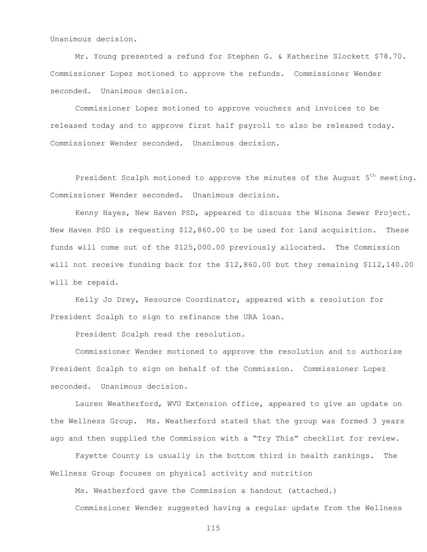Unanimous decision.

Mr. Young presented a refund for Stephen G. & Katherine Slockett \$78.70. Commissioner Lopez motioned to approve the refunds. Commissioner Wender seconded. Unanimous decision.

Commissioner Lopez motioned to approve vouchers and invoices to be released today and to approve first half payroll to also be released today. Commissioner Wender seconded. Unanimous decision.

President Scalph motioned to approve the minutes of the August 5<sup>th</sup> meeting. Commissioner Wender seconded. Unanimous decision.

Kenny Hayes, New Haven PSD, appeared to discuss the Winona Sewer Project. New Haven PSD is requesting \$12,860.00 to be used for land acquisition. These funds will come out of the \$125,000.00 previously allocated. The Commission will not receive funding back for the \$12,860.00 but they remaining \$112,140.00 will be repaid.

Kelly Jo Drey, Resource Coordinator, appeared with a resolution for President Scalph to sign to refinance the URA loan.

President Scalph read the resolution.

Commissioner Wender motioned to approve the resolution and to authorize President Scalph to sign on behalf of the Commission. Commissioner Lopez seconded. Unanimous decision.

Lauren Weatherford, WVU Extension office, appeared to give an update on the Wellness Group. Ms. Weatherford stated that the group was formed 3 years ago and then supplied the Commission with a "Try This" checklist for review.

Fayette County is usually in the bottom third in health rankings. The Wellness Group focuses on physical activity and nutrition

Ms. Weatherford gave the Commission a handout (attached.)

Commissioner Wender suggested having a regular update from the Wellness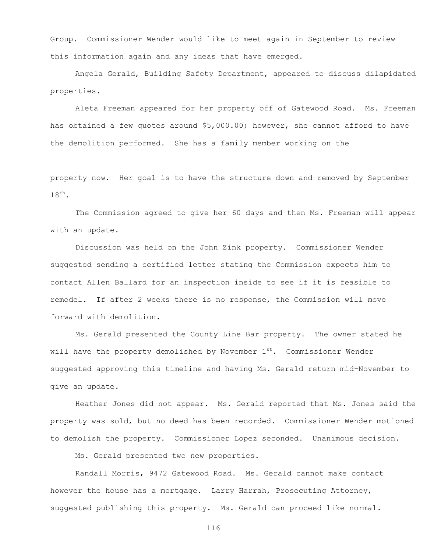Group. Commissioner Wender would like to meet again in September to review this information again and any ideas that have emerged.

Angela Gerald, Building Safety Department, appeared to discuss dilapidated properties.

Aleta Freeman appeared for her property off of Gatewood Road. Ms. Freeman has obtained a few quotes around \$5,000.00; however, she cannot afford to have the demolition performed. She has a family member working on the

property now. Her goal is to have the structure down and removed by September  $18^{\text{th}}$ .

The Commission agreed to give her 60 days and then Ms. Freeman will appear with an update.

Discussion was held on the John Zink property. Commissioner Wender suggested sending a certified letter stating the Commission expects him to contact Allen Ballard for an inspection inside to see if it is feasible to remodel. If after 2 weeks there is no response, the Commission will move forward with demolition.

Ms. Gerald presented the County Line Bar property. The owner stated he will have the property demolished by November  $1<sup>st</sup>$ . Commissioner Wender suggested approving this timeline and having Ms. Gerald return mid-November to give an update.

Heather Jones did not appear. Ms. Gerald reported that Ms. Jones said the property was sold, but no deed has been recorded. Commissioner Wender motioned to demolish the property. Commissioner Lopez seconded. Unanimous decision.

Ms. Gerald presented two new properties.

Randall Morris, 9472 Gatewood Road. Ms. Gerald cannot make contact however the house has a mortgage. Larry Harrah, Prosecuting Attorney, suggested publishing this property. Ms. Gerald can proceed like normal.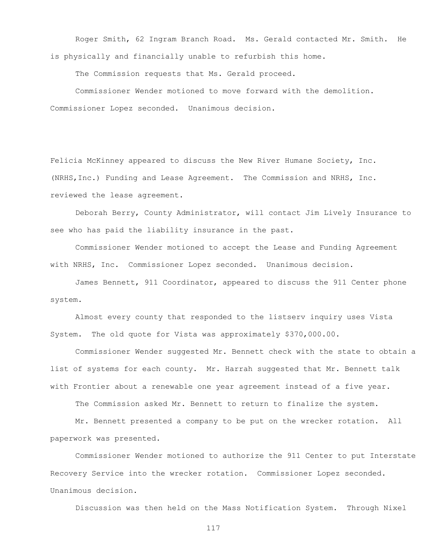Roger Smith, 62 Ingram Branch Road. Ms. Gerald contacted Mr. Smith. He is physically and financially unable to refurbish this home.

The Commission requests that Ms. Gerald proceed.

Commissioner Wender motioned to move forward with the demolition. Commissioner Lopez seconded. Unanimous decision.

Felicia McKinney appeared to discuss the New River Humane Society, Inc. (NRHS,Inc.) Funding and Lease Agreement. The Commission and NRHS, Inc. reviewed the lease agreement.

Deborah Berry, County Administrator, will contact Jim Lively Insurance to see who has paid the liability insurance in the past.

Commissioner Wender motioned to accept the Lease and Funding Agreement with NRHS, Inc. Commissioner Lopez seconded. Unanimous decision.

James Bennett, 911 Coordinator, appeared to discuss the 911 Center phone system.

Almost every county that responded to the listserv inquiry uses Vista System. The old quote for Vista was approximately \$370,000.00.

Commissioner Wender suggested Mr. Bennett check with the state to obtain a list of systems for each county. Mr. Harrah suggested that Mr. Bennett talk with Frontier about a renewable one year agreement instead of a five year.

The Commission asked Mr. Bennett to return to finalize the system.

Mr. Bennett presented a company to be put on the wrecker rotation. All paperwork was presented.

Commissioner Wender motioned to authorize the 911 Center to put Interstate Recovery Service into the wrecker rotation. Commissioner Lopez seconded. Unanimous decision.

Discussion was then held on the Mass Notification System. Through Nixel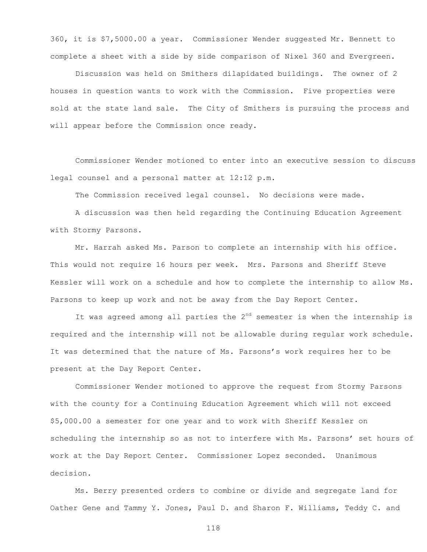360, it is \$7,5000.00 a year. Commissioner Wender suggested Mr. Bennett to complete a sheet with a side by side comparison of Nixel 360 and Evergreen.

Discussion was held on Smithers dilapidated buildings. The owner of 2 houses in question wants to work with the Commission. Five properties were sold at the state land sale. The City of Smithers is pursuing the process and will appear before the Commission once ready.

Commissioner Wender motioned to enter into an executive session to discuss legal counsel and a personal matter at 12:12 p.m.

The Commission received legal counsel. No decisions were made.

A discussion was then held regarding the Continuing Education Agreement with Stormy Parsons.

Mr. Harrah asked Ms. Parson to complete an internship with his office. This would not require 16 hours per week. Mrs. Parsons and Sheriff Steve Kessler will work on a schedule and how to complete the internship to allow Ms. Parsons to keep up work and not be away from the Day Report Center.

It was agreed among all parties the  $2<sup>nd</sup>$  semester is when the internship is required and the internship will not be allowable during regular work schedule. It was determined that the nature of Ms. Parsons's work requires her to be present at the Day Report Center.

Commissioner Wender motioned to approve the request from Stormy Parsons with the county for a Continuing Education Agreement which will not exceed \$5,000.00 a semester for one year and to work with Sheriff Kessler on scheduling the internship so as not to interfere with Ms. Parsons' set hours of work at the Day Report Center. Commissioner Lopez seconded. Unanimous decision.

Ms. Berry presented orders to combine or divide and segregate land for Oather Gene and Tammy Y. Jones, Paul D. and Sharon F. Williams, Teddy C. and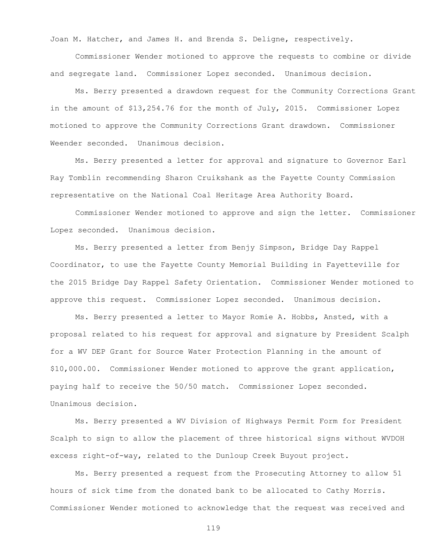Joan M. Hatcher, and James H. and Brenda S. Deligne, respectively.

Commissioner Wender motioned to approve the requests to combine or divide and segregate land. Commissioner Lopez seconded. Unanimous decision.

Ms. Berry presented a drawdown request for the Community Corrections Grant in the amount of \$13,254.76 for the month of July, 2015. Commissioner Lopez motioned to approve the Community Corrections Grant drawdown. Commissioner Weender seconded. Unanimous decision.

Ms. Berry presented a letter for approval and signature to Governor Earl Ray Tomblin recommending Sharon Cruikshank as the Fayette County Commission representative on the National Coal Heritage Area Authority Board.

Commissioner Wender motioned to approve and sign the letter. Commissioner Lopez seconded. Unanimous decision.

Ms. Berry presented a letter from Benjy Simpson, Bridge Day Rappel Coordinator, to use the Fayette County Memorial Building in Fayetteville for the 2015 Bridge Day Rappel Safety Orientation. Commissioner Wender motioned to approve this request. Commissioner Lopez seconded. Unanimous decision.

Ms. Berry presented a letter to Mayor Romie A. Hobbs, Ansted, with a proposal related to his request for approval and signature by President Scalph for a WV DEP Grant for Source Water Protection Planning in the amount of \$10,000.00. Commissioner Wender motioned to approve the grant application, paying half to receive the 50/50 match. Commissioner Lopez seconded. Unanimous decision.

Ms. Berry presented a WV Division of Highways Permit Form for President Scalph to sign to allow the placement of three historical signs without WVDOH excess right-of-way, related to the Dunloup Creek Buyout project.

Ms. Berry presented a request from the Prosecuting Attorney to allow 51 hours of sick time from the donated bank to be allocated to Cathy Morris. Commissioner Wender motioned to acknowledge that the request was received and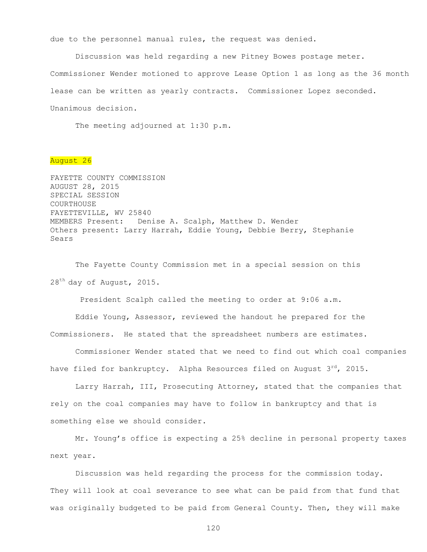due to the personnel manual rules, the request was denied.

Discussion was held regarding a new Pitney Bowes postage meter. Commissioner Wender motioned to approve Lease Option 1 as long as the 36 month lease can be written as yearly contracts. Commissioner Lopez seconded. Unanimous decision.

The meeting adjourned at 1:30 p.m.

## August 26

FAYETTE COUNTY COMMISSION AUGUST 28, 2015 SPECIAL SESSION COURTHOUSE FAYETTEVILLE, WV 25840 MEMBERS Present: Denise A. Scalph, Matthew D. Wender Others present: Larry Harrah, Eddie Young, Debbie Berry, Stephanie Sears

The Fayette County Commission met in a special session on this 28<sup>th</sup> day of August, 2015.

President Scalph called the meeting to order at 9:06 a.m.

Eddie Young, Assessor, reviewed the handout he prepared for the Commissioners. He stated that the spreadsheet numbers are estimates.

Commissioner Wender stated that we need to find out which coal companies have filed for bankruptcy. Alpha Resources filed on August  $3<sup>rd</sup>$ , 2015.

Larry Harrah, III, Prosecuting Attorney, stated that the companies that rely on the coal companies may have to follow in bankruptcy and that is something else we should consider.

Mr. Young's office is expecting a 25% decline in personal property taxes next year.

Discussion was held regarding the process for the commission today. They will look at coal severance to see what can be paid from that fund that was originally budgeted to be paid from General County. Then, they will make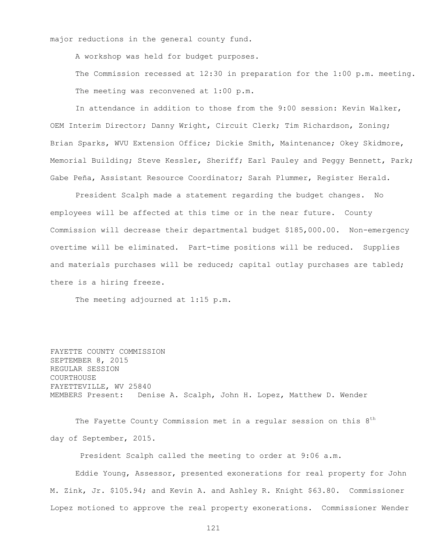major reductions in the general county fund.

A workshop was held for budget purposes.

The Commission recessed at 12:30 in preparation for the 1:00 p.m. meeting. The meeting was reconvened at 1:00 p.m.

In attendance in addition to those from the 9:00 session: Kevin Walker, OEM Interim Director; Danny Wright, Circuit Clerk; Tim Richardson, Zoning; Brian Sparks, WVU Extension Office; Dickie Smith, Maintenance; Okey Skidmore, Memorial Building; Steve Kessler, Sheriff; Earl Pauley and Peggy Bennett, Park; Gabe Peña, Assistant Resource Coordinator; Sarah Plummer, Register Herald.

President Scalph made a statement regarding the budget changes. No employees will be affected at this time or in the near future. County Commission will decrease their departmental budget \$185,000.00. Non-emergency overtime will be eliminated. Part-time positions will be reduced. Supplies and materials purchases will be reduced; capital outlay purchases are tabled; there is a hiring freeze.

The meeting adjourned at 1:15 p.m.

FAYETTE COUNTY COMMISSION SEPTEMBER 8, 2015 REGULAR SESSION COURTHOUSE FAYETTEVILLE, WV 25840 MEMBERS Present: Denise A. Scalph, John H. Lopez, Matthew D. Wender

The Fayette County Commission met in a regular session on this  $8^{\rm th}$ day of September, 2015.

President Scalph called the meeting to order at 9:06 a.m.

Eddie Young, Assessor, presented exonerations for real property for John M. Zink, Jr. \$105.94; and Kevin A. and Ashley R. Knight \$63.80. Commissioner Lopez motioned to approve the real property exonerations. Commissioner Wender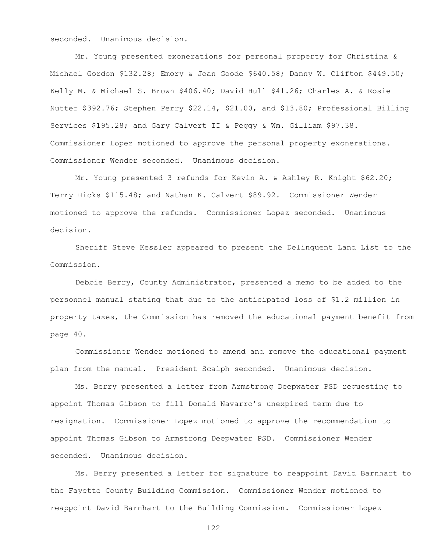seconded. Unanimous decision.

Mr. Young presented exonerations for personal property for Christina & Michael Gordon \$132.28; Emory & Joan Goode \$640.58; Danny W. Clifton \$449.50; Kelly M. & Michael S. Brown \$406.40; David Hull \$41.26; Charles A. & Rosie Nutter \$392.76; Stephen Perry \$22.14, \$21.00, and \$13.80; Professional Billing Services \$195.28; and Gary Calvert II & Peggy & Wm. Gilliam \$97.38. Commissioner Lopez motioned to approve the personal property exonerations. Commissioner Wender seconded. Unanimous decision.

Mr. Young presented 3 refunds for Kevin A. & Ashley R. Knight \$62.20; Terry Hicks \$115.48; and Nathan K. Calvert \$89.92. Commissioner Wender motioned to approve the refunds. Commissioner Lopez seconded. Unanimous decision.

Sheriff Steve Kessler appeared to present the Delinquent Land List to the Commission.

Debbie Berry, County Administrator, presented a memo to be added to the personnel manual stating that due to the anticipated loss of \$1.2 million in property taxes, the Commission has removed the educational payment benefit from page 40.

Commissioner Wender motioned to amend and remove the educational payment plan from the manual. President Scalph seconded. Unanimous decision.

Ms. Berry presented a letter from Armstrong Deepwater PSD requesting to appoint Thomas Gibson to fill Donald Navarro's unexpired term due to resignation. Commissioner Lopez motioned to approve the recommendation to appoint Thomas Gibson to Armstrong Deepwater PSD. Commissioner Wender seconded. Unanimous decision.

Ms. Berry presented a letter for signature to reappoint David Barnhart to the Fayette County Building Commission. Commissioner Wender motioned to reappoint David Barnhart to the Building Commission. Commissioner Lopez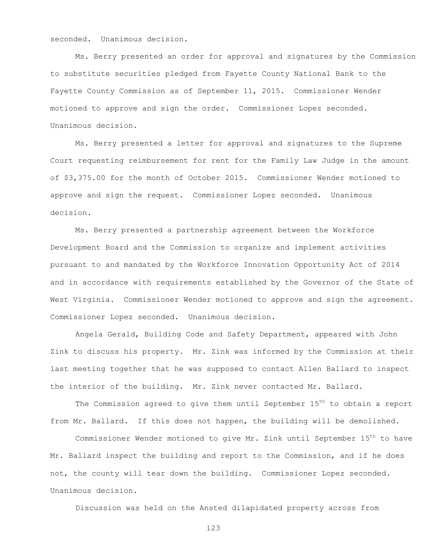seconded. Unanimous decision.

Ms. Berry presented an order for approval and signatures by the Commission to substitute securities pledged from Fayette County National Bank to the Fayette County Commission as of September 11, 2015. Commissioner Wender motioned to approve and sign the order. Commissioner Lopez seconded. Unanimous decision.

Ms. Berry presented a letter for approval and signatures to the Supreme Court requesting reimbursement for rent for the Family Law Judge in the amount of \$3,375.00 for the month of October 2015. Commissioner Wender motioned to approve and sign the request. Commissioner Lopez seconded. Unanimous decision.

Ms. Berry presented a partnership agreement between the Workforce Development Board and the Commission to organize and implement activities pursuant to and mandated by the Workforce Innovation Opportunity Act of 2014 and in accordance with requirements established by the Governor of the State of West Virginia. Commissioner Wender motioned to approve and sign the agreement. Commissioner Lopez seconded. Unanimous decision.

Angela Gerald, Building Code and Safety Department, appeared with John Zink to discuss his property. Mr. Zink was informed by the Commission at their last meeting together that he was supposed to contact Allen Ballard to inspect the interior of the building. Mr. Zink never contacted Mr. Ballard.

The Commission agreed to give them until September  $15<sup>th</sup>$  to obtain a report from Mr. Ballard. If this does not happen, the building will be demolished.

Commissioner Wender motioned to give Mr. Zink until September 15<sup>th</sup> to have Mr. Ballard inspect the building and report to the Commission, and if he does not, the county will tear down the building. Commissioner Lopez seconded. Unanimous decision.

Discussion was held on the Ansted dilapidated property across from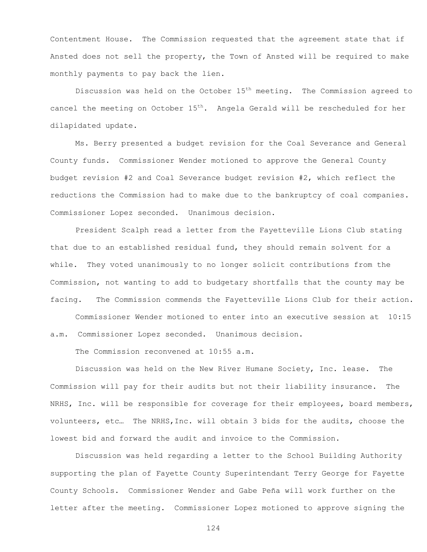Contentment House. The Commission requested that the agreement state that if Ansted does not sell the property, the Town of Ansted will be required to make monthly payments to pay back the lien.

Discussion was held on the October  $15<sup>th</sup>$  meeting. The Commission agreed to cancel the meeting on October  $15<sup>th</sup>$ . Angela Gerald will be rescheduled for her dilapidated update.

Ms. Berry presented a budget revision for the Coal Severance and General County funds. Commissioner Wender motioned to approve the General County budget revision #2 and Coal Severance budget revision #2, which reflect the reductions the Commission had to make due to the bankruptcy of coal companies. Commissioner Lopez seconded. Unanimous decision.

President Scalph read a letter from the Fayetteville Lions Club stating that due to an established residual fund, they should remain solvent for a while. They voted unanimously to no longer solicit contributions from the Commission, not wanting to add to budgetary shortfalls that the county may be facing. The Commission commends the Fayetteville Lions Club for their action.

Commissioner Wender motioned to enter into an executive session at 10:15 a.m. Commissioner Lopez seconded. Unanimous decision.

The Commission reconvened at 10:55 a.m.

Discussion was held on the New River Humane Society, Inc. lease. The Commission will pay for their audits but not their liability insurance. The NRHS, Inc. will be responsible for coverage for their employees, board members, volunteers, etc… The NRHS,Inc. will obtain 3 bids for the audits, choose the lowest bid and forward the audit and invoice to the Commission.

Discussion was held regarding a letter to the School Building Authority supporting the plan of Fayette County Superintendant Terry George for Fayette County Schools. Commissioner Wender and Gabe Peña will work further on the letter after the meeting. Commissioner Lopez motioned to approve signing the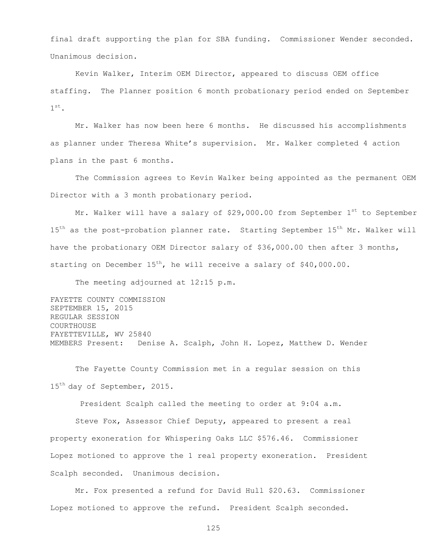final draft supporting the plan for SBA funding. Commissioner Wender seconded. Unanimous decision.

Kevin Walker, Interim OEM Director, appeared to discuss OEM office staffing. The Planner position 6 month probationary period ended on September  $1^\mathrm{st}$ .

Mr. Walker has now been here 6 months. He discussed his accomplishments as planner under Theresa White's supervision. Mr. Walker completed 4 action plans in the past 6 months.

The Commission agrees to Kevin Walker being appointed as the permanent OEM Director with a 3 month probationary period.

Mr. Walker will have a salary of \$29,000.00 from September  $1^{st}$  to September 15<sup>th</sup> as the post-probation planner rate. Starting September 15<sup>th</sup> Mr. Walker will have the probationary OEM Director salary of \$36,000.00 then after 3 months, starting on December  $15^{th}$ , he will receive a salary of \$40,000.00.

The meeting adjourned at 12:15 p.m.

FAYETTE COUNTY COMMISSION SEPTEMBER 15, 2015 REGULAR SESSION **COURTHOUSE** FAYETTEVILLE, WV 25840 MEMBERS Present: Denise A. Scalph, John H. Lopez, Matthew D. Wender

The Fayette County Commission met in a regular session on this 15<sup>th</sup> day of September, 2015.

President Scalph called the meeting to order at 9:04 a.m.

Steve Fox, Assessor Chief Deputy, appeared to present a real property exoneration for Whispering Oaks LLC \$576.46. Commissioner Lopez motioned to approve the 1 real property exoneration. President Scalph seconded. Unanimous decision.

Mr. Fox presented a refund for David Hull \$20.63. Commissioner Lopez motioned to approve the refund. President Scalph seconded.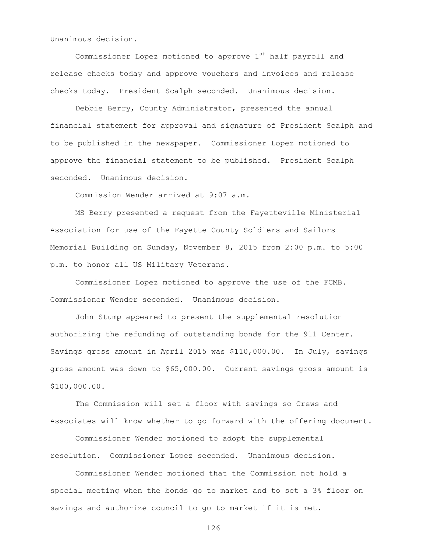Unanimous decision.

Commissioner Lopez motioned to approve  $1<sup>st</sup>$  half payroll and release checks today and approve vouchers and invoices and release checks today. President Scalph seconded. Unanimous decision.

Debbie Berry, County Administrator, presented the annual financial statement for approval and signature of President Scalph and to be published in the newspaper. Commissioner Lopez motioned to approve the financial statement to be published. President Scalph seconded. Unanimous decision.

Commission Wender arrived at 9:07 a.m.

MS Berry presented a request from the Fayetteville Ministerial Association for use of the Fayette County Soldiers and Sailors Memorial Building on Sunday, November 8, 2015 from 2:00 p.m. to 5:00 p.m. to honor all US Military Veterans.

Commissioner Lopez motioned to approve the use of the FCMB. Commissioner Wender seconded. Unanimous decision.

John Stump appeared to present the supplemental resolution authorizing the refunding of outstanding bonds for the 911 Center. Savings gross amount in April 2015 was \$110,000.00. In July, savings gross amount was down to \$65,000.00. Current savings gross amount is \$100,000.00.

The Commission will set a floor with savings so Crews and Associates will know whether to go forward with the offering document.

Commissioner Wender motioned to adopt the supplemental resolution. Commissioner Lopez seconded. Unanimous decision.

Commissioner Wender motioned that the Commission not hold a special meeting when the bonds go to market and to set a 3% floor on savings and authorize council to go to market if it is met.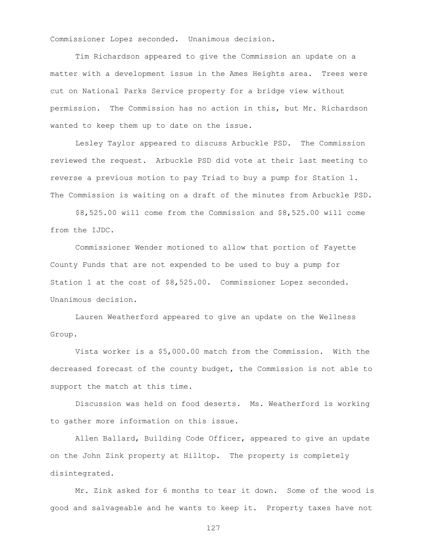Commissioner Lopez seconded. Unanimous decision.

Tim Richardson appeared to give the Commission an update on a matter with a development issue in the Ames Heights area. Trees were cut on National Parks Service property for a bridge view without permission. The Commission has no action in this, but Mr. Richardson wanted to keep them up to date on the issue.

Lesley Taylor appeared to discuss Arbuckle PSD. The Commission reviewed the request. Arbuckle PSD did vote at their last meeting to reverse a previous motion to pay Triad to buy a pump for Station 1. The Commission is waiting on a draft of the minutes from Arbuckle PSD.

\$8,525.00 will come from the Commission and \$8,525.00 will come from the IJDC.

Commissioner Wender motioned to allow that portion of Fayette County Funds that are not expended to be used to buy a pump for Station 1 at the cost of \$8,525.00. Commissioner Lopez seconded. Unanimous decision.

Lauren Weatherford appeared to give an update on the Wellness Group.

Vista worker is a \$5,000.00 match from the Commission. With the decreased forecast of the county budget, the Commission is not able to support the match at this time.

Discussion was held on food deserts. Ms. Weatherford is working to gather more information on this issue.

Allen Ballard, Building Code Officer, appeared to give an update on the John Zink property at Hilltop. The property is completely disintegrated.

Mr. Zink asked for 6 months to tear it down. Some of the wood is good and salvageable and he wants to keep it. Property taxes have not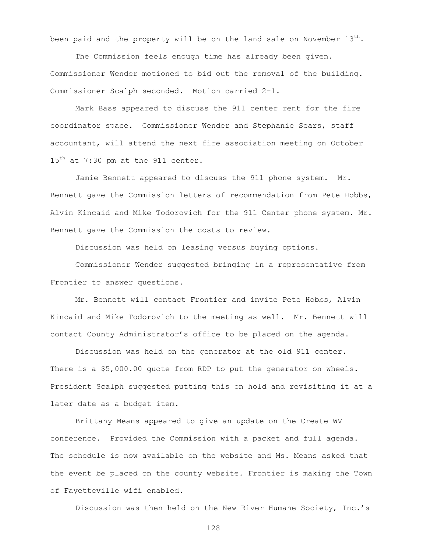been paid and the property will be on the land sale on November  $13^{th}$ .

The Commission feels enough time has already been given. Commissioner Wender motioned to bid out the removal of the building. Commissioner Scalph seconded. Motion carried 2-1.

Mark Bass appeared to discuss the 911 center rent for the fire coordinator space. Commissioner Wender and Stephanie Sears, staff accountant, will attend the next fire association meeting on October 15<sup>th</sup> at 7:30 pm at the 911 center.

Jamie Bennett appeared to discuss the 911 phone system. Mr. Bennett gave the Commission letters of recommendation from Pete Hobbs, Alvin Kincaid and Mike Todorovich for the 911 Center phone system. Mr. Bennett gave the Commission the costs to review.

Discussion was held on leasing versus buying options.

Commissioner Wender suggested bringing in a representative from Frontier to answer questions.

Mr. Bennett will contact Frontier and invite Pete Hobbs, Alvin Kincaid and Mike Todorovich to the meeting as well. Mr. Bennett will contact County Administrator's office to be placed on the agenda.

Discussion was held on the generator at the old 911 center. There is a \$5,000.00 quote from RDP to put the generator on wheels. President Scalph suggested putting this on hold and revisiting it at a later date as a budget item.

Brittany Means appeared to give an update on the Create WV conference. Provided the Commission with a packet and full agenda. The schedule is now available on the website and Ms. Means asked that the event be placed on the county website. Frontier is making the Town of Fayetteville wifi enabled.

Discussion was then held on the New River Humane Society, Inc.'s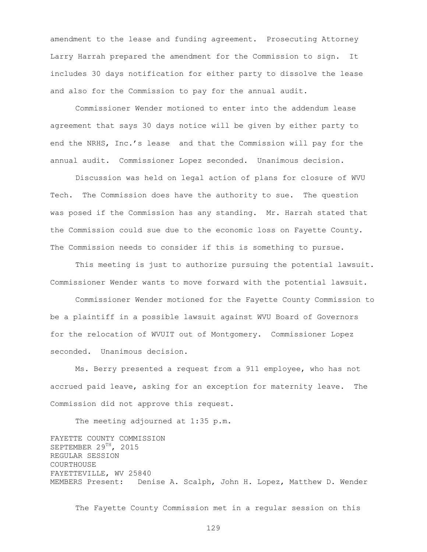amendment to the lease and funding agreement. Prosecuting Attorney Larry Harrah prepared the amendment for the Commission to sign. It includes 30 days notification for either party to dissolve the lease and also for the Commission to pay for the annual audit.

Commissioner Wender motioned to enter into the addendum lease agreement that says 30 days notice will be given by either party to end the NRHS, Inc.'s lease and that the Commission will pay for the annual audit. Commissioner Lopez seconded. Unanimous decision.

Discussion was held on legal action of plans for closure of WVU Tech. The Commission does have the authority to sue. The question was posed if the Commission has any standing. Mr. Harrah stated that the Commission could sue due to the economic loss on Fayette County. The Commission needs to consider if this is something to pursue.

This meeting is just to authorize pursuing the potential lawsuit. Commissioner Wender wants to move forward with the potential lawsuit.

Commissioner Wender motioned for the Fayette County Commission to be a plaintiff in a possible lawsuit against WVU Board of Governors for the relocation of WVUIT out of Montgomery. Commissioner Lopez seconded. Unanimous decision.

Ms. Berry presented a request from a 911 employee, who has not accrued paid leave, asking for an exception for maternity leave. The Commission did not approve this request.

The meeting adjourned at 1:35 p.m.

FAYETTE COUNTY COMMISSION SEPTEMBER 29TH, 2015 REGULAR SESSION COURTHOUSE FAYETTEVILLE, WV 25840 MEMBERS Present: Denise A. Scalph, John H. Lopez, Matthew D. Wender

The Fayette County Commission met in a regular session on this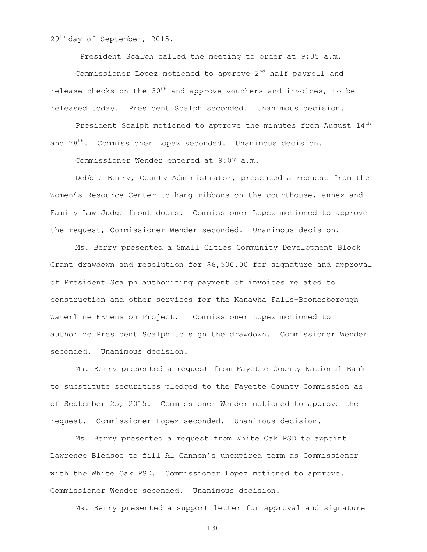29<sup>th</sup> day of September, 2015.

President Scalph called the meeting to order at 9:05 a.m.

Commissioner Lopez motioned to approve  $2<sup>nd</sup>$  half payroll and release checks on the  $30<sup>th</sup>$  and approve vouchers and invoices, to be released today. President Scalph seconded. Unanimous decision.

President Scalph motioned to approve the minutes from August  $14<sup>th</sup>$ and 28<sup>th</sup>. Commissioner Lopez seconded. Unanimous decision.

Commissioner Wender entered at 9:07 a.m.

Debbie Berry, County Administrator, presented a request from the Women's Resource Center to hang ribbons on the courthouse, annex and Family Law Judge front doors. Commissioner Lopez motioned to approve the request, Commissioner Wender seconded. Unanimous decision.

Ms. Berry presented a Small Cities Community Development Block Grant drawdown and resolution for \$6,500.00 for signature and approval of President Scalph authorizing payment of invoices related to construction and other services for the Kanawha Falls-Boonesborough Waterline Extension Project. Commissioner Lopez motioned to authorize President Scalph to sign the drawdown. Commissioner Wender seconded. Unanimous decision.

Ms. Berry presented a request from Fayette County National Bank to substitute securities pledged to the Fayette County Commission as of September 25, 2015. Commissioner Wender motioned to approve the request. Commissioner Lopez seconded. Unanimous decision.

Ms. Berry presented a request from White Oak PSD to appoint Lawrence Bledsoe to fill Al Gannon's unexpired term as Commissioner with the White Oak PSD. Commissioner Lopez motioned to approve. Commissioner Wender seconded. Unanimous decision.

Ms. Berry presented a support letter for approval and signature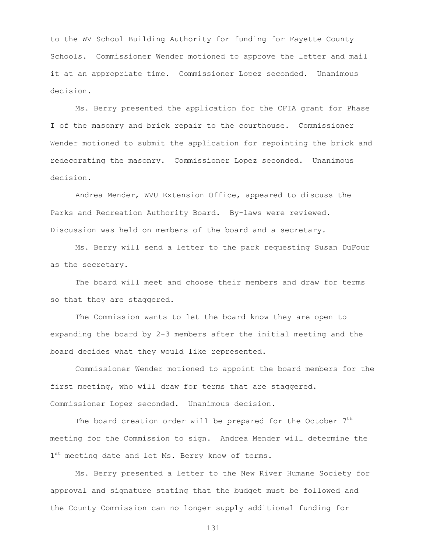to the WV School Building Authority for funding for Fayette County Schools. Commissioner Wender motioned to approve the letter and mail it at an appropriate time. Commissioner Lopez seconded. Unanimous decision.

Ms. Berry presented the application for the CFIA grant for Phase I of the masonry and brick repair to the courthouse. Commissioner Wender motioned to submit the application for repointing the brick and redecorating the masonry. Commissioner Lopez seconded. Unanimous decision.

Andrea Mender, WVU Extension Office, appeared to discuss the Parks and Recreation Authority Board. By-laws were reviewed. Discussion was held on members of the board and a secretary.

Ms. Berry will send a letter to the park requesting Susan DuFour as the secretary.

The board will meet and choose their members and draw for terms so that they are staggered.

The Commission wants to let the board know they are open to expanding the board by 2-3 members after the initial meeting and the board decides what they would like represented.

Commissioner Wender motioned to appoint the board members for the first meeting, who will draw for terms that are staggered. Commissioner Lopez seconded. Unanimous decision.

The board creation order will be prepared for the October  $7<sup>th</sup>$ meeting for the Commission to sign. Andrea Mender will determine the 1<sup>st</sup> meeting date and let Ms. Berry know of terms.

Ms. Berry presented a letter to the New River Humane Society for approval and signature stating that the budget must be followed and the County Commission can no longer supply additional funding for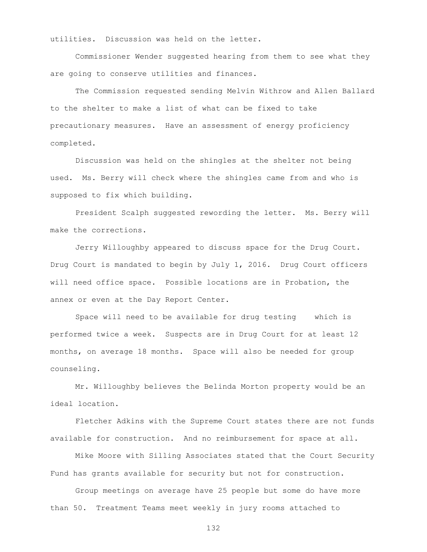utilities. Discussion was held on the letter.

Commissioner Wender suggested hearing from them to see what they are going to conserve utilities and finances.

The Commission requested sending Melvin Withrow and Allen Ballard to the shelter to make a list of what can be fixed to take precautionary measures. Have an assessment of energy proficiency completed.

Discussion was held on the shingles at the shelter not being used. Ms. Berry will check where the shingles came from and who is supposed to fix which building.

President Scalph suggested rewording the letter. Ms. Berry will make the corrections.

Jerry Willoughby appeared to discuss space for the Drug Court. Drug Court is mandated to begin by July 1, 2016. Drug Court officers will need office space. Possible locations are in Probation, the annex or even at the Day Report Center.

Space will need to be available for drug testing which is performed twice a week. Suspects are in Drug Court for at least 12 months, on average 18 months. Space will also be needed for group counseling.

Mr. Willoughby believes the Belinda Morton property would be an ideal location.

Fletcher Adkins with the Supreme Court states there are not funds available for construction. And no reimbursement for space at all.

Mike Moore with Silling Associates stated that the Court Security Fund has grants available for security but not for construction.

Group meetings on average have 25 people but some do have more than 50. Treatment Teams meet weekly in jury rooms attached to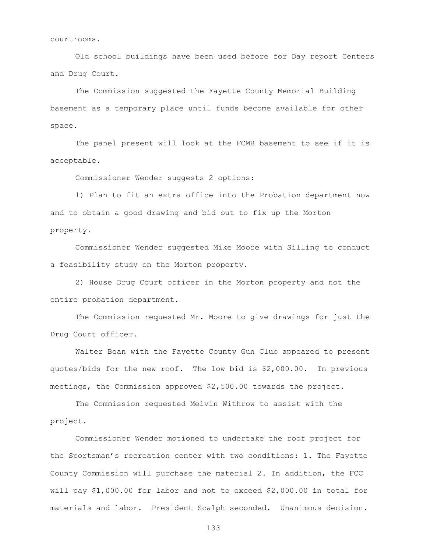courtrooms.

Old school buildings have been used before for Day report Centers and Drug Court.

The Commission suggested the Fayette County Memorial Building basement as a temporary place until funds become available for other space.

The panel present will look at the FCMB basement to see if it is acceptable.

Commissioner Wender suggests 2 options:

1) Plan to fit an extra office into the Probation department now and to obtain a good drawing and bid out to fix up the Morton property.

Commissioner Wender suggested Mike Moore with Silling to conduct a feasibility study on the Morton property.

2) House Drug Court officer in the Morton property and not the entire probation department.

The Commission requested Mr. Moore to give drawings for just the Drug Court officer.

Walter Bean with the Fayette County Gun Club appeared to present quotes/bids for the new roof. The low bid is \$2,000.00. In previous meetings, the Commission approved \$2,500.00 towards the project.

The Commission requested Melvin Withrow to assist with the project.

Commissioner Wender motioned to undertake the roof project for the Sportsman's recreation center with two conditions: 1. The Fayette County Commission will purchase the material 2. In addition, the FCC will pay \$1,000.00 for labor and not to exceed \$2,000.00 in total for materials and labor. President Scalph seconded. Unanimous decision.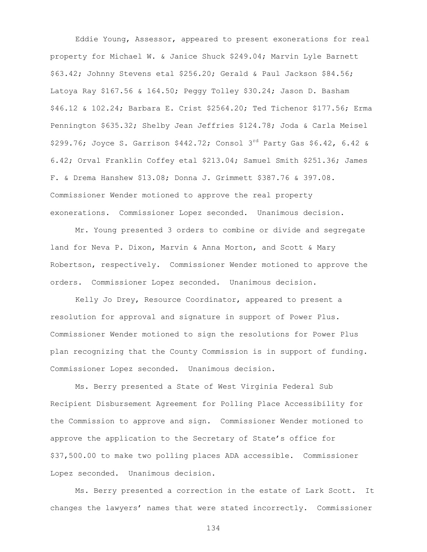Eddie Young, Assessor, appeared to present exonerations for real property for Michael W. & Janice Shuck \$249.04; Marvin Lyle Barnett \$63.42; Johnny Stevens etal \$256.20; Gerald & Paul Jackson \$84.56; Latoya Ray \$167.56 & 164.50; Peggy Tolley \$30.24; Jason D. Basham \$46.12 & 102.24; Barbara E. Crist \$2564.20; Ted Tichenor \$177.56; Erma Pennington \$635.32; Shelby Jean Jeffries \$124.78; Joda & Carla Meisel \$299.76; Joyce S. Garrison \$442.72; Consol 3<sup>rd</sup> Party Gas \$6.42, 6.42 & 6.42; Orval Franklin Coffey etal \$213.04; Samuel Smith \$251.36; James F. & Drema Hanshew \$13.08; Donna J. Grimmett \$387.76 & 397.08. Commissioner Wender motioned to approve the real property exonerations. Commissioner Lopez seconded. Unanimous decision.

Mr. Young presented 3 orders to combine or divide and segregate land for Neva P. Dixon, Marvin & Anna Morton, and Scott & Mary Robertson, respectively. Commissioner Wender motioned to approve the orders. Commissioner Lopez seconded. Unanimous decision.

Kelly Jo Drey, Resource Coordinator, appeared to present a resolution for approval and signature in support of Power Plus. Commissioner Wender motioned to sign the resolutions for Power Plus plan recognizing that the County Commission is in support of funding. Commissioner Lopez seconded. Unanimous decision.

Ms. Berry presented a State of West Virginia Federal Sub Recipient Disbursement Agreement for Polling Place Accessibility for the Commission to approve and sign. Commissioner Wender motioned to approve the application to the Secretary of State's office for \$37,500.00 to make two polling places ADA accessible. Commissioner Lopez seconded. Unanimous decision.

Ms. Berry presented a correction in the estate of Lark Scott. It changes the lawyers' names that were stated incorrectly. Commissioner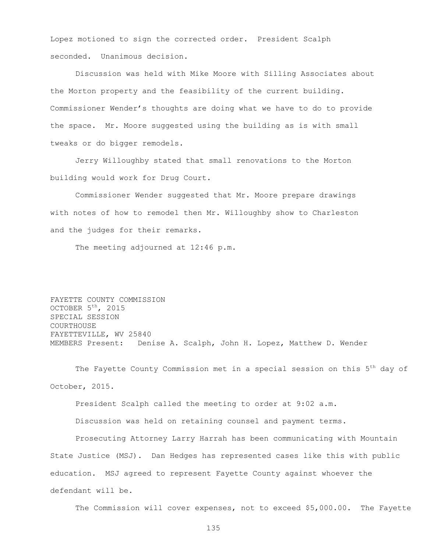Lopez motioned to sign the corrected order. President Scalph seconded. Unanimous decision.

Discussion was held with Mike Moore with Silling Associates about the Morton property and the feasibility of the current building. Commissioner Wender's thoughts are doing what we have to do to provide the space. Mr. Moore suggested using the building as is with small tweaks or do bigger remodels.

Jerry Willoughby stated that small renovations to the Morton building would work for Drug Court.

Commissioner Wender suggested that Mr. Moore prepare drawings with notes of how to remodel then Mr. Willoughby show to Charleston and the judges for their remarks.

The meeting adjourned at 12:46 p.m.

FAYETTE COUNTY COMMISSION OCTOBER 5<sup>th</sup>, 2015 SPECIAL SESSION **COURTHOUSE** FAYETTEVILLE, WV 25840 MEMBERS Present: Denise A. Scalph, John H. Lopez, Matthew D. Wender

The Fayette County Commission met in a special session on this 5<sup>th</sup> day of October, 2015.

President Scalph called the meeting to order at 9:02 a.m.

Discussion was held on retaining counsel and payment terms.

Prosecuting Attorney Larry Harrah has been communicating with Mountain State Justice (MSJ). Dan Hedges has represented cases like this with public education. MSJ agreed to represent Fayette County against whoever the defendant will be.

The Commission will cover expenses, not to exceed \$5,000.00. The Fayette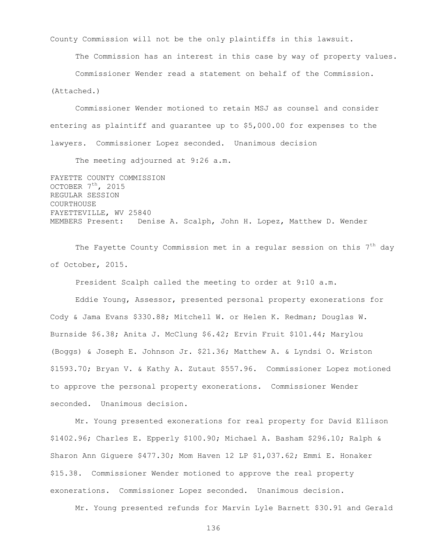County Commission will not be the only plaintiffs in this lawsuit.

The Commission has an interest in this case by way of property values.

Commissioner Wender read a statement on behalf of the Commission.

(Attached.)

Commissioner Wender motioned to retain MSJ as counsel and consider entering as plaintiff and guarantee up to \$5,000.00 for expenses to the lawyers. Commissioner Lopez seconded. Unanimous decision

The meeting adjourned at 9:26 a.m.

FAYETTE COUNTY COMMISSION OCTOBER  $7<sup>th</sup>$ , 2015 REGULAR SESSION COURTHOUSE FAYETTEVILLE, WV 25840 MEMBERS Present: Denise A. Scalph, John H. Lopez, Matthew D. Wender

The Fayette County Commission met in a regular session on this 7<sup>th</sup> day of October, 2015.

President Scalph called the meeting to order at 9:10 a.m.

Eddie Young, Assessor, presented personal property exonerations for Cody & Jama Evans \$330.88; Mitchell W. or Helen K. Redman; Douglas W. Burnside \$6.38; Anita J. McClung \$6.42; Ervin Fruit \$101.44; Marylou (Boggs) & Joseph E. Johnson Jr. \$21.36; Matthew A. & Lyndsi O. Wriston \$1593.70; Bryan V. & Kathy A. Zutaut \$557.96. Commissioner Lopez motioned to approve the personal property exonerations. Commissioner Wender seconded. Unanimous decision.

Mr. Young presented exonerations for real property for David Ellison \$1402.96; Charles E. Epperly \$100.90; Michael A. Basham \$296.10; Ralph & Sharon Ann Giguere \$477.30; Mom Haven 12 LP \$1,037.62; Emmi E. Honaker \$15.38. Commissioner Wender motioned to approve the real property exonerations. Commissioner Lopez seconded. Unanimous decision.

Mr. Young presented refunds for Marvin Lyle Barnett \$30.91 and Gerald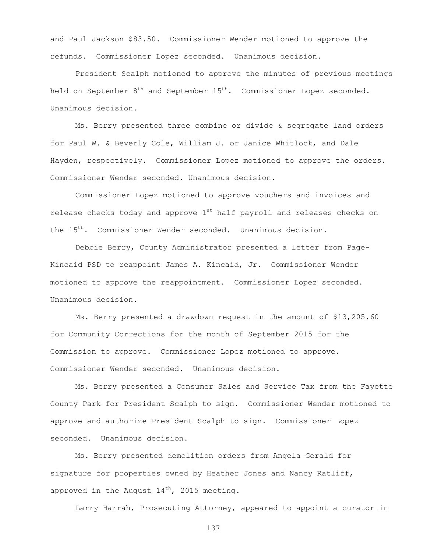and Paul Jackson \$83.50. Commissioner Wender motioned to approve the refunds. Commissioner Lopez seconded. Unanimous decision.

President Scalph motioned to approve the minutes of previous meetings held on September  $8<sup>th</sup>$  and September  $15<sup>th</sup>$ . Commissioner Lopez seconded. Unanimous decision.

Ms. Berry presented three combine or divide & segregate land orders for Paul W. & Beverly Cole, William J. or Janice Whitlock, and Dale Hayden, respectively. Commissioner Lopez motioned to approve the orders. Commissioner Wender seconded. Unanimous decision.

Commissioner Lopez motioned to approve vouchers and invoices and release checks today and approve  $1<sup>st</sup>$  half payroll and releases checks on the 15<sup>th</sup>. Commissioner Wender seconded. Unanimous decision.

Debbie Berry, County Administrator presented a letter from Page-Kincaid PSD to reappoint James A. Kincaid, Jr. Commissioner Wender motioned to approve the reappointment. Commissioner Lopez seconded. Unanimous decision.

Ms. Berry presented a drawdown request in the amount of \$13,205.60 for Community Corrections for the month of September 2015 for the Commission to approve. Commissioner Lopez motioned to approve. Commissioner Wender seconded. Unanimous decision.

Ms. Berry presented a Consumer Sales and Service Tax from the Fayette County Park for President Scalph to sign. Commissioner Wender motioned to approve and authorize President Scalph to sign. Commissioner Lopez seconded. Unanimous decision.

Ms. Berry presented demolition orders from Angela Gerald for signature for properties owned by Heather Jones and Nancy Ratliff, approved in the August  $14^{th}$ , 2015 meeting.

Larry Harrah, Prosecuting Attorney, appeared to appoint a curator in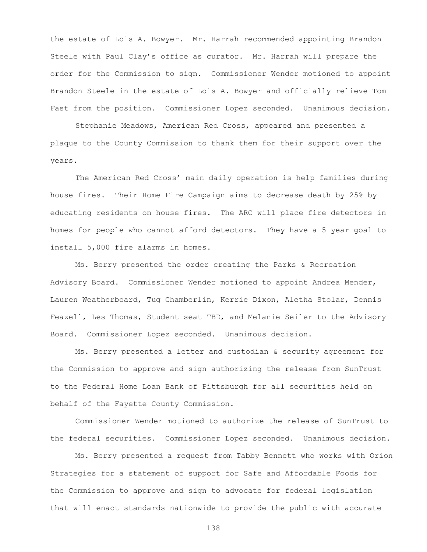the estate of Lois A. Bowyer. Mr. Harrah recommended appointing Brandon Steele with Paul Clay's office as curator. Mr. Harrah will prepare the order for the Commission to sign. Commissioner Wender motioned to appoint Brandon Steele in the estate of Lois A. Bowyer and officially relieve Tom Fast from the position. Commissioner Lopez seconded. Unanimous decision.

Stephanie Meadows, American Red Cross, appeared and presented a plaque to the County Commission to thank them for their support over the years.

The American Red Cross' main daily operation is help families during house fires. Their Home Fire Campaign aims to decrease death by 25% by educating residents on house fires. The ARC will place fire detectors in homes for people who cannot afford detectors. They have a 5 year goal to install 5,000 fire alarms in homes.

Ms. Berry presented the order creating the Parks & Recreation Advisory Board. Commissioner Wender motioned to appoint Andrea Mender, Lauren Weatherboard, Tug Chamberlin, Kerrie Dixon, Aletha Stolar, Dennis Feazell, Les Thomas, Student seat TBD, and Melanie Seiler to the Advisory Board. Commissioner Lopez seconded. Unanimous decision.

Ms. Berry presented a letter and custodian & security agreement for the Commission to approve and sign authorizing the release from SunTrust to the Federal Home Loan Bank of Pittsburgh for all securities held on behalf of the Fayette County Commission.

Commissioner Wender motioned to authorize the release of SunTrust to the federal securities. Commissioner Lopez seconded. Unanimous decision.

Ms. Berry presented a request from Tabby Bennett who works with Orion Strategies for a statement of support for Safe and Affordable Foods for the Commission to approve and sign to advocate for federal legislation that will enact standards nationwide to provide the public with accurate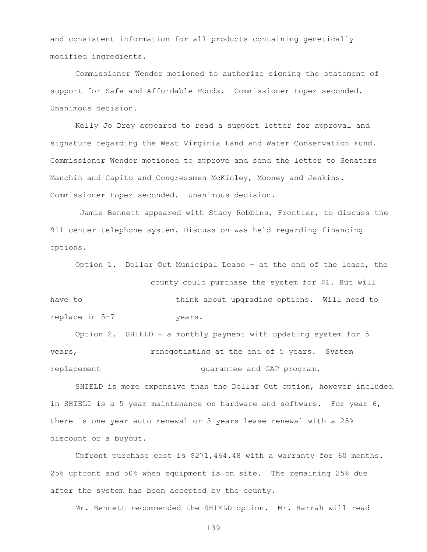and consistent information for all products containing genetically modified ingredients.

Commissioner Wender motioned to authorize signing the statement of support for Safe and Affordable Foods. Commissioner Lopez seconded. Unanimous decision.

Kelly Jo Drey appeared to read a support letter for approval and signature regarding the West Virginia Land and Water Conservation Fund. Commissioner Wender motioned to approve and send the letter to Senators Manchin and Capito and Congressmen McKinley, Mooney and Jenkins. Commissioner Lopez seconded. Unanimous decision.

Jamie Bennett appeared with Stacy Robbins, Frontier, to discuss the 911 center telephone system. Discussion was held regarding financing options.

Option 1. Dollar Out Municipal Lease – at the end of the lease, the

county could purchase the system for \$1. But will have to think about upgrading options. Will need to replace in 5-7 years.

Option 2. SHIELD – a monthly payment with updating system for 5 years,  $r = r$  renegotiating at the end of 5 years. System replacement guarantee and GAP program.

SHIELD is more expensive than the Dollar Out option, however included in SHIELD is a 5 year maintenance on hardware and software. For year 6, there is one year auto renewal or 3 years lease renewal with a 25% discount or a buyout.

Upfront purchase cost is \$271,464.48 with a warranty for 60 months. 25% upfront and 50% when equipment is on site. The remaining 25% due after the system has been accepted by the county.

Mr. Bennett recommended the SHIELD option. Mr. Harrah will read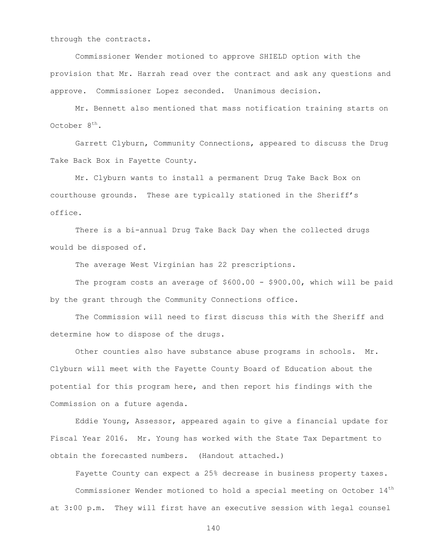through the contracts.

Commissioner Wender motioned to approve SHIELD option with the provision that Mr. Harrah read over the contract and ask any questions and approve. Commissioner Lopez seconded. Unanimous decision.

Mr. Bennett also mentioned that mass notification training starts on October 8<sup>th</sup>.

Garrett Clyburn, Community Connections, appeared to discuss the Drug Take Back Box in Fayette County.

Mr. Clyburn wants to install a permanent Drug Take Back Box on courthouse grounds. These are typically stationed in the Sheriff's office.

There is a bi-annual Drug Take Back Day when the collected drugs would be disposed of.

The average West Virginian has 22 prescriptions.

The program costs an average of \$600.00 - \$900.00, which will be paid by the grant through the Community Connections office.

The Commission will need to first discuss this with the Sheriff and determine how to dispose of the drugs.

Other counties also have substance abuse programs in schools. Mr. Clyburn will meet with the Fayette County Board of Education about the potential for this program here, and then report his findings with the Commission on a future agenda.

Eddie Young, Assessor, appeared again to give a financial update for Fiscal Year 2016. Mr. Young has worked with the State Tax Department to obtain the forecasted numbers. (Handout attached.)

Fayette County can expect a 25% decrease in business property taxes. Commissioner Wender motioned to hold a special meeting on October 14th at 3:00 p.m. They will first have an executive session with legal counsel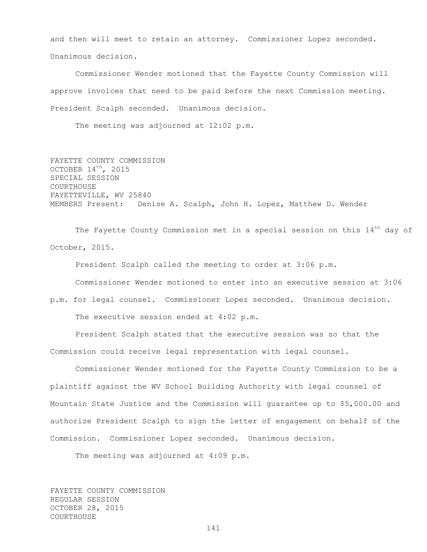and then will meet to retain an attorney. Commissioner Lopez seconded. Unanimous decision.

Commissioner Wender motioned that the Fayette County Commission will approve invoices that need to be paid before the next Commission meeting. President Scalph seconded. Unanimous decision.

The meeting was adjourned at 12:02 p.m.

FAYETTE COUNTY COMMISSION OCTOBER 14th, 2015 SPECIAL SESSION COURTHOUSE FAYETTEVILLE, WV 25840 MEMBERS Present: Denise A. Scalph, John H. Lopez, Matthew D. Wender

The Fayette County Commission met in a special session on this  $14<sup>th</sup>$  day of October, 2015.

President Scalph called the meeting to order at 3:06 p.m. Commissioner Wender motioned to enter into an executive session at 3:06

p.m. for legal counsel. Commissioner Lopez seconded. Unanimous decision. The executive session ended at 4:02 p.m.

President Scalph stated that the executive session was so that the Commission could receive legal representation with legal counsel.

Commissioner Wender motioned for the Fayette County Commission to be a plaintiff against the WV School Building Authority with legal counsel of Mountain State Justice and the Commission will guarantee up to \$5,000.00 and authorize President Scalph to sign the letter of engagement on behalf of the Commission. Commissioner Lopez seconded. Unanimous decision.

The meeting was adjourned at 4:09 p.m.

FAYETTE COUNTY COMMISSION REGULAR SESSION OCTOBER 28, 2015 COURTHOUSE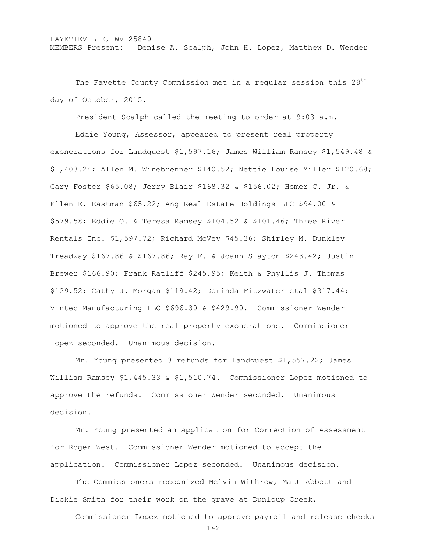The Fayette County Commission met in a regular session this  $28<sup>th</sup>$ day of October, 2015.

President Scalph called the meeting to order at 9:03 a.m.

Eddie Young, Assessor, appeared to present real property exonerations for Landquest \$1,597.16; James William Ramsey \$1,549.48 & \$1,403.24; Allen M. Winebrenner \$140.52; Nettie Louise Miller \$120.68; Gary Foster \$65.08; Jerry Blair \$168.32 & \$156.02; Homer C. Jr. & Ellen E. Eastman \$65.22; Ang Real Estate Holdings LLC \$94.00 & \$579.58; Eddie O. & Teresa Ramsey \$104.52 & \$101.46; Three River Rentals Inc. \$1,597.72; Richard McVey \$45.36; Shirley M. Dunkley Treadway \$167.86 & \$167.86; Ray F. & Joann Slayton \$243.42; Justin Brewer \$166.90; Frank Ratliff \$245.95; Keith & Phyllis J. Thomas \$129.52; Cathy J. Morgan \$119.42; Dorinda Fitzwater etal \$317.44; Vintec Manufacturing LLC \$696.30 & \$429.90. Commissioner Wender motioned to approve the real property exonerations. Commissioner Lopez seconded. Unanimous decision.

Mr. Young presented 3 refunds for Landquest \$1,557.22; James William Ramsey \$1,445.33 & \$1,510.74. Commissioner Lopez motioned to approve the refunds. Commissioner Wender seconded. Unanimous decision.

Mr. Young presented an application for Correction of Assessment for Roger West. Commissioner Wender motioned to accept the application. Commissioner Lopez seconded. Unanimous decision.

The Commissioners recognized Melvin Withrow, Matt Abbott and Dickie Smith for their work on the grave at Dunloup Creek.

Commissioner Lopez motioned to approve payroll and release checks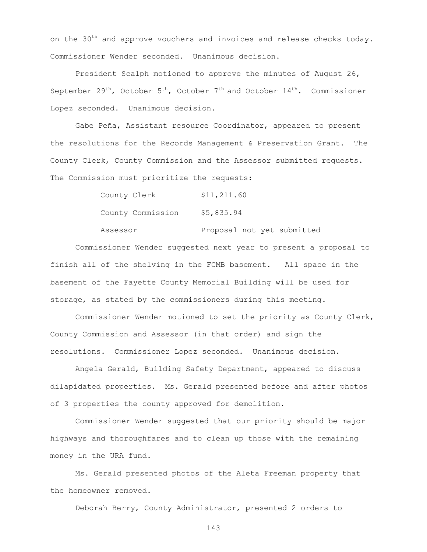on the  $30<sup>th</sup>$  and approve vouchers and invoices and release checks today. Commissioner Wender seconded. Unanimous decision.

President Scalph motioned to approve the minutes of August 26, September 29<sup>th</sup>, October 5<sup>th</sup>, October 7<sup>th</sup> and October 14<sup>th</sup>. Commissioner Lopez seconded. Unanimous decision.

Gabe Peña, Assistant resource Coordinator, appeared to present the resolutions for the Records Management & Preservation Grant. The County Clerk, County Commission and the Assessor submitted requests. The Commission must prioritize the requests:

> County Clerk \$11,211.60 County Commission \$5,835.94

Assessor Proposal not yet submitted

Commissioner Wender suggested next year to present a proposal to finish all of the shelving in the FCMB basement. All space in the basement of the Fayette County Memorial Building will be used for storage, as stated by the commissioners during this meeting.

Commissioner Wender motioned to set the priority as County Clerk, County Commission and Assessor (in that order) and sign the resolutions. Commissioner Lopez seconded. Unanimous decision.

Angela Gerald, Building Safety Department, appeared to discuss dilapidated properties. Ms. Gerald presented before and after photos of 3 properties the county approved for demolition.

Commissioner Wender suggested that our priority should be major highways and thoroughfares and to clean up those with the remaining money in the URA fund.

Ms. Gerald presented photos of the Aleta Freeman property that the homeowner removed.

Deborah Berry, County Administrator, presented 2 orders to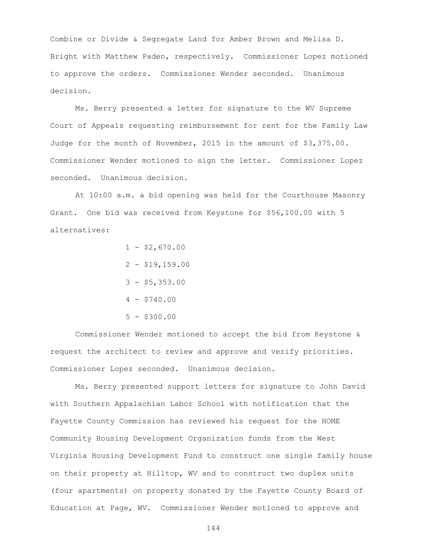Combine or Divide & Segregate Land for Amber Brown and Melisa D. Bright with Matthew Paden, respectively. Commissioner Lopez motioned to approve the orders. Commissioner Wender seconded. Unanimous decision.

Ms. Berry presented a letter for signature to the WV Supreme Court of Appeals requesting reimbursement for rent for the Family Law Judge for the month of November, 2015 in the amount of \$3,375.00. Commissioner Wender motioned to sign the letter. Commissioner Lopez seconded. Unanimous decision.

At 10:00 a.m. a bid opening was held for the Courthouse Masonry Grant. One bid was received from Keystone for \$56,100.00 with 5 alternatives:

$$
1 - $2,670.00
$$
  
\n
$$
2 - $19,159.00
$$
  
\n
$$
3 - $5,353.00
$$
  
\n
$$
4 - $740.00
$$
  
\n
$$
5 - $300.00
$$

Commissioner Wender motioned to accept the bid from Keystone & request the architect to review and approve and verify priorities. Commissioner Lopez seconded. Unanimous decision.

Ms. Berry presented support letters for signature to John David with Southern Appalachian Labor School with notification that the Fayette County Commission has reviewed his request for the HOME Community Housing Development Organization funds from the West Virginia Housing Development Fund to construct one single family house on their property at Hilltop, WV and to construct two duplex units (four apartments) on property donated by the Fayette County Board of Education at Page, WV. Commissioner Wender motioned to approve and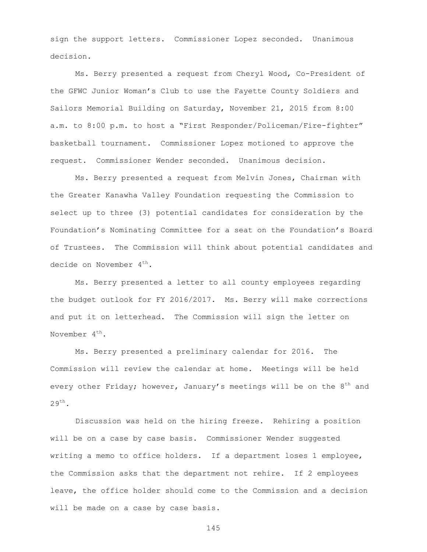sign the support letters. Commissioner Lopez seconded. Unanimous decision.

Ms. Berry presented a request from Cheryl Wood, Co-President of the GFWC Junior Woman's Club to use the Fayette County Soldiers and Sailors Memorial Building on Saturday, November 21, 2015 from 8:00 a.m. to 8:00 p.m. to host a "First Responder/Policeman/Fire-fighter" basketball tournament. Commissioner Lopez motioned to approve the request. Commissioner Wender seconded. Unanimous decision.

Ms. Berry presented a request from Melvin Jones, Chairman with the Greater Kanawha Valley Foundation requesting the Commission to select up to three (3) potential candidates for consideration by the Foundation's Nominating Committee for a seat on the Foundation's Board of Trustees. The Commission will think about potential candidates and decide on November  $4^{th}$ .

Ms. Berry presented a letter to all county employees regarding the budget outlook for FY 2016/2017. Ms. Berry will make corrections and put it on letterhead. The Commission will sign the letter on November  $4^{th}$ .

Ms. Berry presented a preliminary calendar for 2016. The Commission will review the calendar at home. Meetings will be held every other Friday; however, January's meetings will be on the  $8^{th}$  and  $29^{\text{th}}$ .

Discussion was held on the hiring freeze. Rehiring a position will be on a case by case basis. Commissioner Wender suggested writing a memo to office holders. If a department loses 1 employee, the Commission asks that the department not rehire. If 2 employees leave, the office holder should come to the Commission and a decision will be made on a case by case basis.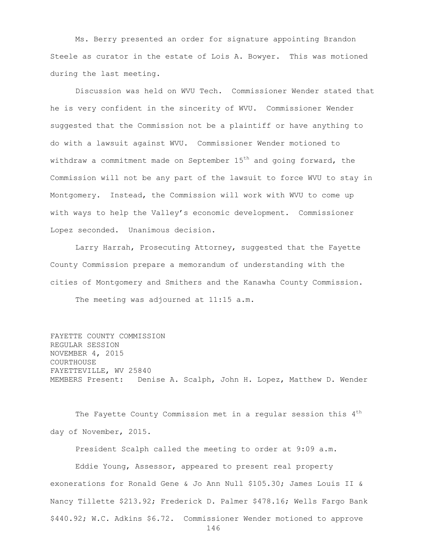Ms. Berry presented an order for signature appointing Brandon Steele as curator in the estate of Lois A. Bowyer. This was motioned during the last meeting.

Discussion was held on WVU Tech. Commissioner Wender stated that he is very confident in the sincerity of WVU. Commissioner Wender suggested that the Commission not be a plaintiff or have anything to do with a lawsuit against WVU. Commissioner Wender motioned to withdraw a commitment made on September  $15<sup>th</sup>$  and going forward, the Commission will not be any part of the lawsuit to force WVU to stay in Montgomery. Instead, the Commission will work with WVU to come up with ways to help the Valley's economic development. Commissioner Lopez seconded. Unanimous decision.

Larry Harrah, Prosecuting Attorney, suggested that the Fayette County Commission prepare a memorandum of understanding with the cities of Montgomery and Smithers and the Kanawha County Commission. The meeting was adjourned at 11:15 a.m.

FAYETTE COUNTY COMMISSION REGULAR SESSION NOVEMBER 4, 2015 COURTHOUSE FAYETTEVILLE, WV 25840 MEMBERS Present: Denise A. Scalph, John H. Lopez, Matthew D. Wender

The Fayette County Commission met in a regular session this  $4<sup>th</sup>$ day of November, 2015.

President Scalph called the meeting to order at 9:09 a.m.

Eddie Young, Assessor, appeared to present real property exonerations for Ronald Gene & Jo Ann Null \$105.30; James Louis II & Nancy Tillette \$213.92; Frederick D. Palmer \$478.16; Wells Fargo Bank \$440.92; W.C. Adkins \$6.72. Commissioner Wender motioned to approve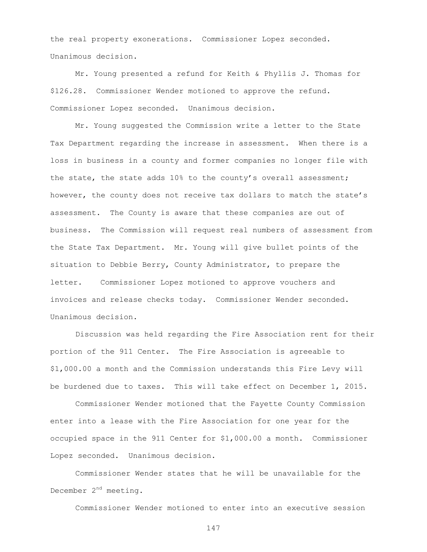the real property exonerations. Commissioner Lopez seconded. Unanimous decision.

Mr. Young presented a refund for Keith & Phyllis J. Thomas for \$126.28. Commissioner Wender motioned to approve the refund. Commissioner Lopez seconded. Unanimous decision.

Mr. Young suggested the Commission write a letter to the State Tax Department regarding the increase in assessment. When there is a loss in business in a county and former companies no longer file with the state, the state adds 10% to the county's overall assessment; however, the county does not receive tax dollars to match the state's assessment. The County is aware that these companies are out of business. The Commission will request real numbers of assessment from the State Tax Department. Mr. Young will give bullet points of the situation to Debbie Berry, County Administrator, to prepare the letter. Commissioner Lopez motioned to approve vouchers and invoices and release checks today. Commissioner Wender seconded. Unanimous decision.

Discussion was held regarding the Fire Association rent for their portion of the 911 Center. The Fire Association is agreeable to \$1,000.00 a month and the Commission understands this Fire Levy will be burdened due to taxes. This will take effect on December 1, 2015.

Commissioner Wender motioned that the Fayette County Commission enter into a lease with the Fire Association for one year for the occupied space in the 911 Center for \$1,000.00 a month. Commissioner Lopez seconded. Unanimous decision.

Commissioner Wender states that he will be unavailable for the December 2<sup>nd</sup> meeting.

Commissioner Wender motioned to enter into an executive session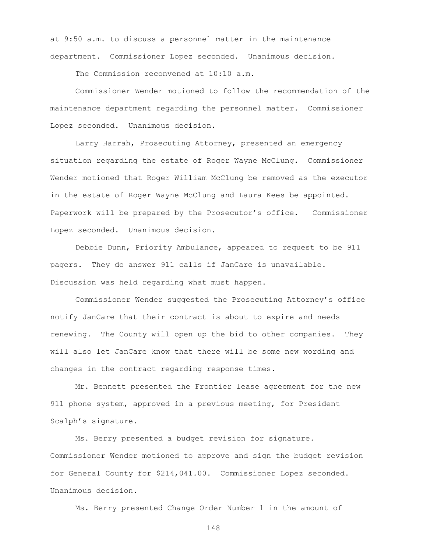at 9:50 a.m. to discuss a personnel matter in the maintenance department. Commissioner Lopez seconded. Unanimous decision.

The Commission reconvened at 10:10 a.m.

Commissioner Wender motioned to follow the recommendation of the maintenance department regarding the personnel matter. Commissioner Lopez seconded. Unanimous decision.

Larry Harrah, Prosecuting Attorney, presented an emergency situation regarding the estate of Roger Wayne McClung. Commissioner Wender motioned that Roger William McClung be removed as the executor in the estate of Roger Wayne McClung and Laura Kees be appointed. Paperwork will be prepared by the Prosecutor's office. Commissioner Lopez seconded. Unanimous decision.

Debbie Dunn, Priority Ambulance, appeared to request to be 911 pagers. They do answer 911 calls if JanCare is unavailable. Discussion was held regarding what must happen.

Commissioner Wender suggested the Prosecuting Attorney's office notify JanCare that their contract is about to expire and needs renewing. The County will open up the bid to other companies. They will also let JanCare know that there will be some new wording and changes in the contract regarding response times.

Mr. Bennett presented the Frontier lease agreement for the new 911 phone system, approved in a previous meeting, for President Scalph's signature.

Ms. Berry presented a budget revision for signature. Commissioner Wender motioned to approve and sign the budget revision for General County for \$214,041.00. Commissioner Lopez seconded. Unanimous decision.

Ms. Berry presented Change Order Number 1 in the amount of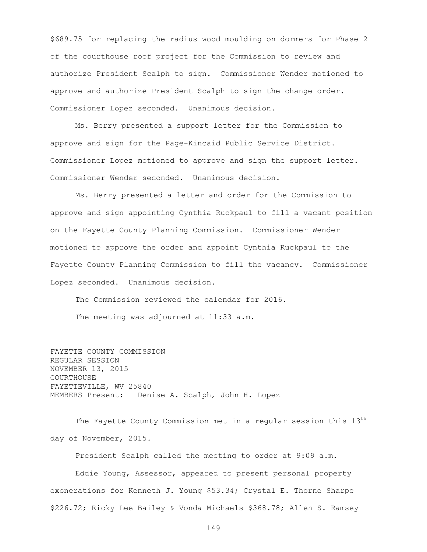\$689.75 for replacing the radius wood moulding on dormers for Phase 2 of the courthouse roof project for the Commission to review and authorize President Scalph to sign. Commissioner Wender motioned to approve and authorize President Scalph to sign the change order. Commissioner Lopez seconded. Unanimous decision.

Ms. Berry presented a support letter for the Commission to approve and sign for the Page-Kincaid Public Service District. Commissioner Lopez motioned to approve and sign the support letter. Commissioner Wender seconded. Unanimous decision.

Ms. Berry presented a letter and order for the Commission to approve and sign appointing Cynthia Ruckpaul to fill a vacant position on the Fayette County Planning Commission. Commissioner Wender motioned to approve the order and appoint Cynthia Ruckpaul to the Fayette County Planning Commission to fill the vacancy. Commissioner Lopez seconded. Unanimous decision.

The Commission reviewed the calendar for 2016. The meeting was adjourned at 11:33 a.m.

FAYETTE COUNTY COMMISSION REGULAR SESSION NOVEMBER 13, 2015 COURTHOUSE FAYETTEVILLE, WV 25840 MEMBERS Present: Denise A. Scalph, John H. Lopez

The Fayette County Commission met in a regular session this  $13<sup>th</sup>$ day of November, 2015.

President Scalph called the meeting to order at 9:09 a.m.

Eddie Young, Assessor, appeared to present personal property exonerations for Kenneth J. Young \$53.34; Crystal E. Thorne Sharpe \$226.72; Ricky Lee Bailey & Vonda Michaels \$368.78; Allen S. Ramsey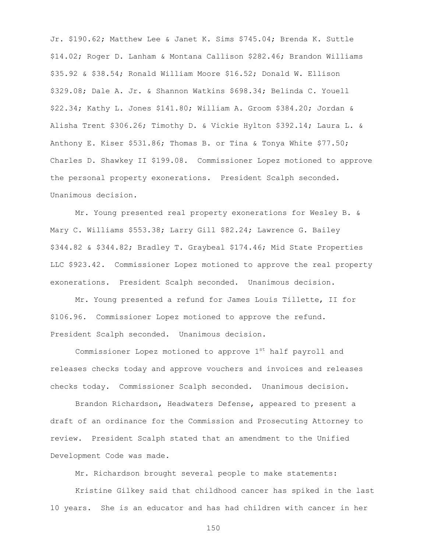Jr. \$190.62; Matthew Lee & Janet K. Sims \$745.04; Brenda K. Suttle \$14.02; Roger D. Lanham & Montana Callison \$282.46; Brandon Williams \$35.92 & \$38.54; Ronald William Moore \$16.52; Donald W. Ellison \$329.08; Dale A. Jr. & Shannon Watkins \$698.34; Belinda C. Youell \$22.34; Kathy L. Jones \$141.80; William A. Groom \$384.20; Jordan & Alisha Trent \$306.26; Timothy D. & Vickie Hylton \$392.14; Laura L. & Anthony E. Kiser \$531.86; Thomas B. or Tina & Tonya White \$77.50; Charles D. Shawkey II \$199.08. Commissioner Lopez motioned to approve the personal property exonerations. President Scalph seconded. Unanimous decision.

Mr. Young presented real property exonerations for Wesley B. & Mary C. Williams \$553.38; Larry Gill \$82.24; Lawrence G. Bailey \$344.82 & \$344.82; Bradley T. Graybeal \$174.46; Mid State Properties LLC \$923.42. Commissioner Lopez motioned to approve the real property exonerations. President Scalph seconded. Unanimous decision.

Mr. Young presented a refund for James Louis Tillette, II for \$106.96. Commissioner Lopez motioned to approve the refund. President Scalph seconded. Unanimous decision.

Commissioner Lopez motioned to approve 1st half payroll and releases checks today and approve vouchers and invoices and releases checks today. Commissioner Scalph seconded. Unanimous decision.

Brandon Richardson, Headwaters Defense, appeared to present a draft of an ordinance for the Commission and Prosecuting Attorney to review. President Scalph stated that an amendment to the Unified Development Code was made.

Mr. Richardson brought several people to make statements:

Kristine Gilkey said that childhood cancer has spiked in the last 10 years. She is an educator and has had children with cancer in her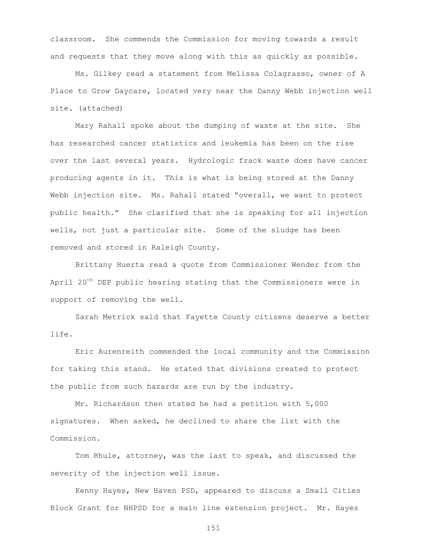classroom. She commends the Commission for moving towards a result and requests that they move along with this as quickly as possible.

Ms. Gilkey read a statement from Melissa Colagrasso, owner of A Place to Grow Daycare, located very near the Danny Webb injection well site. (attached)

Mary Rahall spoke about the dumping of waste at the site. She has researched cancer statistics and leukemia has been on the rise over the last several years. Hydrologic frack waste does have cancer producing agents in it. This is what is being stored at the Danny Webb injection site. Ms. Rahall stated "overall, we want to protect public health." She clarified that she is speaking for all injection wells, not just a particular site. Some of the sludge has been removed and stored in Raleigh County.

Brittany Huerta read a quote from Commissioner Wender from the April  $20^{th}$  DEP public hearing stating that the Commissioners were in support of removing the well.

Sarah Metrick said that Fayette County citizens deserve a better life.

Eric Aurenreith commended the local community and the Commission for taking this stand. He stated that divisions created to protect the public from such hazards are run by the industry.

Mr. Richardson then stated he had a petition with 5,000 signatures. When asked, he declined to share the list with the Commission.

Tom Rhule, attorney, was the last to speak, and discussed the severity of the injection well issue.

Kenny Hayes, New Haven PSD, appeared to discuss a Small Cities Block Grant for NHPSD for a main line extension project. Mr. Hayes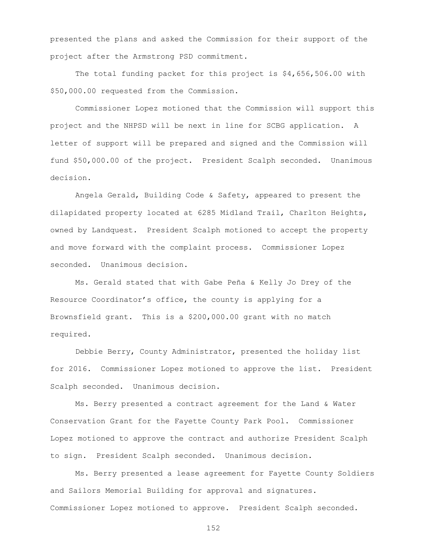presented the plans and asked the Commission for their support of the project after the Armstrong PSD commitment.

The total funding packet for this project is \$4,656,506.00 with \$50,000.00 requested from the Commission.

Commissioner Lopez motioned that the Commission will support this project and the NHPSD will be next in line for SCBG application. A letter of support will be prepared and signed and the Commission will fund \$50,000.00 of the project. President Scalph seconded. Unanimous decision.

Angela Gerald, Building Code & Safety, appeared to present the dilapidated property located at 6285 Midland Trail, Charlton Heights, owned by Landquest. President Scalph motioned to accept the property and move forward with the complaint process. Commissioner Lopez seconded. Unanimous decision.

Ms. Gerald stated that with Gabe Peña & Kelly Jo Drey of the Resource Coordinator's office, the county is applying for a Brownsfield grant. This is a \$200,000.00 grant with no match required.

Debbie Berry, County Administrator, presented the holiday list for 2016. Commissioner Lopez motioned to approve the list. President Scalph seconded. Unanimous decision.

Ms. Berry presented a contract agreement for the Land & Water Conservation Grant for the Fayette County Park Pool. Commissioner Lopez motioned to approve the contract and authorize President Scalph to sign. President Scalph seconded. Unanimous decision.

Ms. Berry presented a lease agreement for Fayette County Soldiers and Sailors Memorial Building for approval and signatures. Commissioner Lopez motioned to approve. President Scalph seconded.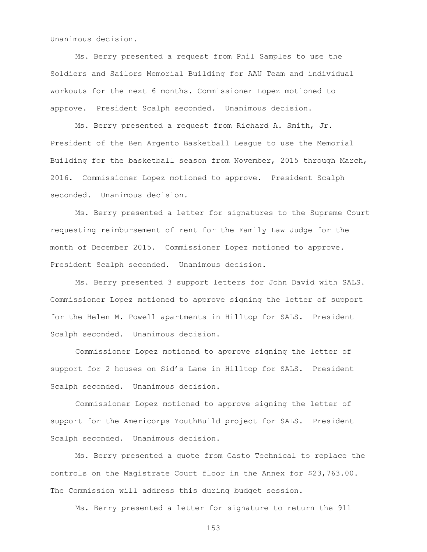Unanimous decision.

Ms. Berry presented a request from Phil Samples to use the Soldiers and Sailors Memorial Building for AAU Team and individual workouts for the next 6 months. Commissioner Lopez motioned to approve. President Scalph seconded. Unanimous decision.

Ms. Berry presented a request from Richard A. Smith, Jr. President of the Ben Argento Basketball League to use the Memorial Building for the basketball season from November, 2015 through March, 2016. Commissioner Lopez motioned to approve. President Scalph seconded. Unanimous decision.

Ms. Berry presented a letter for signatures to the Supreme Court requesting reimbursement of rent for the Family Law Judge for the month of December 2015. Commissioner Lopez motioned to approve. President Scalph seconded. Unanimous decision.

Ms. Berry presented 3 support letters for John David with SALS. Commissioner Lopez motioned to approve signing the letter of support for the Helen M. Powell apartments in Hilltop for SALS. President Scalph seconded. Unanimous decision.

Commissioner Lopez motioned to approve signing the letter of support for 2 houses on Sid's Lane in Hilltop for SALS. President Scalph seconded. Unanimous decision.

Commissioner Lopez motioned to approve signing the letter of support for the Americorps YouthBuild project for SALS. President Scalph seconded. Unanimous decision.

Ms. Berry presented a quote from Casto Technical to replace the controls on the Magistrate Court floor in the Annex for \$23,763.00. The Commission will address this during budget session.

Ms. Berry presented a letter for signature to return the 911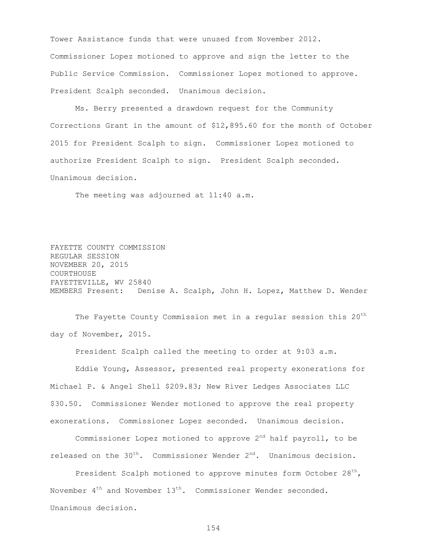Tower Assistance funds that were unused from November 2012. Commissioner Lopez motioned to approve and sign the letter to the Public Service Commission. Commissioner Lopez motioned to approve. President Scalph seconded. Unanimous decision.

Ms. Berry presented a drawdown request for the Community Corrections Grant in the amount of \$12,895.60 for the month of October 2015 for President Scalph to sign. Commissioner Lopez motioned to authorize President Scalph to sign. President Scalph seconded. Unanimous decision.

The meeting was adjourned at 11:40 a.m.

FAYETTE COUNTY COMMISSION REGULAR SESSION NOVEMBER 20, 2015 COURTHOUSE FAYETTEVILLE, WV 25840 MEMBERS Present: Denise A. Scalph, John H. Lopez, Matthew D. Wender

The Fayette County Commission met in a regular session this 20<sup>th</sup> day of November, 2015.

President Scalph called the meeting to order at 9:03 a.m. Eddie Young, Assessor, presented real property exonerations for Michael P. & Angel Shell \$209.83; New River Ledges Associates LLC \$30.50. Commissioner Wender motioned to approve the real property exonerations. Commissioner Lopez seconded. Unanimous decision.

Commissioner Lopez motioned to approve  $2<sup>nd</sup>$  half payroll, to be released on the  $30<sup>th</sup>$ . Commissioner Wender  $2<sup>nd</sup>$ . Unanimous decision.

President Scalph motioned to approve minutes form October  $28<sup>th</sup>$ , November  $4^{th}$  and November  $13^{th}$ . Commissioner Wender seconded. Unanimous decision.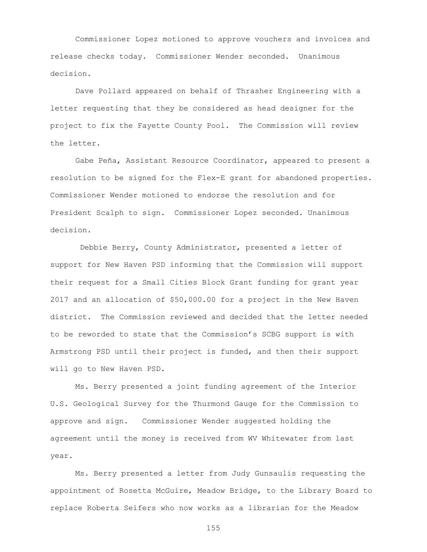Commissioner Lopez motioned to approve vouchers and invoices and release checks today. Commissioner Wender seconded. Unanimous decision.

Dave Pollard appeared on behalf of Thrasher Engineering with a letter requesting that they be considered as head designer for the project to fix the Fayette County Pool. The Commission will review the letter.

Gabe Peña, Assistant Resource Coordinator, appeared to present a resolution to be signed for the Flex-E grant for abandoned properties. Commissioner Wender motioned to endorse the resolution and for President Scalph to sign. Commissioner Lopez seconded. Unanimous decision.

Debbie Berry, County Administrator, presented a letter of support for New Haven PSD informing that the Commission will support their request for a Small Cities Block Grant funding for grant year 2017 and an allocation of \$50,000.00 for a project in the New Haven district. The Commission reviewed and decided that the letter needed to be reworded to state that the Commission's SCBG support is with Armstrong PSD until their project is funded, and then their support will go to New Haven PSD.

Ms. Berry presented a joint funding agreement of the Interior U.S. Geological Survey for the Thurmond Gauge for the Commission to approve and sign. Commissioner Wender suggested holding the agreement until the money is received from WV Whitewater from last year.

Ms. Berry presented a letter from Judy Gunsaulis requesting the appointment of Rosetta McGuire, Meadow Bridge, to the Library Board to replace Roberta Seifers who now works as a librarian for the Meadow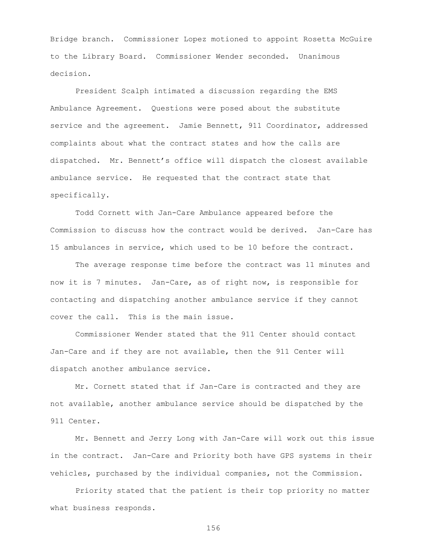Bridge branch. Commissioner Lopez motioned to appoint Rosetta McGuire to the Library Board. Commissioner Wender seconded. Unanimous decision.

President Scalph intimated a discussion regarding the EMS Ambulance Agreement. Questions were posed about the substitute service and the agreement. Jamie Bennett, 911 Coordinator, addressed complaints about what the contract states and how the calls are dispatched. Mr. Bennett's office will dispatch the closest available ambulance service. He requested that the contract state that specifically.

Todd Cornett with Jan-Care Ambulance appeared before the Commission to discuss how the contract would be derived. Jan-Care has 15 ambulances in service, which used to be 10 before the contract.

The average response time before the contract was 11 minutes and now it is 7 minutes. Jan-Care, as of right now, is responsible for contacting and dispatching another ambulance service if they cannot cover the call. This is the main issue.

Commissioner Wender stated that the 911 Center should contact Jan-Care and if they are not available, then the 911 Center will dispatch another ambulance service.

Mr. Cornett stated that if Jan-Care is contracted and they are not available, another ambulance service should be dispatched by the 911 Center.

Mr. Bennett and Jerry Long with Jan-Care will work out this issue in the contract. Jan-Care and Priority both have GPS systems in their vehicles, purchased by the individual companies, not the Commission.

Priority stated that the patient is their top priority no matter what business responds.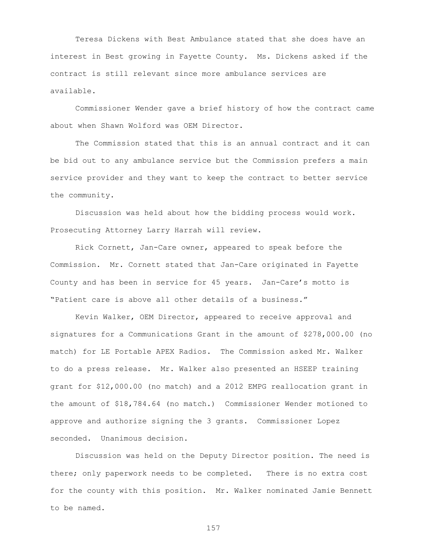Teresa Dickens with Best Ambulance stated that she does have an interest in Best growing in Fayette County. Ms. Dickens asked if the contract is still relevant since more ambulance services are available.

Commissioner Wender gave a brief history of how the contract came about when Shawn Wolford was OEM Director.

The Commission stated that this is an annual contract and it can be bid out to any ambulance service but the Commission prefers a main service provider and they want to keep the contract to better service the community.

Discussion was held about how the bidding process would work. Prosecuting Attorney Larry Harrah will review.

Rick Cornett, Jan-Care owner, appeared to speak before the Commission. Mr. Cornett stated that Jan-Care originated in Fayette County and has been in service for 45 years. Jan-Care's motto is "Patient care is above all other details of a business."

Kevin Walker, OEM Director, appeared to receive approval and signatures for a Communications Grant in the amount of \$278,000.00 (no match) for LE Portable APEX Radios. The Commission asked Mr. Walker to do a press release. Mr. Walker also presented an HSEEP training grant for \$12,000.00 (no match) and a 2012 EMPG reallocation grant in the amount of \$18,784.64 (no match.) Commissioner Wender motioned to approve and authorize signing the 3 grants. Commissioner Lopez seconded. Unanimous decision.

Discussion was held on the Deputy Director position. The need is there; only paperwork needs to be completed. There is no extra cost for the county with this position. Mr. Walker nominated Jamie Bennett to be named.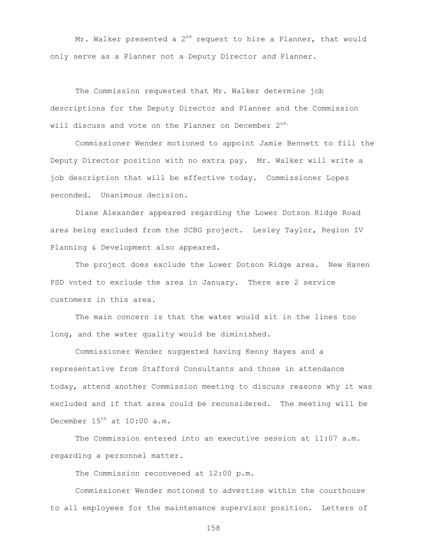Mr. Walker presented a  $2^{nd}$  request to hire a Planner, that would only serve as a Planner not a Deputy Director *and* Planner.

The Commission requested that Mr. Walker determine job descriptions for the Deputy Director and Planner and the Commission will discuss and vote on the Planner on December 2<sup>nd.</sup>

Commissioner Wender motioned to appoint Jamie Bennett to fill the Deputy Director position with no extra pay. Mr. Walker will write a job description that will be effective today. Commissioner Lopez seconded. Unanimous decision.

Diane Alexander appeared regarding the Lower Dotson Ridge Road area being excluded from the SCBG project. Lesley Taylor, Region IV Planning & Development also appeared.

The project does exclude the Lower Dotson Ridge area. New Haven PSD voted to exclude the area in January. There are 2 service customers in this area.

The main concern is that the water would sit in the lines too long, and the water quality would be diminished.

Commissioner Wender suggested having Kenny Hayes and a representative from Stafford Consultants and those in attendance today, attend another Commission meeting to discuss reasons why it was excluded and if that area could be reconsidered. The meeting will be December  $15<sup>th</sup>$  at  $10:00$  a.m.

The Commission entered into an executive session at 11:07 a.m. regarding a personnel matter.

The Commission reconvened at 12:00 p.m.

Commissioner Wender motioned to advertise within the courthouse to all employees for the maintenance supervisor position. Letters of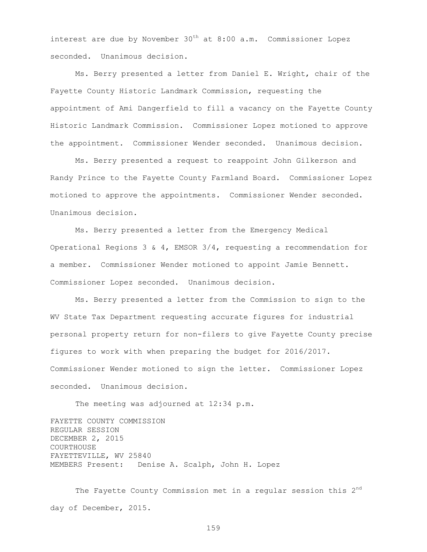interest are due by November  $30<sup>th</sup>$  at  $8:00$  a.m. Commissioner Lopez seconded. Unanimous decision.

Ms. Berry presented a letter from Daniel E. Wright, chair of the Fayette County Historic Landmark Commission, requesting the appointment of Ami Dangerfield to fill a vacancy on the Fayette County Historic Landmark Commission. Commissioner Lopez motioned to approve the appointment. Commissioner Wender seconded. Unanimous decision.

Ms. Berry presented a request to reappoint John Gilkerson and Randy Prince to the Fayette County Farmland Board. Commissioner Lopez motioned to approve the appointments. Commissioner Wender seconded. Unanimous decision.

Ms. Berry presented a letter from the Emergency Medical Operational Regions 3 & 4, EMSOR 3/4, requesting a recommendation for a member. Commissioner Wender motioned to appoint Jamie Bennett. Commissioner Lopez seconded. Unanimous decision.

Ms. Berry presented a letter from the Commission to sign to the WV State Tax Department requesting accurate figures for industrial personal property return for non-filers to give Fayette County precise figures to work with when preparing the budget for 2016/2017. Commissioner Wender motioned to sign the letter. Commissioner Lopez seconded. Unanimous decision.

The meeting was adjourned at 12:34 p.m.

FAYETTE COUNTY COMMISSION REGULAR SESSION DECEMBER 2, 2015 COURTHOUSE FAYETTEVILLE, WV 25840 MEMBERS Present: Denise A. Scalph, John H. Lopez

The Fayette County Commission met in a regular session this  $2<sup>nd</sup>$ day of December, 2015.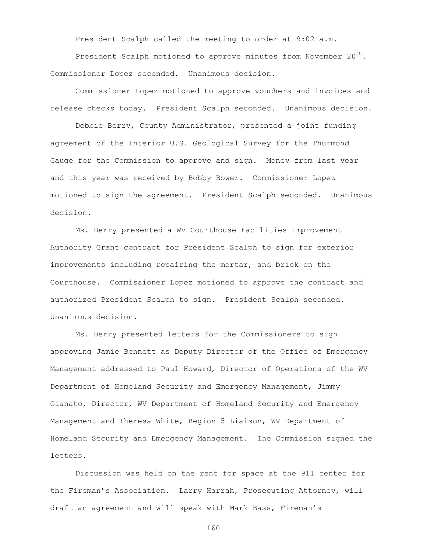President Scalph called the meeting to order at 9:02 a.m.

President Scalph motioned to approve minutes from November  $20^{th}$ . Commissioner Lopez seconded. Unanimous decision.

Commissioner Lopez motioned to approve vouchers and invoices and release checks today. President Scalph seconded. Unanimous decision.

Debbie Berry, County Administrator, presented a joint funding agreement of the Interior U.S. Geological Survey for the Thurmond Gauge for the Commission to approve and sign. Money from last year and this year was received by Bobby Bower. Commissioner Lopez motioned to sign the agreement. President Scalph seconded. Unanimous decision.

Ms. Berry presented a WV Courthouse Facilities Improvement Authority Grant contract for President Scalph to sign for exterior improvements including repairing the mortar, and brick on the Courthouse. Commissioner Lopez motioned to approve the contract and authorized President Scalph to sign. President Scalph seconded. Unanimous decision.

Ms. Berry presented letters for the Commissioners to sign approving Jamie Bennett as Deputy Director of the Office of Emergency Management addressed to Paul Howard, Director of Operations of the WV Department of Homeland Security and Emergency Management, Jimmy Gianato, Director, WV Department of Homeland Security and Emergency Management and Theresa White, Region 5 Liaison, WV Department of Homeland Security and Emergency Management. The Commission signed the letters.

Discussion was held on the rent for space at the 911 center for the Fireman's Association. Larry Harrah, Prosecuting Attorney, will draft an agreement and will speak with Mark Bass, Fireman's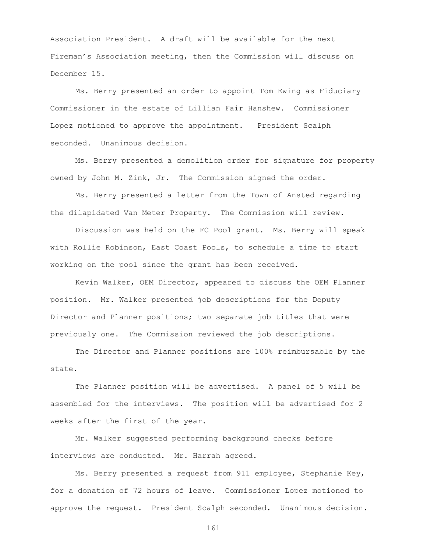Association President. A draft will be available for the next Fireman's Association meeting, then the Commission will discuss on December 15.

Ms. Berry presented an order to appoint Tom Ewing as Fiduciary Commissioner in the estate of Lillian Fair Hanshew. Commissioner Lopez motioned to approve the appointment. President Scalph seconded. Unanimous decision.

Ms. Berry presented a demolition order for signature for property owned by John M. Zink, Jr. The Commission signed the order.

Ms. Berry presented a letter from the Town of Ansted regarding the dilapidated Van Meter Property. The Commission will review.

Discussion was held on the FC Pool grant. Ms. Berry will speak with Rollie Robinson, East Coast Pools, to schedule a time to start working on the pool since the grant has been received.

Kevin Walker, OEM Director, appeared to discuss the OEM Planner position. Mr. Walker presented job descriptions for the Deputy Director and Planner positions; two separate job titles that were previously one. The Commission reviewed the job descriptions.

The Director and Planner positions are 100% reimbursable by the state.

The Planner position will be advertised. A panel of 5 will be assembled for the interviews. The position will be advertised for 2 weeks after the first of the year.

Mr. Walker suggested performing background checks before interviews are conducted. Mr. Harrah agreed.

Ms. Berry presented a request from 911 employee, Stephanie Key, for a donation of 72 hours of leave. Commissioner Lopez motioned to approve the request. President Scalph seconded. Unanimous decision.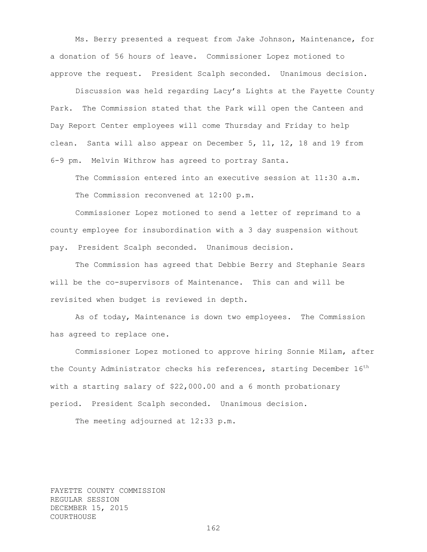Ms. Berry presented a request from Jake Johnson, Maintenance, for a donation of 56 hours of leave. Commissioner Lopez motioned to approve the request. President Scalph seconded. Unanimous decision.

Discussion was held regarding Lacy's Lights at the Fayette County Park. The Commission stated that the Park will open the Canteen and Day Report Center employees will come Thursday and Friday to help clean. Santa will also appear on December 5, 11, 12, 18 and 19 from 6-9 pm. Melvin Withrow has agreed to portray Santa.

The Commission entered into an executive session at 11:30 a.m. The Commission reconvened at 12:00 p.m.

Commissioner Lopez motioned to send a letter of reprimand to a county employee for insubordination with a 3 day suspension without pay. President Scalph seconded. Unanimous decision.

The Commission has agreed that Debbie Berry and Stephanie Sears will be the co-supervisors of Maintenance. This can and will be revisited when budget is reviewed in depth.

As of today, Maintenance is down two employees. The Commission has agreed to replace one.

Commissioner Lopez motioned to approve hiring Sonnie Milam, after the County Administrator checks his references, starting December  $16<sup>th</sup>$ with a starting salary of \$22,000.00 and a 6 month probationary period. President Scalph seconded. Unanimous decision.

The meeting adjourned at 12:33 p.m.

FAYETTE COUNTY COMMISSION REGULAR SESSION DECEMBER 15, 2015 COURTHOUSE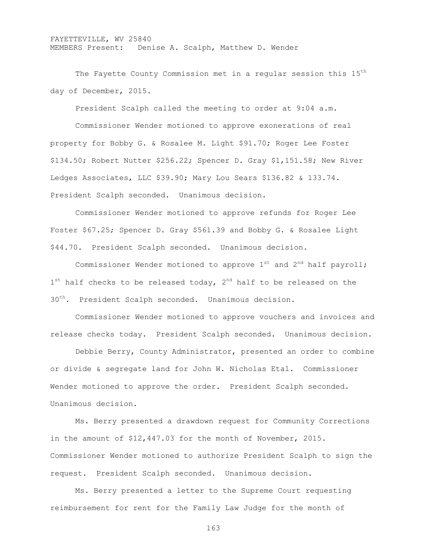## FAYETTEVILLE, WV 25840 MEMBERS Present: Denise A. Scalph, Matthew D. Wender

The Fayette County Commission met in a regular session this 15<sup>th</sup> day of December, 2015.

President Scalph called the meeting to order at 9:04 a.m.

Commissioner Wender motioned to approve exonerations of real property for Bobby G. & Rosalee M. Light \$91.70; Roger Lee Foster \$134.50; Robert Nutter \$256.22; Spencer D. Gray \$1,151.58; New River Ledges Associates, LLC \$39.90; Mary Lou Sears \$136.82 & 133.74. President Scalph seconded. Unanimous decision.

Commissioner Wender motioned to approve refunds for Roger Lee Foster \$67.25; Spencer D. Gray \$561.39 and Bobby G. & Rosalee Light \$44.70. President Scalph seconded. Unanimous decision.

Commissioner Wender motioned to approve  $1^{st}$  and  $2^{nd}$  half payroll; 1<sup>st</sup> half checks to be released today, 2<sup>nd</sup> half to be released on the 30<sup>th</sup>. President Scalph seconded. Unanimous decision.

Commissioner Wender motioned to approve vouchers and invoices and release checks today. President Scalph seconded. Unanimous decision.

Debbie Berry, County Administrator, presented an order to combine or divide & segregate land for John W. Nicholas Etal. Commissioner Wender motioned to approve the order. President Scalph seconded. Unanimous decision.

Ms. Berry presented a drawdown request for Community Corrections in the amount of \$12,447.03 for the month of November, 2015. Commissioner Wender motioned to authorize President Scalph to sign the request. President Scalph seconded. Unanimous decision.

Ms. Berry presented a letter to the Supreme Court requesting reimbursement for rent for the Family Law Judge for the month of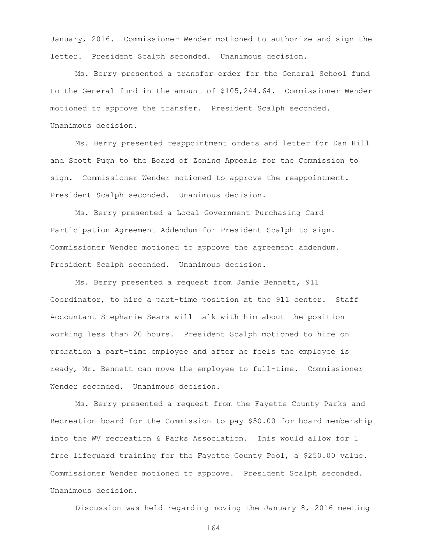January, 2016. Commissioner Wender motioned to authorize and sign the letter. President Scalph seconded. Unanimous decision.

Ms. Berry presented a transfer order for the General School fund to the General fund in the amount of \$105,244.64. Commissioner Wender motioned to approve the transfer. President Scalph seconded. Unanimous decision.

Ms. Berry presented reappointment orders and letter for Dan Hill and Scott Pugh to the Board of Zoning Appeals for the Commission to sign. Commissioner Wender motioned to approve the reappointment. President Scalph seconded. Unanimous decision.

Ms. Berry presented a Local Government Purchasing Card Participation Agreement Addendum for President Scalph to sign. Commissioner Wender motioned to approve the agreement addendum. President Scalph seconded. Unanimous decision.

Ms. Berry presented a request from Jamie Bennett, 911 Coordinator, to hire a part-time position at the 911 center. Staff Accountant Stephanie Sears will talk with him about the position working less than 20 hours. President Scalph motioned to hire on probation a part-time employee and after he feels the employee is ready, Mr. Bennett can move the employee to full-time. Commissioner Wender seconded. Unanimous decision.

Ms. Berry presented a request from the Fayette County Parks and Recreation board for the Commission to pay \$50.00 for board membership into the WV recreation & Parks Association. This would allow for 1 free lifeguard training for the Fayette County Pool, a \$250.00 value. Commissioner Wender motioned to approve. President Scalph seconded. Unanimous decision.

Discussion was held regarding moving the January 8, 2016 meeting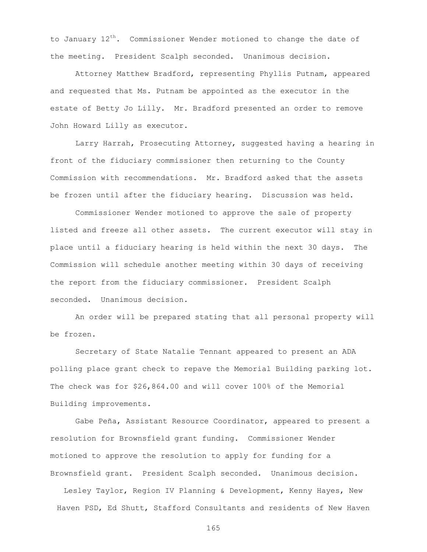to January  $12^{th}$ . Commissioner Wender motioned to change the date of the meeting. President Scalph seconded. Unanimous decision.

Attorney Matthew Bradford, representing Phyllis Putnam, appeared and requested that Ms. Putnam be appointed as the executor in the estate of Betty Jo Lilly. Mr. Bradford presented an order to remove John Howard Lilly as executor.

Larry Harrah, Prosecuting Attorney, suggested having a hearing in front of the fiduciary commissioner then returning to the County Commission with recommendations. Mr. Bradford asked that the assets be frozen until after the fiduciary hearing. Discussion was held.

Commissioner Wender motioned to approve the sale of property listed and freeze all other assets. The current executor will stay in place until a fiduciary hearing is held within the next 30 days. The Commission will schedule another meeting within 30 days of receiving the report from the fiduciary commissioner. President Scalph seconded. Unanimous decision.

An order will be prepared stating that all personal property will be frozen.

Secretary of State Natalie Tennant appeared to present an ADA polling place grant check to repave the Memorial Building parking lot. The check was for \$26,864.00 and will cover 100% of the Memorial Building improvements.

Gabe Peña, Assistant Resource Coordinator, appeared to present a resolution for Brownsfield grant funding. Commissioner Wender motioned to approve the resolution to apply for funding for a Brownsfield grant. President Scalph seconded. Unanimous decision.

Lesley Taylor, Region IV Planning & Development, Kenny Hayes, New Haven PSD, Ed Shutt, Stafford Consultants and residents of New Haven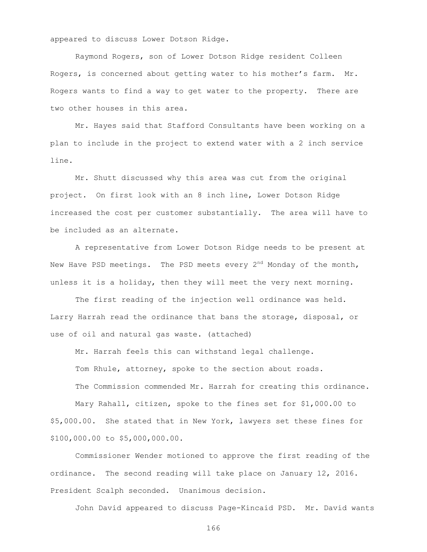appeared to discuss Lower Dotson Ridge.

Raymond Rogers, son of Lower Dotson Ridge resident Colleen Rogers, is concerned about getting water to his mother's farm. Mr. Rogers wants to find a way to get water to the property. There are two other houses in this area.

Mr. Hayes said that Stafford Consultants have been working on a plan to include in the project to extend water with a 2 inch service line.

Mr. Shutt discussed why this area was cut from the original project. On first look with an 8 inch line, Lower Dotson Ridge increased the cost per customer substantially. The area will have to be included as an alternate.

A representative from Lower Dotson Ridge needs to be present at New Have PSD meetings. The PSD meets every  $2^{nd}$  Monday of the month, unless it is a holiday, then they will meet the very next morning.

The first reading of the injection well ordinance was held. Larry Harrah read the ordinance that bans the storage, disposal, or use of oil and natural gas waste. (attached)

Mr. Harrah feels this can withstand legal challenge. Tom Rhule, attorney, spoke to the section about roads.

The Commission commended Mr. Harrah for creating this ordinance. Mary Rahall, citizen, spoke to the fines set for \$1,000.00 to \$5,000.00. She stated that in New York, lawyers set these fines for

\$100,000.00 to \$5,000,000.00.

Commissioner Wender motioned to approve the first reading of the ordinance. The second reading will take place on January 12, 2016. President Scalph seconded. Unanimous decision.

John David appeared to discuss Page-Kincaid PSD. Mr. David wants